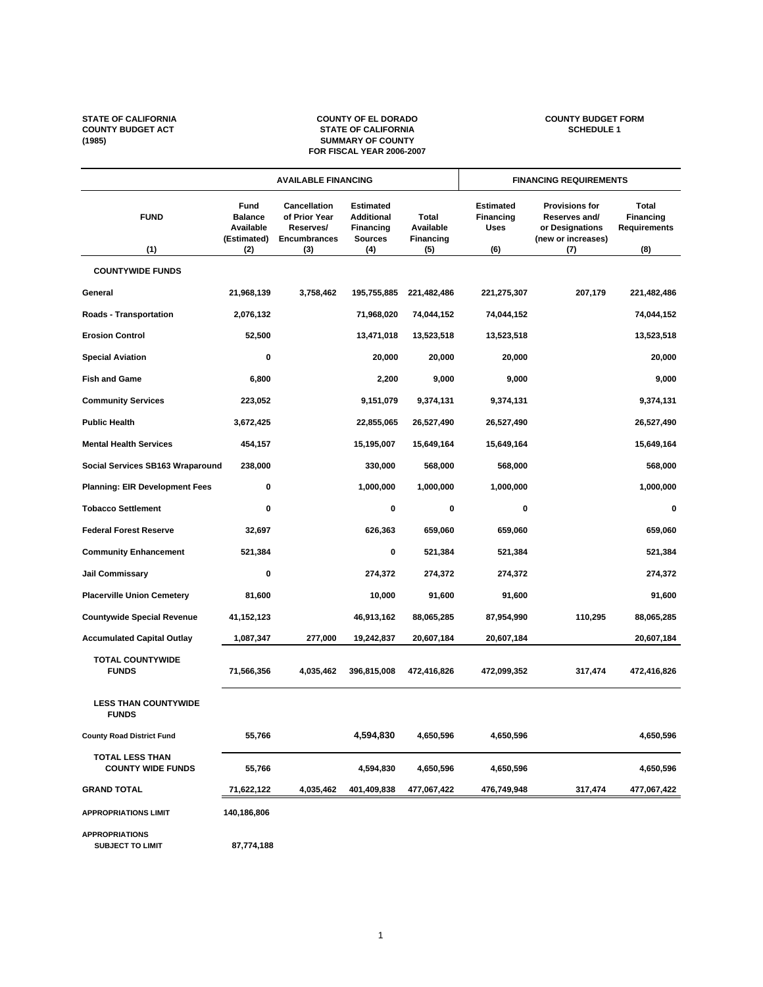#### STATE OF CALIFORNIA **STATE OF CALIFORNIA**<br>
COUNTY BUDGET ACT STATE OF CALIFORNIA<br>
SUMMARY OF COUNTY<br>
SUMMARY OF COUNTY **COUNTY BUDGET ACT STATE OF CALIFORNIA SCHEDULE 1 (1985) SUMMARY OF COUNTY FOR FISCAL YEAR 2006-2007**

| <b>AVAILABLE FINANCING</b>                         |                                                           |                                                                                 | <b>FINANCING REQUIREMENTS</b>                                                      |                                               |                                                     |                                                                                        |                                                  |
|----------------------------------------------------|-----------------------------------------------------------|---------------------------------------------------------------------------------|------------------------------------------------------------------------------------|-----------------------------------------------|-----------------------------------------------------|----------------------------------------------------------------------------------------|--------------------------------------------------|
| <b>FUND</b><br>(1)                                 | Fund<br><b>Balance</b><br>Available<br>(Estimated)<br>(2) | <b>Cancellation</b><br>of Prior Year<br>Reserves/<br><b>Encumbrances</b><br>(3) | <b>Estimated</b><br><b>Additional</b><br><b>Financing</b><br><b>Sources</b><br>(4) | Total<br>Available<br><b>Financing</b><br>(5) | <b>Estimated</b><br>Financing<br><b>Uses</b><br>(6) | <b>Provisions for</b><br>Reserves and/<br>or Designations<br>(new or increases)<br>(7) | Total<br>Financing<br><b>Requirements</b><br>(8) |
| <b>COUNTYWIDE FUNDS</b>                            |                                                           |                                                                                 |                                                                                    |                                               |                                                     |                                                                                        |                                                  |
| General                                            | 21,968,139                                                | 3,758,462                                                                       | 195,755,885                                                                        | 221,482,486                                   | 221,275,307                                         | 207,179                                                                                | 221,482,486                                      |
| <b>Roads - Transportation</b>                      | 2,076,132                                                 |                                                                                 | 71,968,020                                                                         | 74,044,152                                    | 74,044,152                                          |                                                                                        | 74,044,152                                       |
| <b>Erosion Control</b>                             | 52,500                                                    |                                                                                 | 13,471,018                                                                         | 13,523,518                                    | 13,523,518                                          |                                                                                        | 13,523,518                                       |
| <b>Special Aviation</b>                            | 0                                                         |                                                                                 | 20,000                                                                             | 20,000                                        | 20,000                                              |                                                                                        | 20,000                                           |
| <b>Fish and Game</b>                               | 6,800                                                     |                                                                                 | 2,200                                                                              | 9,000                                         | 9,000                                               |                                                                                        | 9,000                                            |
| <b>Community Services</b>                          | 223,052                                                   |                                                                                 | 9,151,079                                                                          | 9,374,131                                     | 9,374,131                                           |                                                                                        | 9,374,131                                        |
| <b>Public Health</b>                               | 3,672,425                                                 |                                                                                 | 22,855,065                                                                         | 26,527,490                                    | 26,527,490                                          |                                                                                        | 26,527,490                                       |
| <b>Mental Health Services</b>                      | 454,157                                                   |                                                                                 | 15,195,007                                                                         | 15,649,164                                    | 15,649,164                                          |                                                                                        | 15,649,164                                       |
| Social Services SB163 Wraparound                   | 238,000                                                   |                                                                                 | 330,000                                                                            | 568,000                                       | 568,000                                             |                                                                                        | 568,000                                          |
| <b>Planning: EIR Development Fees</b>              | 0                                                         |                                                                                 | 1,000,000                                                                          | 1,000,000                                     | 1,000,000                                           |                                                                                        | 1,000,000                                        |
| <b>Tobacco Settlement</b>                          | 0                                                         |                                                                                 | 0                                                                                  | 0                                             | 0                                                   |                                                                                        | 0                                                |
| <b>Federal Forest Reserve</b>                      | 32,697                                                    |                                                                                 | 626,363                                                                            | 659,060                                       | 659,060                                             |                                                                                        | 659,060                                          |
| <b>Community Enhancement</b>                       | 521,384                                                   |                                                                                 | 0                                                                                  | 521,384                                       | 521,384                                             |                                                                                        | 521,384                                          |
| <b>Jail Commissary</b>                             | 0                                                         |                                                                                 | 274,372                                                                            | 274,372                                       | 274,372                                             |                                                                                        | 274,372                                          |
| <b>Placerville Union Cemetery</b>                  | 81,600                                                    |                                                                                 | 10,000                                                                             | 91,600                                        | 91,600                                              |                                                                                        | 91,600                                           |
| <b>Countywide Special Revenue</b>                  | 41,152,123                                                |                                                                                 | 46,913,162                                                                         | 88,065,285                                    | 87,954,990                                          | 110,295                                                                                | 88,065,285                                       |
| <b>Accumulated Capital Outlay</b>                  | 1,087,347                                                 | 277,000                                                                         | 19,242,837                                                                         | 20,607,184                                    | 20,607,184                                          |                                                                                        | 20,607,184                                       |
| <b>TOTAL COUNTYWIDE</b><br><b>FUNDS</b>            | 71,566,356                                                | 4,035,462                                                                       | 396,815,008                                                                        | 472,416,826                                   | 472,099,352                                         | 317,474                                                                                | 472,416,826                                      |
| <b>LESS THAN COUNTYWIDE</b><br><b>FUNDS</b>        |                                                           |                                                                                 |                                                                                    |                                               |                                                     |                                                                                        |                                                  |
| <b>County Road District Fund</b>                   | 55,766                                                    |                                                                                 | 4,594,830                                                                          | 4,650,596                                     | 4,650,596                                           |                                                                                        | 4,650,596                                        |
| <b>TOTAL LESS THAN</b><br><b>COUNTY WIDE FUNDS</b> | 55,766                                                    |                                                                                 | 4,594,830                                                                          | 4,650,596                                     | 4,650,596                                           |                                                                                        | 4,650,596                                        |
| <b>GRAND TOTAL</b>                                 | 71,622,122                                                | 4,035,462                                                                       | 401,409,838                                                                        | 477,067,422                                   | 476,749,948                                         | 317,474                                                                                | 477,067,422                                      |
| <b>APPROPRIATIONS LIMIT</b>                        | 140,186,806                                               |                                                                                 |                                                                                    |                                               |                                                     |                                                                                        |                                                  |
| <b>APPROPRIATIONS</b><br><b>SUBJECT TO LIMIT</b>   | 87,774,188                                                |                                                                                 |                                                                                    |                                               |                                                     |                                                                                        |                                                  |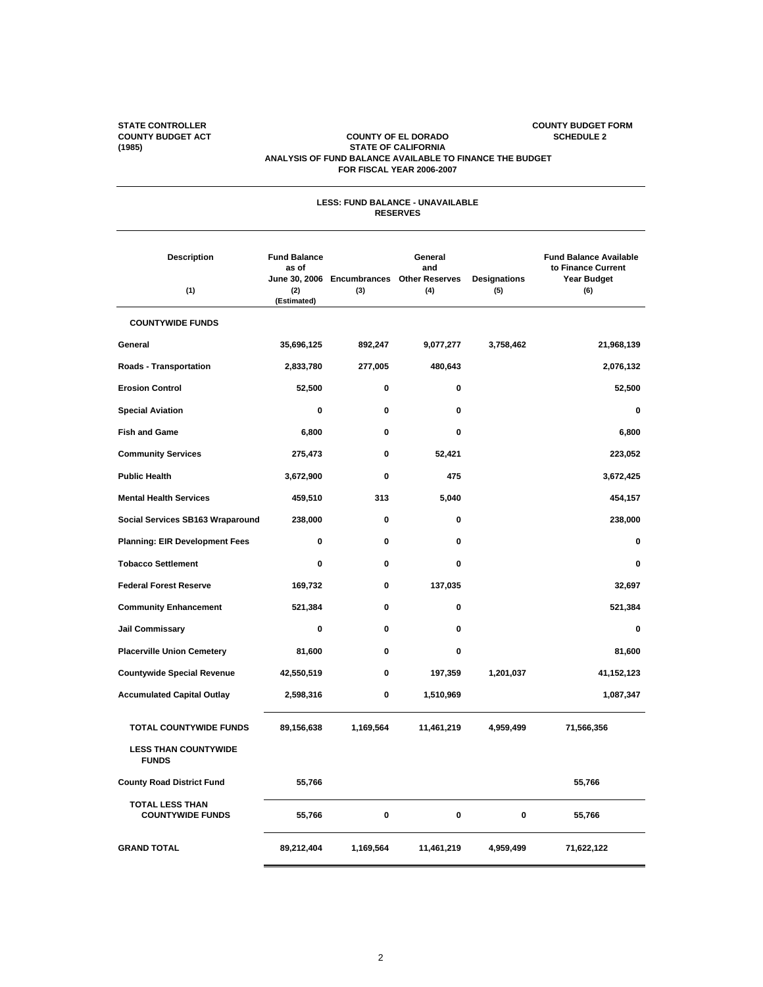#### **STATE CONTROLLER COUNTY BUDGET FORM COUNTY BUDGET ACT COUNTY OF EL DORADO SCHEDULE 2 (1985) STATE OF CALIFORNIA ANALYSIS OF FUND BALANCE AVAILABLE TO FINANCE THE BUDGET FOR FISCAL YEAR 2006-2007**

| <b>LESS: FUND BALANCE - UNAVAILABLE</b><br><b>RESERVES</b>   |                                                    |           |                                                                    |                            |                                                                                  |  |  |  |
|--------------------------------------------------------------|----------------------------------------------------|-----------|--------------------------------------------------------------------|----------------------------|----------------------------------------------------------------------------------|--|--|--|
| <b>Description</b><br>(1)                                    | <b>Fund Balance</b><br>as of<br>(2)<br>(Estimated) | (3)       | General<br>and<br>June 30, 2006 Encumbrances Other Reserves<br>(4) | <b>Designations</b><br>(5) | <b>Fund Balance Available</b><br>to Finance Current<br><b>Year Budget</b><br>(6) |  |  |  |
| <b>COUNTYWIDE FUNDS</b>                                      |                                                    |           |                                                                    |                            |                                                                                  |  |  |  |
| General                                                      | 35,696,125                                         | 892,247   | 9,077,277                                                          | 3,758,462                  | 21,968,139                                                                       |  |  |  |
| <b>Roads - Transportation</b>                                | 2,833,780                                          | 277,005   | 480,643                                                            |                            | 2,076,132                                                                        |  |  |  |
| <b>Erosion Control</b>                                       | 52,500                                             | 0         | 0                                                                  |                            | 52,500                                                                           |  |  |  |
| <b>Special Aviation</b>                                      | 0                                                  | 0         | $\mathbf 0$                                                        |                            | 0                                                                                |  |  |  |
| <b>Fish and Game</b>                                         | 6,800                                              | 0         | 0                                                                  |                            | 6,800                                                                            |  |  |  |
| <b>Community Services</b>                                    | 275,473                                            | 0         | 52,421                                                             |                            | 223,052                                                                          |  |  |  |
| <b>Public Health</b>                                         | 3,672,900                                          | 0         | 475                                                                |                            | 3,672,425                                                                        |  |  |  |
| <b>Mental Health Services</b>                                | 459,510                                            | 313       | 5,040                                                              |                            | 454,157                                                                          |  |  |  |
| Social Services SB163 Wraparound                             | 238,000                                            | 0         | 0                                                                  |                            | 238,000                                                                          |  |  |  |
| <b>Planning: EIR Development Fees</b>                        | 0                                                  | 0         | 0                                                                  |                            | 0                                                                                |  |  |  |
| <b>Tobacco Settlement</b>                                    | 0                                                  | 0         | $\mathbf 0$                                                        |                            | 0                                                                                |  |  |  |
| <b>Federal Forest Reserve</b>                                | 169,732                                            | 0         | 137,035                                                            |                            | 32,697                                                                           |  |  |  |
| <b>Community Enhancement</b>                                 | 521,384                                            | 0         | 0                                                                  |                            | 521,384                                                                          |  |  |  |
| <b>Jail Commissary</b>                                       | 0                                                  | 0         | 0                                                                  |                            | 0                                                                                |  |  |  |
| <b>Placerville Union Cemetery</b>                            | 81,600                                             | 0         | 0                                                                  |                            | 81,600                                                                           |  |  |  |
| <b>Countywide Special Revenue</b>                            | 42,550,519                                         | 0         | 197,359                                                            | 1,201,037                  | 41,152,123                                                                       |  |  |  |
| <b>Accumulated Capital Outlay</b>                            | 2,598,316                                          | 0         | 1,510,969                                                          |                            | 1,087,347                                                                        |  |  |  |
| <b>TOTAL COUNTYWIDE FUNDS</b><br><b>LESS THAN COUNTYWIDE</b> | 89,156,638                                         | 1,169,564 | 11,461,219                                                         | 4,959,499                  | 71,566,356                                                                       |  |  |  |
| <b>FUNDS</b>                                                 |                                                    |           |                                                                    |                            |                                                                                  |  |  |  |
| <b>County Road District Fund</b>                             | 55,766                                             |           |                                                                    |                            | 55,766                                                                           |  |  |  |
| <b>TOTAL LESS THAN</b><br><b>COUNTYWIDE FUNDS</b>            | 55,766                                             | 0         | $\pmb{0}$                                                          | 0                          | 55,766                                                                           |  |  |  |
| <b>GRAND TOTAL</b>                                           | 89,212,404                                         | 1,169,564 | 11,461,219                                                         | 4,959,499                  | 71,622,122                                                                       |  |  |  |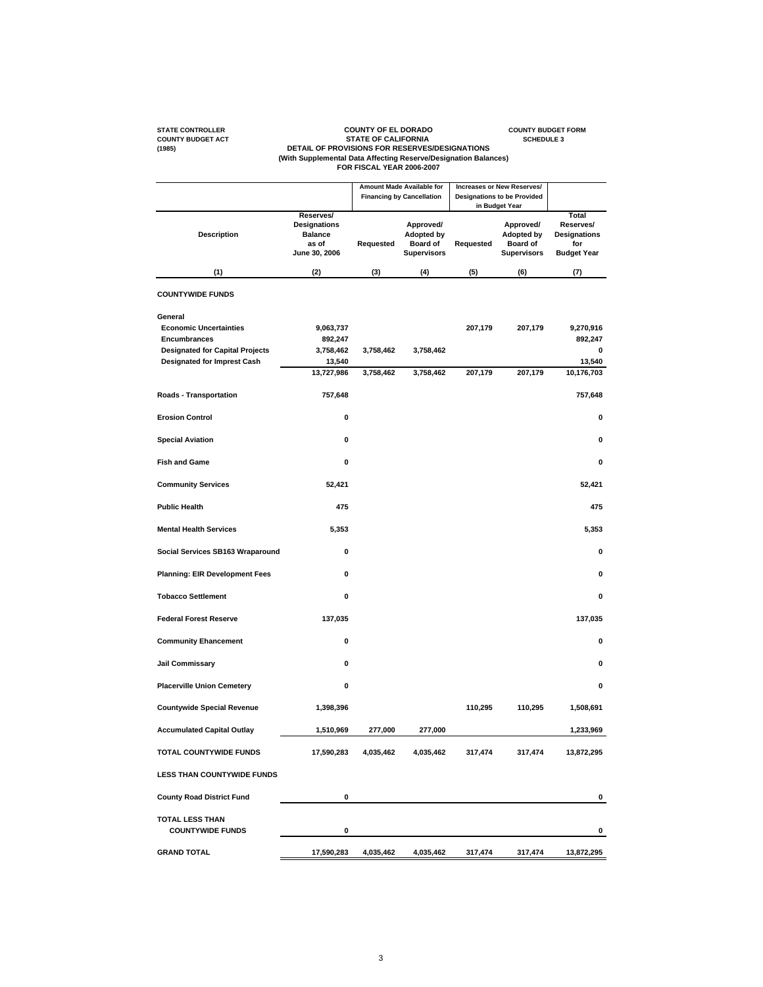# STATE CONTROLLER<br>COUNTY BUDGET ACT COUNTY OF EL DORADO<br>COUNTY BUDGET ACT DETAIL OF PROVISIONS FOR RESERVES/DESIGNATIONS<br>(With Supplemental Data Affecting Reserve/Designation Balances)<br>FOR FISCAL YEAR 2006-2007<br>FOR FISCAL Y

|                                                                                                                                                 |                                                                              |                        | Amount Made Available for<br><b>Financing by Cancellation</b>           |                    | Increases or New Reserves/<br><b>Designations to be Provided</b>                          |                                                                        |
|-------------------------------------------------------------------------------------------------------------------------------------------------|------------------------------------------------------------------------------|------------------------|-------------------------------------------------------------------------|--------------------|-------------------------------------------------------------------------------------------|------------------------------------------------------------------------|
| <b>Description</b>                                                                                                                              | Reserves/<br><b>Designations</b><br><b>Balance</b><br>as of<br>June 30, 2006 | Requested              | Approved/<br><b>Adopted by</b><br><b>Board of</b><br><b>Supervisors</b> | Requested          | in Budget Year<br>Approved/<br><b>Adopted by</b><br><b>Board of</b><br><b>Supervisors</b> | Total<br>Reserves/<br><b>Designations</b><br>for<br><b>Budget Year</b> |
| (1)                                                                                                                                             | (2)                                                                          | (3)                    | (4)                                                                     | (5)                | (6)                                                                                       | (7)                                                                    |
| <b>COUNTYWIDE FUNDS</b>                                                                                                                         |                                                                              |                        |                                                                         |                    |                                                                                           |                                                                        |
| General<br><b>Economic Uncertainties</b><br><b>Encumbrances</b><br><b>Designated for Capital Projects</b><br><b>Designated for Imprest Cash</b> | 9,063,737<br>892,247<br>3,758,462<br>13,540<br>13,727,986                    | 3,758,462<br>3,758,462 | 3,758,462<br>3,758,462                                                  | 207,179<br>207,179 | 207,179<br>207,179                                                                        | 9,270,916<br>892,247<br>0<br>13,540<br>10,176,703                      |
| <b>Roads - Transportation</b>                                                                                                                   | 757,648                                                                      |                        |                                                                         |                    |                                                                                           | 757,648                                                                |
| <b>Erosion Control</b>                                                                                                                          | $\mathbf 0$                                                                  |                        |                                                                         |                    |                                                                                           | 0                                                                      |
| <b>Special Aviation</b>                                                                                                                         | 0                                                                            |                        |                                                                         |                    |                                                                                           | 0                                                                      |
| <b>Fish and Game</b>                                                                                                                            | 0                                                                            |                        |                                                                         |                    |                                                                                           | 0                                                                      |
| <b>Community Services</b>                                                                                                                       | 52,421                                                                       |                        |                                                                         |                    |                                                                                           | 52,421                                                                 |
| <b>Public Health</b>                                                                                                                            | 475                                                                          |                        |                                                                         |                    |                                                                                           | 475                                                                    |
| <b>Mental Health Services</b>                                                                                                                   | 5,353                                                                        |                        |                                                                         |                    |                                                                                           | 5,353                                                                  |
| Social Services SB163 Wraparound                                                                                                                | $\pmb{0}$                                                                    |                        |                                                                         |                    |                                                                                           | 0                                                                      |
| <b>Planning: EIR Development Fees</b>                                                                                                           | 0                                                                            |                        |                                                                         |                    |                                                                                           | 0                                                                      |
| <b>Tobacco Settlement</b>                                                                                                                       | 0                                                                            |                        |                                                                         |                    |                                                                                           | 0                                                                      |
| <b>Federal Forest Reserve</b>                                                                                                                   | 137,035                                                                      |                        |                                                                         |                    |                                                                                           | 137,035                                                                |
| <b>Community Ehancement</b>                                                                                                                     | 0                                                                            |                        |                                                                         |                    |                                                                                           | 0                                                                      |
| <b>Jail Commissary</b>                                                                                                                          | 0                                                                            |                        |                                                                         |                    |                                                                                           | 0                                                                      |
| <b>Placerville Union Cemetery</b>                                                                                                               | 0                                                                            |                        |                                                                         |                    |                                                                                           | 0                                                                      |
| <b>Countywide Special Revenue</b>                                                                                                               | 1,398,396                                                                    |                        |                                                                         | 110,295            | 110,295                                                                                   | 1,508,691                                                              |
| <b>Accumulated Capital Outlay</b>                                                                                                               | 1,510,969                                                                    | 277,000                | 277,000                                                                 |                    |                                                                                           | 1,233,969                                                              |
| TOTAL COUNTYWIDE FUNDS                                                                                                                          | 17,590,283                                                                   | 4,035,462              | 4,035,462                                                               | 317,474            | 317,474                                                                                   | 13,872,295                                                             |
| <b>LESS THAN COUNTYWIDE FUNDS</b>                                                                                                               |                                                                              |                        |                                                                         |                    |                                                                                           |                                                                        |
| <b>County Road District Fund</b>                                                                                                                | 0                                                                            |                        |                                                                         |                    |                                                                                           | 0                                                                      |
| <b>TOTAL LESS THAN</b>                                                                                                                          |                                                                              |                        |                                                                         |                    |                                                                                           |                                                                        |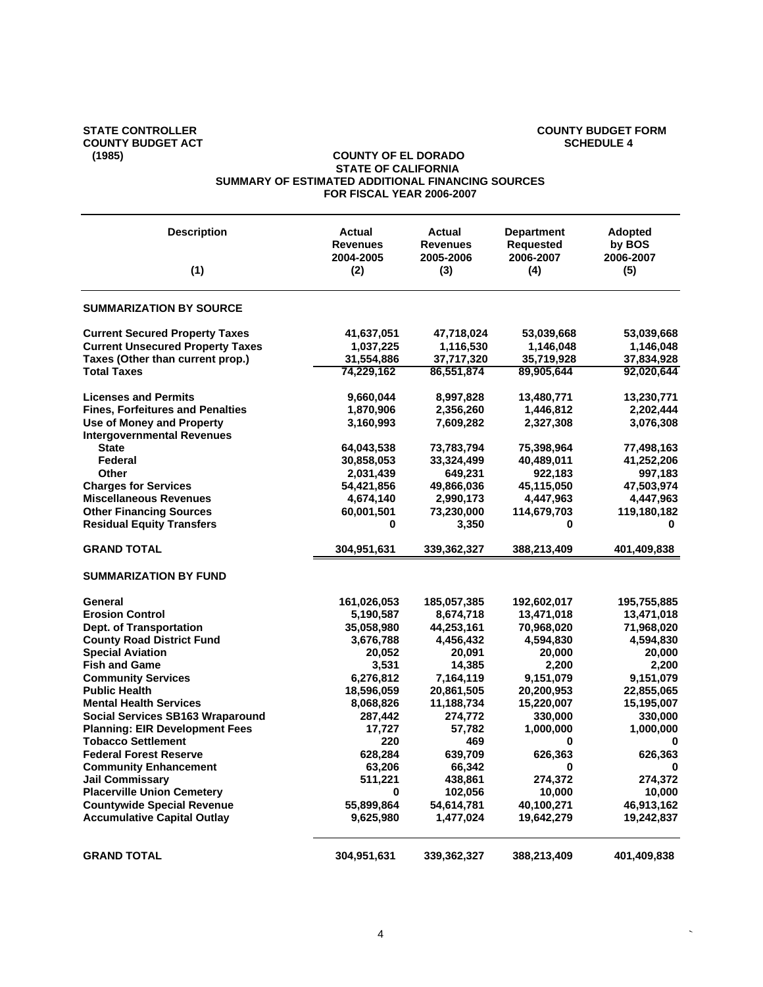## **COUNTY BUDGET ACT**<br>(1985)

## STATE CONTROLLER **COUNTY BUDGET FORM**<br>
COUNTY BUDGET ACT **COUNTY BUDGET ACT**

#### **COUNTY OF EL DORADO STATE OF CALIFORNIA SUMMARY OF ESTIMATED ADDITIONAL FINANCING SOURCES FOR FISCAL YEAR 2006-2007**

| <b>Description</b>                      | Actual<br><b>Revenues</b><br>2004-2005 | <b>Actual</b><br><b>Revenues</b><br>2005-2006 | <b>Department</b><br><b>Requested</b><br>2006-2007 | <b>Adopted</b><br>by BOS<br>2006-2007 |
|-----------------------------------------|----------------------------------------|-----------------------------------------------|----------------------------------------------------|---------------------------------------|
| (1)                                     | (2)                                    | (3)                                           | (4)                                                | (5)                                   |
| <b>SUMMARIZATION BY SOURCE</b>          |                                        |                                               |                                                    |                                       |
| <b>Current Secured Property Taxes</b>   | 41,637,051                             | 47,718,024                                    | 53,039,668                                         | 53,039,668                            |
| <b>Current Unsecured Property Taxes</b> | 1,037,225                              | 1,116,530                                     | 1,146,048                                          | 1,146,048                             |
| Taxes (Other than current prop.)        | 31,554,886                             | 37,717,320                                    | 35,719,928                                         | 37,834,928                            |
| <b>Total Taxes</b>                      | 74,229,162                             | 86,551,874                                    | 89,905,644                                         | 92,020,644                            |
| <b>Licenses and Permits</b>             | 9,660,044                              | 8,997,828                                     | 13,480,771                                         | 13,230,771                            |
| <b>Fines, Forfeitures and Penalties</b> | 1,870,906                              | 2,356,260                                     | 1,446,812                                          | 2,202,444                             |
| <b>Use of Money and Property</b>        | 3,160,993                              | 7,609,282                                     | 2,327,308                                          | 3,076,308                             |
| <b>Intergovernmental Revenues</b>       |                                        |                                               |                                                    |                                       |
| <b>State</b>                            | 64,043,538                             | 73,783,794                                    | 75,398,964                                         | 77,498,163                            |
| Federal                                 | 30,858,053                             | 33,324,499                                    | 40,489,011                                         | 41,252,206                            |
| Other                                   | 2,031,439                              | 649,231                                       | 922,183                                            | 997,183                               |
| <b>Charges for Services</b>             | 54,421,856                             | 49,866,036                                    | 45,115,050                                         | 47,503,974                            |
| <b>Miscellaneous Revenues</b>           | 4,674,140                              | 2,990,173                                     | 4,447,963                                          | 4,447,963                             |
| <b>Other Financing Sources</b>          | 60,001,501                             | 73,230,000                                    | 114,679,703                                        | 119,180,182                           |
| <b>Residual Equity Transfers</b>        | 0                                      | 3,350                                         | 0                                                  | 0                                     |
| <b>GRAND TOTAL</b>                      | 304,951,631                            | 339,362,327                                   | 388,213,409                                        | 401,409,838                           |
| <b>SUMMARIZATION BY FUND</b>            |                                        |                                               |                                                    |                                       |
| General                                 | 161,026,053                            | 185,057,385                                   | 192,602,017                                        | 195,755,885                           |
| <b>Erosion Control</b>                  | 5,190,587                              | 8,674,718                                     | 13,471,018                                         | 13,471,018                            |
| Dept. of Transportation                 | 35,058,980                             | 44,253,161                                    | 70,968,020                                         | 71,968,020                            |
| <b>County Road District Fund</b>        | 3,676,788                              | 4,456,432                                     | 4,594,830                                          | 4,594,830                             |
| <b>Special Aviation</b>                 | 20,052                                 | 20,091                                        | 20,000                                             | 20,000                                |
| <b>Fish and Game</b>                    | 3,531                                  | 14,385                                        | 2,200                                              | 2,200                                 |
| <b>Community Services</b>               | 6,276,812                              | 7,164,119                                     | 9,151,079                                          | 9,151,079                             |
| <b>Public Health</b>                    | 18,596,059                             | 20,861,505                                    | 20,200,953                                         | 22,855,065                            |
| <b>Mental Health Services</b>           | 8,068,826                              | 11,188,734                                    | 15,220,007                                         | 15,195,007                            |
| Social Services SB163 Wraparound        | 287,442                                | 274,772                                       | 330,000                                            | 330,000                               |
| <b>Planning: EIR Development Fees</b>   | 17,727                                 | 57,782                                        | 1,000,000                                          | 1,000,000                             |
| <b>Tobacco Settlement</b>               | 220                                    | 469                                           | 0                                                  | 0                                     |
| <b>Federal Forest Reserve</b>           | 628,284                                | 639,709                                       | 626,363                                            | 626,363                               |
| <b>Community Enhancement</b>            | 63,206                                 | 66,342                                        | 0                                                  | 0                                     |
| <b>Jail Commissary</b>                  | 511,221                                | 438,861                                       | 274,372                                            | 274,372                               |
| <b>Placerville Union Cemetery</b>       | $\bf{0}$                               | 102,056                                       | 10,000                                             | 10,000                                |
| <b>Countywide Special Revenue</b>       | 55,899,864                             | 54,614,781                                    | 40,100,271                                         | 46,913,162                            |
| <b>Accumulative Capital Outlay</b>      | 9,625,980                              | 1,477,024                                     | 19,642,279                                         | 19,242,837                            |
|                                         |                                        |                                               |                                                    |                                       |
| <b>GRAND TOTAL</b>                      | 304,951,631                            | 339,362,327                                   | 388,213,409                                        | 401,409,838                           |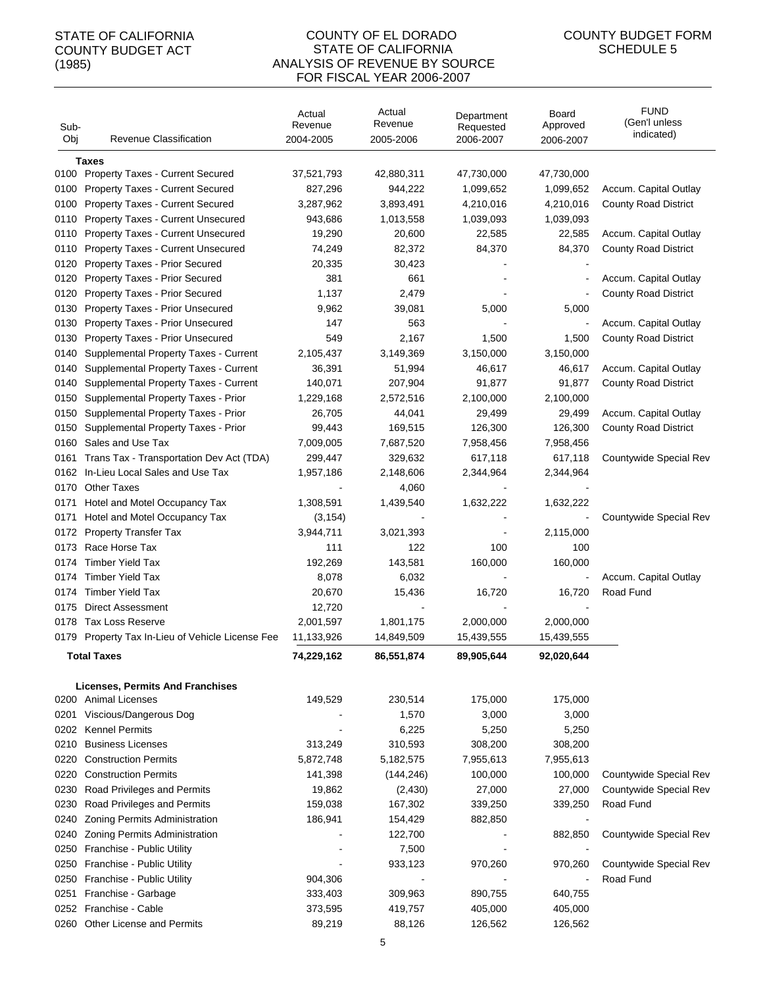#### COUNTY OF EL DORADO STATE OF CALIFORNIA ANALYSIS OF REVENUE BY SOURCE FOR FISCAL YEAR 2006-2007

| Sub-<br>Obj | <b>Revenue Classification</b>                    | Actual<br>Revenue<br>2004-2005 | Actual<br>Revenue<br>2005-2006 | Department<br>Requested<br>2006-2007 | Board<br>Approved<br>2006-2007 | <b>FUND</b><br>(Gen'l unless<br>indicated) |
|-------------|--------------------------------------------------|--------------------------------|--------------------------------|--------------------------------------|--------------------------------|--------------------------------------------|
|             | Taxes                                            |                                |                                |                                      |                                |                                            |
|             | 0100 Property Taxes - Current Secured            | 37,521,793                     | 42,880,311                     | 47,730,000                           | 47,730,000                     |                                            |
| 0100        | <b>Property Taxes - Current Secured</b>          | 827,296                        | 944,222                        | 1,099,652                            | 1,099,652                      | Accum. Capital Outlay                      |
| 0100        | <b>Property Taxes - Current Secured</b>          | 3,287,962                      | 3,893,491                      | 4,210,016                            | 4,210,016                      | <b>County Road District</b>                |
| 0110        | Property Taxes - Current Unsecured               | 943,686                        | 1,013,558                      | 1,039,093                            | 1,039,093                      |                                            |
| 0110        | Property Taxes - Current Unsecured               | 19,290                         | 20,600                         | 22,585                               | 22,585                         | Accum. Capital Outlay                      |
| 0110        | Property Taxes - Current Unsecured               | 74,249                         | 82,372                         | 84,370                               | 84,370                         | <b>County Road District</b>                |
| 0120        | <b>Property Taxes - Prior Secured</b>            | 20,335                         | 30,423                         |                                      |                                |                                            |
| 0120        | <b>Property Taxes - Prior Secured</b>            | 381                            | 661                            |                                      |                                | Accum. Capital Outlay                      |
| 0120        | <b>Property Taxes - Prior Secured</b>            | 1,137                          | 2,479                          |                                      |                                | <b>County Road District</b>                |
| 0130        | Property Taxes - Prior Unsecured                 | 9,962                          | 39,081                         | 5,000                                | 5,000                          |                                            |
| 0130        | Property Taxes - Prior Unsecured                 | 147                            | 563                            |                                      |                                | Accum. Capital Outlay                      |
| 0130        | Property Taxes - Prior Unsecured                 | 549                            | 2,167                          | 1,500                                | 1,500                          | <b>County Road District</b>                |
| 0140        | Supplemental Property Taxes - Current            | 2,105,437                      | 3,149,369                      | 3,150,000                            | 3,150,000                      |                                            |
| 0140        | Supplemental Property Taxes - Current            | 36,391                         | 51,994                         | 46,617                               | 46,617                         | Accum. Capital Outlay                      |
| 0140        | Supplemental Property Taxes - Current            | 140,071                        | 207,904                        | 91,877                               | 91,877                         | <b>County Road District</b>                |
| 0150        | Supplemental Property Taxes - Prior              | 1,229,168                      | 2,572,516                      | 2,100,000                            | 2,100,000                      |                                            |
| 0150        | Supplemental Property Taxes - Prior              | 26,705                         | 44,041                         | 29,499                               | 29,499                         | Accum. Capital Outlay                      |
| 0150        | Supplemental Property Taxes - Prior              | 99,443                         | 169,515                        | 126,300                              | 126,300                        | <b>County Road District</b>                |
| 0160        | Sales and Use Tax                                | 7,009,005                      | 7,687,520                      | 7,958,456                            | 7,958,456                      |                                            |
| 0161        | Trans Tax - Transportation Dev Act (TDA)         | 299,447                        | 329,632                        | 617,118                              | 617,118                        | Countywide Special Rev                     |
| 0162        | In-Lieu Local Sales and Use Tax                  | 1,957,186                      | 2,148,606                      | 2,344,964                            | 2,344,964                      |                                            |
| 0170        | <b>Other Taxes</b>                               |                                | 4,060                          |                                      |                                |                                            |
| 0171        | Hotel and Motel Occupancy Tax                    | 1,308,591                      | 1,439,540                      | 1,632,222                            | 1,632,222                      |                                            |
| 0171        | Hotel and Motel Occupancy Tax                    | (3, 154)                       |                                |                                      |                                | Countywide Special Rev                     |
| 0172        | <b>Property Transfer Tax</b>                     | 3,944,711                      | 3,021,393                      |                                      | 2,115,000                      |                                            |
| 0173        | Race Horse Tax                                   | 111                            | 122                            | 100                                  | 100                            |                                            |
| 0174        | <b>Timber Yield Tax</b>                          | 192,269                        | 143,581                        | 160,000                              | 160,000                        |                                            |
| 0174        | <b>Timber Yield Tax</b>                          | 8,078                          | 6,032                          | $\blacksquare$                       | $\blacksquare$                 | Accum. Capital Outlay                      |
| 0174        | <b>Timber Yield Tax</b>                          | 20,670                         | 15,436                         | 16,720                               | 16,720                         | Road Fund                                  |
| 0175        | <b>Direct Assessment</b>                         | 12,720                         |                                |                                      |                                |                                            |
| 0178        | <b>Tax Loss Reserve</b>                          | 2,001,597                      | 1,801,175                      | 2,000,000                            | 2,000,000                      |                                            |
|             | 0179 Property Tax In-Lieu of Vehicle License Fee | 11,133,926                     | 14,849,509                     | 15,439,555                           | 15,439,555                     |                                            |
|             |                                                  |                                |                                |                                      |                                |                                            |
|             | <b>Total Taxes</b>                               | 74,229,162                     | 86,551,874                     | 89,905,644                           | 92,020,644                     |                                            |
|             | <b>Licenses, Permits And Franchises</b>          |                                |                                |                                      |                                |                                            |
|             | 0200 Animal Licenses                             | 149,529                        | 230,514                        | 175,000                              | 175,000                        |                                            |
|             | 0201 Viscious/Dangerous Dog                      |                                | 1,570                          | 3,000                                | 3,000                          |                                            |
| 0202        | <b>Kennel Permits</b>                            |                                | 6,225                          | 5,250                                | 5,250                          |                                            |
| 0210        | <b>Business Licenses</b>                         | 313,249                        | 310,593                        | 308,200                              | 308,200                        |                                            |
| 0220        | <b>Construction Permits</b>                      | 5,872,748                      | 5,182,575                      | 7,955,613                            | 7,955,613                      |                                            |
| 0220        | <b>Construction Permits</b>                      | 141,398                        | (144, 246)                     | 100,000                              | 100,000                        | Countywide Special Rev                     |
| 0230        | Road Privileges and Permits                      | 19,862                         | (2, 430)                       | 27,000                               | 27,000                         | Countywide Special Rev                     |
| 0230        | Road Privileges and Permits                      | 159,038                        | 167,302                        | 339,250                              | 339,250                        | Road Fund                                  |
| 0240        | Zoning Permits Administration                    | 186,941                        | 154,429                        | 882,850                              |                                |                                            |
| 0240        | Zoning Permits Administration                    |                                | 122,700                        |                                      | 882,850                        | Countywide Special Rev                     |
| 0250        | Franchise - Public Utility                       |                                | 7,500                          |                                      |                                |                                            |
| 0250        | Franchise - Public Utility                       |                                | 933,123                        | 970,260                              | 970,260                        | Countywide Special Rev                     |
| 0250        | Franchise - Public Utility                       | 904,306                        |                                |                                      |                                | Road Fund                                  |
| 0251        | Franchise - Garbage                              | 333,403                        | 309,963                        | 890,755                              | 640,755                        |                                            |
| 0252        | Franchise - Cable                                | 373,595                        | 419,757                        | 405,000                              | 405,000                        |                                            |
| 0260        | Other License and Permits                        | 89,219                         | 88,126                         | 126,562                              | 126,562                        |                                            |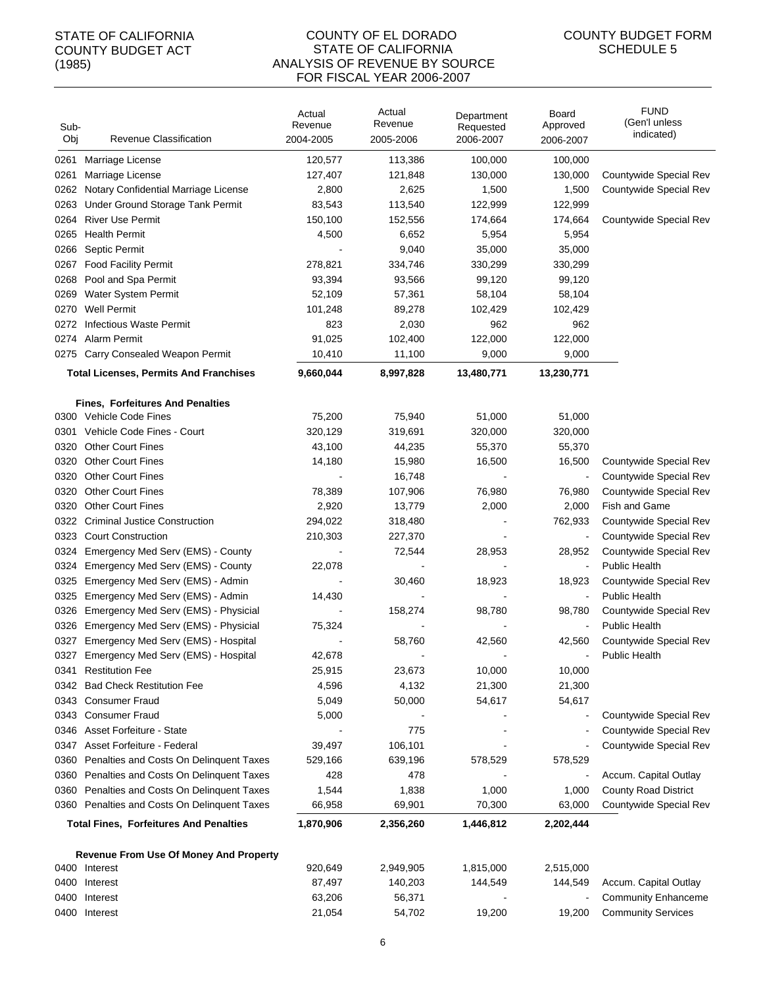#### COUNTY OF EL DORADO STATE OF CALIFORNIA ANALYSIS OF REVENUE BY SOURCE FOR FISCAL YEAR 2006-2007

| Sub-<br>Obj | Revenue Classification                                                                        | Actual<br>Revenue<br>2004-2005 | Actual<br>Revenue<br>2005-2006 | Department<br>Requested<br>2006-2007 | Board<br>Approved<br>2006-2007 | <b>FUND</b><br>(Gen'l unless<br>indicated) |
|-------------|-----------------------------------------------------------------------------------------------|--------------------------------|--------------------------------|--------------------------------------|--------------------------------|--------------------------------------------|
| 0261        | Marriage License                                                                              | 120,577                        | 113,386                        | 100,000                              | 100,000                        |                                            |
| 0261        | Marriage License                                                                              | 127,407                        | 121,848                        | 130,000                              | 130,000                        | Countywide Special Rev                     |
| 0262        | Notary Confidential Marriage License                                                          | 2,800                          | 2,625                          | 1,500                                | 1,500                          | Countywide Special Rev                     |
| 0263        | Under Ground Storage Tank Permit                                                              | 83,543                         | 113,540                        | 122,999                              | 122,999                        |                                            |
| 0264        | <b>River Use Permit</b>                                                                       | 150,100                        | 152,556                        | 174,664                              | 174,664                        | Countywide Special Rev                     |
|             | 0265 Health Permit                                                                            | 4,500                          | 6,652                          | 5,954                                | 5,954                          |                                            |
| 0266        | <b>Septic Permit</b>                                                                          |                                | 9,040                          | 35,000                               | 35,000                         |                                            |
| 0267        | <b>Food Facility Permit</b>                                                                   | 278,821                        | 334,746                        | 330,299                              | 330,299                        |                                            |
| 0268        | Pool and Spa Permit                                                                           | 93,394                         | 93,566                         | 99,120                               | 99,120                         |                                            |
| 0269        | <b>Water System Permit</b>                                                                    | 52,109                         | 57,361                         | 58,104                               | 58,104                         |                                            |
| 0270        | <b>Well Permit</b>                                                                            | 101,248                        | 89,278                         | 102,429                              | 102,429                        |                                            |
|             | 0272 Infectious Waste Permit                                                                  | 823                            | 2,030                          | 962                                  | 962                            |                                            |
|             | 0274 Alarm Permit                                                                             | 91,025                         | 102,400                        | 122,000                              | 122,000                        |                                            |
|             | 0275 Carry Consealed Weapon Permit                                                            | 10,410                         | 11,100                         | 9,000                                | 9,000                          |                                            |
|             | <b>Total Licenses, Permits And Franchises</b>                                                 | 9,660,044                      | 8,997,828                      | 13,480,771                           | 13,230,771                     |                                            |
|             | <b>Fines, Forfeitures And Penalties</b>                                                       |                                |                                |                                      |                                |                                            |
|             | 0300 Vehicle Code Fines                                                                       | 75,200                         | 75,940                         | 51,000                               | 51,000                         |                                            |
|             | 0301 Vehicle Code Fines - Court                                                               | 320,129                        | 319,691                        | 320,000                              | 320,000                        |                                            |
|             | 0320 Other Court Fines                                                                        | 43,100                         | 44,235                         | 55,370                               | 55,370                         |                                            |
|             | 0320 Other Court Fines                                                                        | 14,180                         | 15,980                         | 16,500                               | 16,500                         | Countywide Special Rev                     |
| 0320        | <b>Other Court Fines</b>                                                                      |                                | 16,748                         |                                      | $\blacksquare$                 | Countywide Special Rev                     |
| 0320        | <b>Other Court Fines</b>                                                                      | 78,389                         | 107,906                        | 76,980                               | 76,980                         | Countywide Special Rev                     |
| 0320        | <b>Other Court Fines</b>                                                                      | 2,920                          | 13,779                         | 2,000                                | 2,000                          | Fish and Game                              |
|             | 0322 Criminal Justice Construction                                                            | 294,022                        | 318,480                        |                                      | 762,933                        | Countywide Special Rev                     |
|             | 0323 Court Construction                                                                       | 210,303                        | 227,370                        |                                      | $\blacksquare$                 | Countywide Special Rev                     |
|             | 0324 Emergency Med Serv (EMS) - County                                                        |                                | 72,544                         | 28,953                               | 28,952                         | Countywide Special Rev                     |
|             | 0324 Emergency Med Serv (EMS) - County                                                        | 22,078                         |                                |                                      | $\blacksquare$                 | Public Health                              |
|             | 0325 Emergency Med Serv (EMS) - Admin                                                         |                                | 30,460                         | 18,923                               | 18,923                         | Countywide Special Rev                     |
|             | 0325 Emergency Med Serv (EMS) - Admin                                                         | 14,430                         |                                |                                      |                                | <b>Public Health</b>                       |
|             | 0326 Emergency Med Serv (EMS) - Physicial                                                     |                                | 158,274                        | 98,780                               | 98,780                         | Countywide Special Rev                     |
|             | 0326 Emergency Med Serv (EMS) - Physicial                                                     | 75,324                         |                                |                                      |                                | <b>Public Health</b>                       |
|             | 0327 Emergency Med Serv (EMS) - Hospital                                                      |                                | 58,760                         | 42,560                               | 42,560                         | Countywide Special Rev                     |
|             | 0327 Emergency Med Serv (EMS) - Hospital                                                      | 42.678                         |                                |                                      |                                | <b>Public Health</b>                       |
|             | 0341 Restitution Fee                                                                          | 25,915                         | 23,673                         | 10,000                               | 10,000                         |                                            |
|             | 0342 Bad Check Restitution Fee                                                                | 4,596                          | 4,132                          | 21,300                               | 21,300                         |                                            |
|             | 0343 Consumer Fraud                                                                           | 5,049                          | 50,000                         | 54,617                               | 54,617                         |                                            |
|             | 0343 Consumer Fraud                                                                           | 5,000                          |                                |                                      |                                | Countywide Special Rev                     |
|             | 0346 Asset Forfeiture - State                                                                 |                                | 775                            |                                      |                                | Countywide Special Rev                     |
|             | 0347 Asset Forfeiture - Federal                                                               | 39,497                         | 106,101                        |                                      |                                | Countywide Special Rev                     |
|             | 0360 Penalties and Costs On Delinquent Taxes                                                  | 529,166                        | 639,196                        | 578,529                              | 578,529                        |                                            |
|             | 0360 Penalties and Costs On Delinquent Taxes                                                  | 428                            | 478                            |                                      |                                | Accum. Capital Outlay                      |
|             | 0360 Penalties and Costs On Delinquent Taxes                                                  | 1,544                          | 1,838                          | 1,000                                | 1,000                          | <b>County Road District</b>                |
|             | 0360 Penalties and Costs On Delinquent Taxes<br><b>Total Fines, Forfeitures And Penalties</b> | 66,958<br>1,870,906            | 69,901<br>2,356,260            | 70,300<br>1,446,812                  | 63,000<br>2,202,444            | Countywide Special Rev                     |
|             |                                                                                               |                                |                                |                                      |                                |                                            |
|             | <b>Revenue From Use Of Money And Property</b>                                                 |                                |                                |                                      |                                |                                            |
|             | 0400 Interest                                                                                 | 920,649                        | 2,949,905                      | 1,815,000                            | 2,515,000                      |                                            |
| 0400        | Interest                                                                                      | 87,497                         | 140,203                        | 144,549                              | 144,549                        | Accum. Capital Outlay                      |
| 0400        | Interest                                                                                      | 63,206                         | 56,371                         |                                      |                                | <b>Community Enhanceme</b>                 |
| 0400        | Interest                                                                                      | 21,054                         | 54,702                         | 19,200                               | 19,200                         | <b>Community Services</b>                  |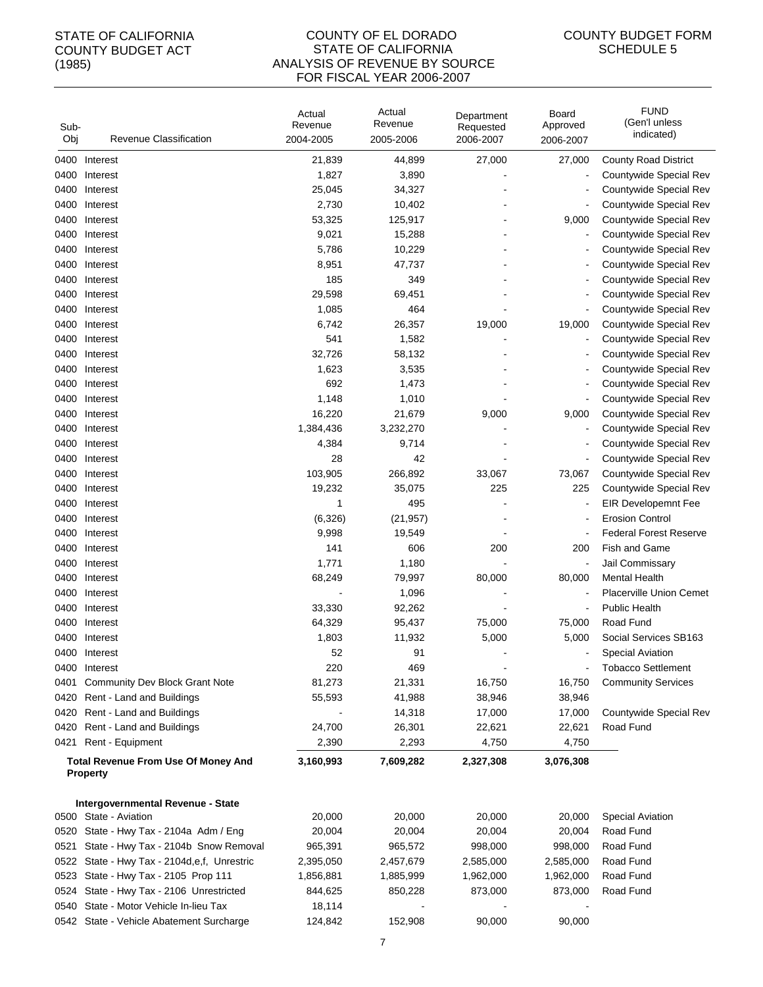#### COUNTY OF EL DORADO STATE OF CALIFORNIA ANALYSIS OF REVENUE BY SOURCE FOR FISCAL YEAR 2006-2007

| Sub-<br>Obj | <b>Revenue Classification</b>                                 | Actual<br>Revenue<br>2004-2005 | Actual<br>Revenue<br>2005-2006 | Department<br>Requested<br>2006-2007 | Board<br>Approved<br>2006-2007 | <b>FUND</b><br>(Gen'l unless<br>indicated) |
|-------------|---------------------------------------------------------------|--------------------------------|--------------------------------|--------------------------------------|--------------------------------|--------------------------------------------|
| 0400        | Interest                                                      | 21,839                         | 44,899                         | 27,000                               | 27,000                         | <b>County Road District</b>                |
| 0400        | Interest                                                      | 1,827                          | 3,890                          |                                      |                                | Countywide Special Rev                     |
| 0400        | Interest                                                      | 25,045                         | 34,327                         |                                      |                                | Countywide Special Rev                     |
| 0400        | Interest                                                      | 2,730                          | 10,402                         |                                      |                                | Countywide Special Rev                     |
| 0400        | Interest                                                      | 53,325                         | 125,917                        |                                      | 9,000                          | Countywide Special Rev                     |
| 0400        | Interest                                                      | 9,021                          | 15,288                         |                                      |                                | Countywide Special Rev                     |
| 0400        | Interest                                                      | 5,786                          | 10,229                         |                                      |                                | Countywide Special Rev                     |
| 0400        | Interest                                                      | 8,951                          | 47,737                         |                                      |                                | Countywide Special Rev                     |
| 0400        | Interest                                                      | 185                            | 349                            |                                      |                                | Countywide Special Rev                     |
| 0400        | Interest                                                      | 29,598                         | 69,451                         |                                      |                                | Countywide Special Rev                     |
| 0400        | Interest                                                      | 1,085                          | 464                            |                                      |                                | Countywide Special Rev                     |
| 0400        | Interest                                                      | 6,742                          | 26,357                         | 19,000                               | 19,000                         | Countywide Special Rev                     |
| 0400        | Interest                                                      | 541                            | 1,582                          |                                      | $\overline{\phantom{a}}$       | Countywide Special Rev                     |
| 0400        | Interest                                                      | 32,726                         | 58,132                         |                                      |                                | Countywide Special Rev                     |
| 0400        | Interest                                                      | 1,623                          | 3,535                          |                                      |                                | Countywide Special Rev                     |
| 0400        | Interest                                                      | 692                            | 1,473                          |                                      |                                | Countywide Special Rev                     |
| 0400        | Interest                                                      | 1,148                          | 1,010                          |                                      |                                | Countywide Special Rev                     |
| 0400        | Interest                                                      | 16,220                         | 21,679                         | 9,000                                | 9,000                          | Countywide Special Rev                     |
| 0400        | Interest                                                      | 1,384,436                      | 3,232,270                      |                                      | $\overline{\phantom{a}}$       | Countywide Special Rev                     |
| 0400        | Interest                                                      | 4,384                          | 9,714                          |                                      |                                | Countywide Special Rev                     |
| 0400        | Interest                                                      | 28                             | 42                             |                                      | $\overline{\phantom{a}}$       | Countywide Special Rev                     |
| 0400        | Interest                                                      | 103,905                        | 266,892                        | 33,067                               | 73,067                         | Countywide Special Rev                     |
| 0400        | Interest                                                      | 19,232                         | 35,075                         | 225                                  | 225                            | Countywide Special Rev                     |
| 0400        | Interest                                                      | 1                              | 495                            |                                      |                                | <b>EIR Developemnt Fee</b>                 |
| 0400        | Interest                                                      | (6,326)                        | (21, 957)                      |                                      |                                | <b>Erosion Control</b>                     |
| 0400        | Interest                                                      | 9,998                          | 19,549                         |                                      |                                | <b>Federal Forest Reserve</b>              |
| 0400        | Interest                                                      | 141                            | 606                            | 200                                  | 200                            | Fish and Game                              |
| 0400        | Interest                                                      | 1,771                          | 1,180                          |                                      | $\overline{\phantom{a}}$       | Jail Commissary                            |
| 0400        | Interest                                                      | 68,249                         | 79,997                         | 80,000                               | 80,000                         | Mental Health                              |
| 0400        | Interest                                                      |                                | 1,096                          |                                      |                                | Placerville Union Cemet                    |
| 0400        | Interest                                                      | 33,330                         | 92,262                         |                                      | $\overline{\phantom{a}}$       | <b>Public Health</b>                       |
| 0400        | Interest                                                      | 64,329                         | 95,437                         | 75,000                               | 75,000                         | Road Fund                                  |
| 0400        | Interest                                                      | 1,803                          | 11,932                         | 5,000                                | 5,000                          | Social Services SB163                      |
| 0400        | Interest                                                      | 52                             | 91                             |                                      |                                | <b>Special Aviation</b>                    |
|             | 0400 Interest                                                 | 220                            | 469                            |                                      |                                | <b>Tobacco Settlement</b>                  |
| 0401        | Community Dev Block Grant Note                                | 81,273                         | 21,331                         | 16,750                               | 16,750                         | <b>Community Services</b>                  |
| 0420        | Rent - Land and Buildings                                     | 55,593                         | 41,988                         | 38,946                               | 38,946                         |                                            |
| 0420        | Rent - Land and Buildings                                     |                                | 14,318                         | 17,000                               | 17,000                         | Countywide Special Rev                     |
| 0420        | Rent - Land and Buildings                                     | 24,700                         | 26,301                         | 22,621                               | 22,621                         | Road Fund                                  |
| 0421        | Rent - Equipment                                              | 2,390                          | 2,293                          | 4,750                                | 4,750                          |                                            |
|             | <b>Total Revenue From Use Of Money And</b><br><b>Property</b> | 3,160,993                      | 7,609,282                      | 2,327,308                            | 3,076,308                      |                                            |
|             |                                                               |                                |                                |                                      |                                |                                            |
|             | Intergovernmental Revenue - State<br>0500 State - Aviation    | 20,000                         | 20,000                         | 20,000                               | 20,000                         | <b>Special Aviation</b>                    |
|             | 0520 State - Hwy Tax - 2104a Adm / Eng                        | 20,004                         | 20,004                         | 20,004                               |                                | Road Fund                                  |
| 0521        | State - Hwy Tax - 2104b Snow Removal                          | 965,391                        | 965,572                        | 998,000                              | 20,004<br>998,000              | Road Fund                                  |
| 0522        | State - Hwy Tax - 2104d, e, f, Unrestric                      | 2,395,050                      | 2,457,679                      | 2,585,000                            | 2,585,000                      | Road Fund                                  |
| 0523        | State - Hwy Tax - 2105 Prop 111                               | 1,856,881                      |                                | 1,962,000                            | 1,962,000                      | Road Fund                                  |
| 0524        | State - Hwy Tax - 2106 Unrestricted                           | 844,625                        | 1,885,999                      |                                      | 873,000                        | Road Fund                                  |
| 0540        | State - Motor Vehicle In-lieu Tax                             | 18,114                         | 850,228                        | 873,000                              |                                |                                            |
|             | 0542 State - Vehicle Abatement Surcharge                      | 124,842                        | 152,908                        | 90,000                               | 90,000                         |                                            |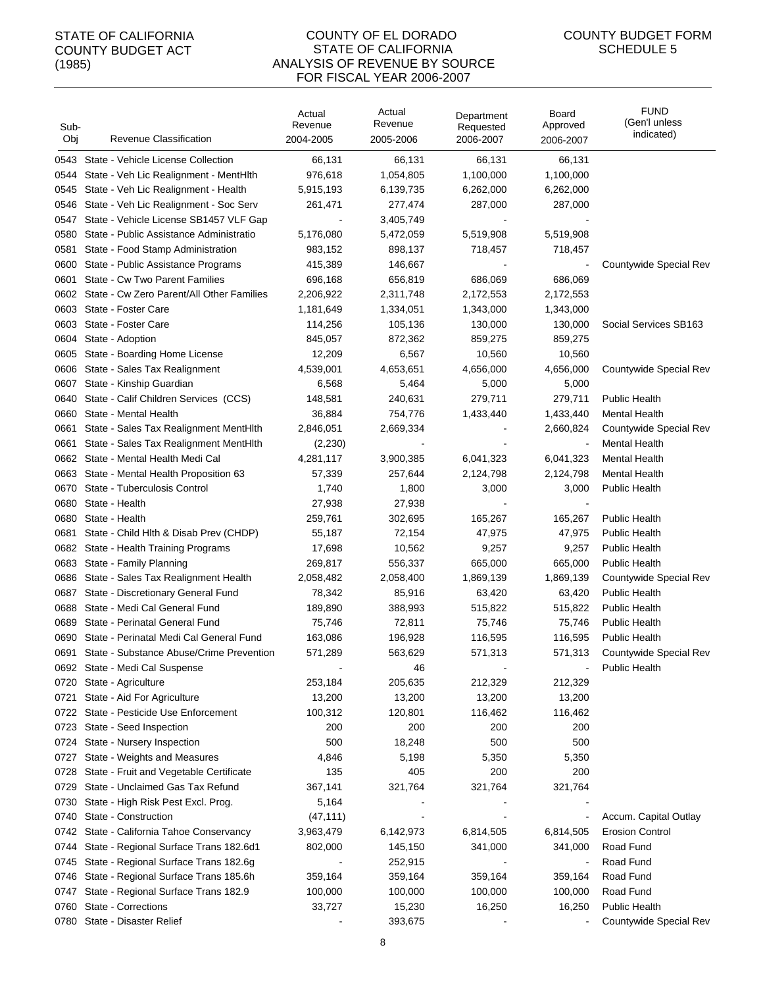#### COUNTY OF EL DORADO STATE OF CALIFORNIA ANALYSIS OF REVENUE BY SOURCE FOR FISCAL YEAR 2006-2007

| Sub-<br>Obj | Revenue Classification                    | Actual<br>Revenue<br>2004-2005 | Actual<br>Revenue<br>2005-2006 | Department<br>Requested<br>2006-2007 | Board<br>Approved<br>2006-2007 | <b>FUND</b><br>(Gen'l unless<br>indicated) |
|-------------|-------------------------------------------|--------------------------------|--------------------------------|--------------------------------------|--------------------------------|--------------------------------------------|
|             | 0543 State - Vehicle License Collection   | 66,131                         | 66,131                         | 66,131                               | 66,131                         |                                            |
| 0544        | State - Veh Lic Realignment - MentHith    | 976,618                        | 1,054,805                      | 1,100,000                            | 1,100,000                      |                                            |
| 0545        | State - Veh Lic Realignment - Health      | 5,915,193                      | 6,139,735                      | 6,262,000                            | 6,262,000                      |                                            |
| 0546        | State - Veh Lic Realignment - Soc Serv    | 261,471                        | 277,474                        | 287,000                              | 287,000                        |                                            |
| 0547        | State - Vehicle License SB1457 VLF Gap    |                                | 3,405,749                      |                                      |                                |                                            |
| 0580        | State - Public Assistance Administratio   | 5,176,080                      | 5,472,059                      | 5,519,908                            | 5,519,908                      |                                            |
| 0581        | State - Food Stamp Administration         | 983,152                        | 898,137                        | 718,457                              | 718,457                        |                                            |
| 0600        | State - Public Assistance Programs        | 415,389                        | 146,667                        |                                      |                                | Countywide Special Rev                     |
| 0601        | State - Cw Two Parent Families            | 696,168                        | 656,819                        | 686,069                              | 686,069                        |                                            |
| 0602        | State - Cw Zero Parent/All Other Families | 2,206,922                      | 2,311,748                      | 2,172,553                            | 2,172,553                      |                                            |
| 0603        | State - Foster Care                       | 1,181,649                      | 1,334,051                      | 1,343,000                            | 1,343,000                      |                                            |
| 0603        | State - Foster Care                       | 114,256                        | 105,136                        | 130,000                              | 130,000                        | Social Services SB163                      |
| 0604        | State - Adoption                          | 845,057                        | 872,362                        | 859,275                              | 859,275                        |                                            |
| 0605        | State - Boarding Home License             | 12,209                         | 6,567                          | 10,560                               | 10,560                         |                                            |
| 0606        | State - Sales Tax Realignment             | 4,539,001                      | 4,653,651                      | 4,656,000                            | 4,656,000                      | Countywide Special Rev                     |
| 0607        | State - Kinship Guardian                  | 6,568                          | 5,464                          | 5,000                                | 5,000                          |                                            |
| 0640        | State - Calif Children Services (CCS)     | 148,581                        | 240,631                        | 279,711                              | 279,711                        | <b>Public Health</b>                       |
| 0660        | State - Mental Health                     | 36,884                         | 754,776                        | 1,433,440                            | 1,433,440                      | <b>Mental Health</b>                       |
| 0661        | State - Sales Tax Realignment MentHlth    | 2,846,051                      | 2,669,334                      |                                      | 2,660,824                      | Countywide Special Rev                     |
| 0661        | State - Sales Tax Realignment MentHith    | (2,230)                        |                                |                                      |                                | <b>Mental Health</b>                       |
| 0662        | State - Mental Health Medi Cal            | 4,281,117                      | 3,900,385                      | 6,041,323                            | 6,041,323                      | <b>Mental Health</b>                       |
| 0663        | State - Mental Health Proposition 63      | 57,339                         | 257,644                        | 2,124,798                            | 2,124,798                      | <b>Mental Health</b>                       |
| 0670        | State - Tuberculosis Control              | 1,740                          | 1,800                          | 3,000                                | 3,000                          | <b>Public Health</b>                       |
| 0680        | State - Health                            | 27,938                         | 27,938                         |                                      |                                |                                            |
| 0680        | State - Health                            | 259,761                        | 302,695                        | 165,267                              | 165,267                        | <b>Public Health</b>                       |
| 0681        | State - Child Hlth & Disab Prev (CHDP)    | 55,187                         | 72,154                         | 47,975                               | 47,975                         | <b>Public Health</b>                       |
| 0682        | State - Health Training Programs          | 17,698                         | 10,562                         | 9,257                                | 9,257                          | <b>Public Health</b>                       |
| 0683        | State - Family Planning                   | 269,817                        | 556,337                        | 665,000                              | 665,000                        | <b>Public Health</b>                       |
| 0686        | State - Sales Tax Realignment Health      | 2,058,482                      | 2,058,400                      | 1,869,139                            | 1,869,139                      | Countywide Special Rev                     |
| 0687        | State - Discretionary General Fund        | 78,342                         | 85,916                         | 63,420                               | 63,420                         | <b>Public Health</b>                       |
| 0688        | State - Medi Cal General Fund             | 189,890                        | 388,993                        | 515,822                              | 515,822                        | <b>Public Health</b>                       |
| 0689        | State - Perinatal General Fund            | 75,746                         | 72,811                         | 75,746                               | 75,746                         | <b>Public Health</b>                       |
| 0690        | State - Perinatal Medi Cal General Fund   | 163,086                        | 196,928                        | 116,595                              | 116,595                        | <b>Public Health</b>                       |
| 0691        | State - Substance Abuse/Crime Prevention  | 571,289                        | 563,629                        | 571,313                              | 571,313                        | Countywide Special Rev                     |
|             | 0692 State - Medi Cal Suspense            |                                | 46                             |                                      |                                | <b>Public Health</b>                       |
| 0720        | State - Agriculture                       | 253,184                        | 205,635                        | 212,329                              | 212,329                        |                                            |
| 0721        | State - Aid For Agriculture               | 13,200                         | 13,200                         | 13,200                               | 13,200                         |                                            |
| 0722        | State - Pesticide Use Enforcement         | 100,312                        | 120,801                        | 116,462                              | 116,462                        |                                            |
| 0723        | State - Seed Inspection                   | 200                            | 200                            | 200                                  | 200                            |                                            |
| 0724        | State - Nursery Inspection                | 500                            | 18,248                         | 500                                  | 500                            |                                            |
| 0727        | State - Weights and Measures              | 4,846                          | 5,198                          | 5,350                                | 5,350                          |                                            |
| 0728        | State - Fruit and Vegetable Certificate   | 135                            | 405                            | 200                                  | 200                            |                                            |
| 0729        | State - Unclaimed Gas Tax Refund          | 367,141                        | 321,764                        | 321,764                              | 321,764                        |                                            |
| 0730        | State - High Risk Pest Excl. Prog.        | 5,164                          |                                |                                      |                                |                                            |
| 0740        | State - Construction                      | (47, 111)                      |                                |                                      |                                | Accum. Capital Outlay                      |
| 0742        | State - California Tahoe Conservancy      | 3,963,479                      | 6,142,973                      | 6,814,505                            | 6,814,505                      | <b>Erosion Control</b>                     |
| 0744        | State - Regional Surface Trans 182.6d1    | 802,000                        | 145,150                        | 341,000                              | 341,000                        | Road Fund                                  |
| 0745        | State - Regional Surface Trans 182.6g     |                                | 252,915                        |                                      |                                | Road Fund                                  |
| 0746        | State - Regional Surface Trans 185.6h     | 359,164                        | 359,164                        | 359,164                              | 359,164                        | Road Fund                                  |
| 0747        | State - Regional Surface Trans 182.9      | 100,000                        | 100,000                        | 100,000                              | 100,000                        | Road Fund                                  |
| 0760        | State - Corrections                       | 33,727                         | 15,230                         | 16,250                               | 16,250                         | <b>Public Health</b>                       |
|             | 0780 State - Disaster Relief              |                                | 393,675                        |                                      |                                | Countywide Special Rev                     |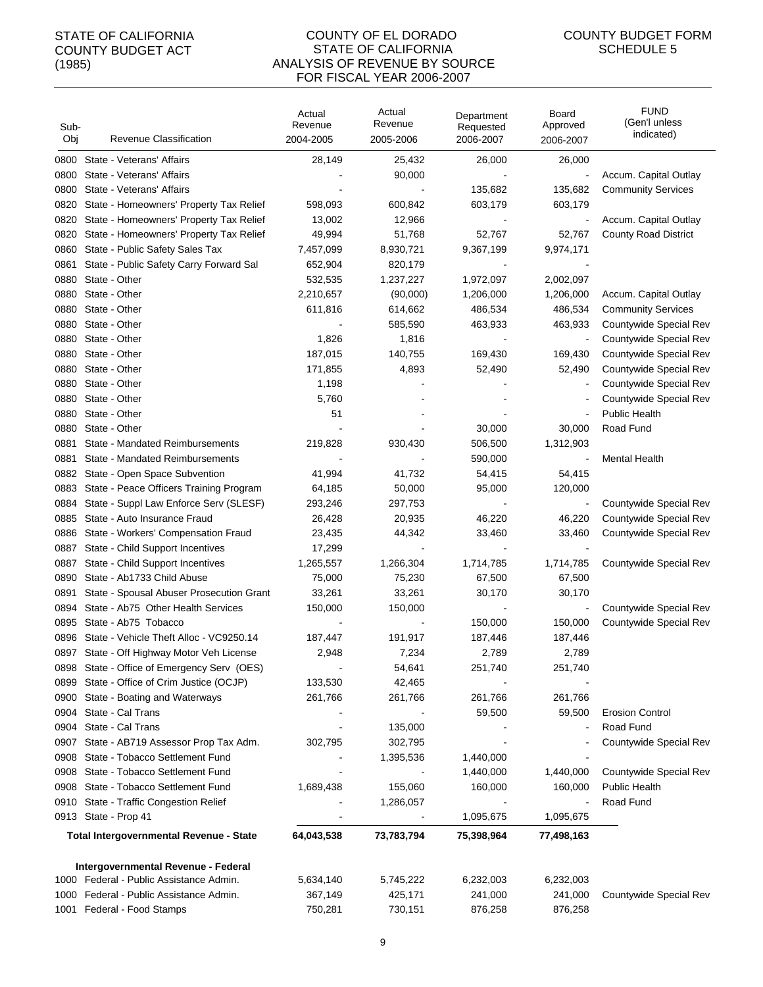#### COUNTY OF EL DORADO STATE OF CALIFORNIA ANALYSIS OF REVENUE BY SOURCE FOR FISCAL YEAR 2006-2007

| Sub-<br>Obj | Revenue Classification                         | Actual<br>Revenue<br>2004-2005 | Actual<br>Revenue<br>2005-2006 | Department<br>Requested<br>2006-2007 | Board<br>Approved<br>2006-2007 | <b>FUND</b><br>(Gen'l unless<br>indicated) |
|-------------|------------------------------------------------|--------------------------------|--------------------------------|--------------------------------------|--------------------------------|--------------------------------------------|
| 0800        | State - Veterans' Affairs                      | 28,149                         | 25,432                         | 26,000                               | 26,000                         |                                            |
| 0800        | State - Veterans' Affairs                      |                                | 90,000                         |                                      |                                | Accum. Capital Outlay                      |
| 0800        | State - Veterans' Affairs                      |                                |                                | 135,682                              | 135,682                        | <b>Community Services</b>                  |
| 0820        | State - Homeowners' Property Tax Relief        | 598,093                        | 600,842                        | 603,179                              | 603,179                        |                                            |
| 0820        | State - Homeowners' Property Tax Relief        | 13,002                         | 12,966                         |                                      |                                | Accum. Capital Outlay                      |
| 0820        | State - Homeowners' Property Tax Relief        | 49,994                         | 51,768                         | 52,767                               | 52,767                         | <b>County Road District</b>                |
| 0860        | State - Public Safety Sales Tax                | 7,457,099                      | 8,930,721                      | 9,367,199                            | 9,974,171                      |                                            |
| 0861        | State - Public Safety Carry Forward Sal        | 652,904                        | 820,179                        |                                      |                                |                                            |
| 0880        | State - Other                                  | 532,535                        | 1,237,227                      | 1,972,097                            | 2,002,097                      |                                            |
| 0880        | State - Other                                  | 2,210,657                      | (90,000)                       | 1,206,000                            | 1,206,000                      | Accum. Capital Outlay                      |
| 0880        | State - Other                                  | 611,816                        | 614,662                        | 486,534                              | 486,534                        | <b>Community Services</b>                  |
| 0880        | State - Other                                  |                                | 585,590                        | 463,933                              | 463,933                        | Countywide Special Rev                     |
| 0880        | State - Other                                  | 1,826                          | 1,816                          |                                      | $\blacksquare$                 | Countywide Special Rev                     |
| 0880        | State - Other                                  | 187,015                        | 140,755                        | 169,430                              | 169,430                        | Countywide Special Rev                     |
| 0880        | State - Other                                  | 171,855                        | 4,893                          | 52,490                               | 52,490                         | Countywide Special Rev                     |
| 0880        | State - Other                                  | 1,198                          |                                |                                      | $\overline{\phantom{a}}$       | Countywide Special Rev                     |
| 0880        | State - Other                                  | 5,760                          |                                |                                      |                                | Countywide Special Rev                     |
| 0880        | State - Other                                  | 51                             |                                |                                      | $\overline{\phantom{a}}$       | <b>Public Health</b>                       |
| 0880        | State - Other                                  |                                |                                | 30,000                               | 30,000                         | Road Fund                                  |
| 0881        | State - Mandated Reimbursements                | 219,828                        | 930,430                        | 506,500                              | 1,312,903                      |                                            |
| 0881        | State - Mandated Reimbursements                |                                |                                | 590,000                              |                                | <b>Mental Health</b>                       |
| 0882        | State - Open Space Subvention                  | 41,994                         | 41,732                         | 54,415                               | 54,415                         |                                            |
| 0883        | State - Peace Officers Training Program        | 64,185                         | 50,000                         | 95,000                               | 120,000                        |                                            |
| 0884        | State - Suppl Law Enforce Serv (SLESF)         | 293,246                        | 297,753                        |                                      | $\blacksquare$                 | Countywide Special Rev                     |
| 0885        | State - Auto Insurance Fraud                   | 26,428                         | 20,935                         | 46,220                               | 46,220                         | Countywide Special Rev                     |
| 0886        | State - Workers' Compensation Fraud            | 23,435                         | 44,342                         | 33,460                               | 33,460                         | Countywide Special Rev                     |
| 0887        | State - Child Support Incentives               | 17,299                         |                                |                                      |                                |                                            |
| 0887        | State - Child Support Incentives               | 1,265,557                      | 1,266,304                      | 1,714,785                            | 1,714,785                      | Countywide Special Rev                     |
| 0890        | State - Ab1733 Child Abuse                     | 75,000                         | 75,230                         | 67,500                               | 67,500                         |                                            |
| 0891        | State - Spousal Abuser Prosecution Grant       | 33,261                         | 33,261                         | 30,170                               | 30,170                         |                                            |
| 0894        | State - Ab75 Other Health Services             | 150,000                        | 150,000                        |                                      | $\overline{\phantom{a}}$       | Countywide Special Rev                     |
| 0895        | State - Ab75 Tobacco                           |                                |                                | 150,000                              | 150,000                        | Countywide Special Rev                     |
| 0896        | State - Vehicle Theft Alloc - VC9250.14        | 187,447                        | 191,917                        | 187,446                              | 187,446                        |                                            |
|             | 0897 State - Off Highway Motor Veh License     | 2,948                          | 7,234                          | 2.789                                | 2,789                          |                                            |
|             | 0898 State - Office of Emergency Serv (OES)    |                                | 54,641                         | 251,740                              | 251,740                        |                                            |
| 0899        | State - Office of Crim Justice (OCJP)          | 133,530                        | 42,465                         |                                      |                                |                                            |
| 0900        | State - Boating and Waterways                  | 261,766                        | 261,766                        | 261,766                              | 261,766                        |                                            |
| 0904        | State - Cal Trans                              |                                |                                | 59,500                               | 59,500                         | <b>Erosion Control</b>                     |
| 0904        | State - Cal Trans                              |                                | 135,000                        |                                      |                                | Road Fund                                  |
| 0907        | State - AB719 Assessor Prop Tax Adm.           | 302,795                        | 302,795                        |                                      |                                | Countywide Special Rev                     |
| 0908        | State - Tobacco Settlement Fund                |                                | 1,395,536                      | 1,440,000                            |                                |                                            |
| 0908        | State - Tobacco Settlement Fund                |                                |                                | 1,440,000                            | 1,440,000                      | Countywide Special Rev                     |
| 0908        | State - Tobacco Settlement Fund                | 1,689,438                      | 155,060                        | 160,000                              | 160,000                        | <b>Public Health</b>                       |
|             | 0910 State - Traffic Congestion Relief         |                                | 1,286,057                      |                                      |                                | Road Fund                                  |
|             | 0913 State - Prop 41                           |                                |                                | 1,095,675                            | 1,095,675                      |                                            |
|             | <b>Total Intergovernmental Revenue - State</b> | 64,043,538                     | 73,783,794                     | 75,398,964                           | 77,498,163                     |                                            |
|             | Intergovernmental Revenue - Federal            |                                |                                |                                      |                                |                                            |
|             | 1000 Federal - Public Assistance Admin.        | 5,634,140                      | 5,745,222                      | 6,232,003                            | 6,232,003                      |                                            |
|             | 1000 Federal - Public Assistance Admin.        | 367,149                        | 425,171                        | 241,000                              | 241,000                        | Countywide Special Rev                     |
|             | 1001 Federal - Food Stamps                     | 750,281                        | 730,151                        | 876,258                              | 876,258                        |                                            |
|             |                                                |                                |                                |                                      |                                |                                            |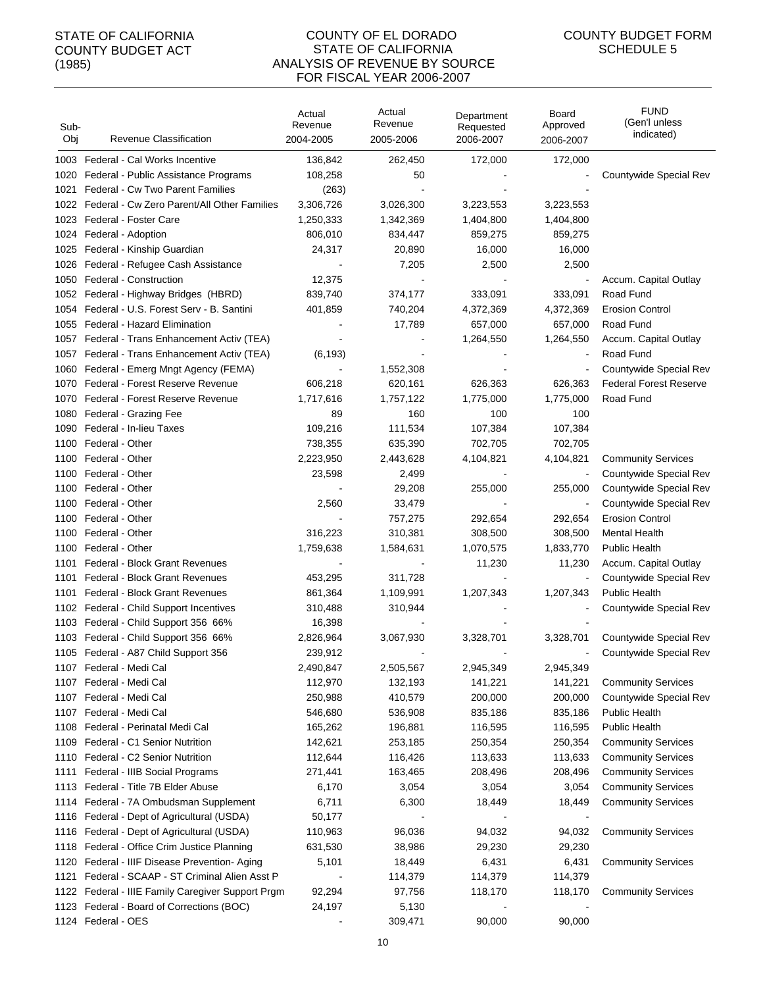#### COUNTY OF EL DORADO STATE OF CALIFORNIA ANALYSIS OF REVENUE BY SOURCE FOR FISCAL YEAR 2006-2007

| Sub-<br>Obj | Revenue Classification                                                       | Actual<br>Revenue<br>2004-2005 | Actual<br>Revenue<br>2005-2006 | Department<br>Requested<br>2006-2007 | Board<br>Approved<br>2006-2007 | <b>FUND</b><br>(Gen'l unless<br>indicated) |
|-------------|------------------------------------------------------------------------------|--------------------------------|--------------------------------|--------------------------------------|--------------------------------|--------------------------------------------|
|             | 1003 Federal - Cal Works Incentive                                           |                                |                                |                                      |                                |                                            |
| 1020        | Federal - Public Assistance Programs                                         | 136,842<br>108,258             | 262,450<br>50                  | 172,000                              | 172,000                        | Countywide Special Rev                     |
| 1021        | Federal - Cw Two Parent Families                                             | (263)                          |                                |                                      |                                |                                            |
|             | 1022 Federal - Cw Zero Parent/All Other Families                             |                                |                                |                                      |                                |                                            |
|             | 1023 Federal - Foster Care                                                   | 3,306,726                      | 3,026,300                      | 3,223,553                            | 3,223,553                      |                                            |
|             |                                                                              | 1,250,333                      | 1,342,369                      | 1,404,800                            | 1,404,800                      |                                            |
|             | 1024 Federal - Adoption                                                      | 806,010                        | 834,447                        | 859,275                              | 859,275                        |                                            |
| 1025        | Federal - Kinship Guardian                                                   | 24,317                         | 20,890                         | 16,000                               | 16,000                         |                                            |
|             | 1026 Federal - Refugee Cash Assistance<br>1050 Federal - Construction        |                                | 7,205                          | 2,500                                | 2,500                          |                                            |
|             |                                                                              | 12,375<br>839,740              |                                |                                      |                                | Accum. Capital Outlay<br>Road Fund         |
|             | 1052 Federal - Highway Bridges (HBRD)                                        |                                | 374,177                        | 333,091                              | 333,091                        | <b>Erosion Control</b>                     |
|             | 1054 Federal - U.S. Forest Serv - B. Santini                                 | 401,859                        | 740,204<br>17,789              | 4,372,369                            | 4,372,369                      | Road Fund                                  |
|             | 1055 Federal - Hazard Elimination<br>Federal - Trans Enhancement Activ (TEA) |                                |                                | 657,000                              | 657,000                        |                                            |
| 1057        |                                                                              |                                |                                | 1,264,550                            | 1,264,550                      | Accum. Capital Outlay<br>Road Fund         |
| 1057        | Federal - Trans Enhancement Activ (TEA)                                      | (6, 193)                       |                                |                                      | $\blacksquare$                 |                                            |
| 1060        | Federal - Emerg Mngt Agency (FEMA)                                           |                                | 1,552,308                      |                                      |                                | Countywide Special Rev                     |
| 1070        | Federal - Forest Reserve Revenue                                             | 606,218                        | 620,161                        | 626,363                              | 626,363                        | <b>Federal Forest Reserve</b>              |
| 1070        | Federal - Forest Reserve Revenue                                             | 1,717,616                      | 1,757,122                      | 1,775,000                            | 1,775,000                      | Road Fund                                  |
| 1080        | Federal - Grazing Fee                                                        | 89                             | 160                            | 100                                  | 100                            |                                            |
| 1090        | Federal - In-lieu Taxes                                                      | 109,216                        | 111,534                        | 107,384                              | 107,384                        |                                            |
|             | 1100 Federal - Other                                                         | 738,355                        | 635,390                        | 702,705                              | 702,705                        |                                            |
|             | 1100 Federal - Other                                                         | 2,223,950                      | 2,443,628                      | 4,104,821                            | 4,104,821                      | <b>Community Services</b>                  |
|             | 1100 Federal - Other                                                         | 23,598                         | 2,499                          |                                      | $\blacksquare$                 | Countywide Special Rev                     |
|             | 1100 Federal - Other                                                         |                                | 29,208                         | 255,000                              | 255,000                        | Countywide Special Rev                     |
|             | 1100 Federal - Other                                                         | 2,560                          | 33,479                         |                                      |                                | Countywide Special Rev                     |
|             | 1100 Federal - Other                                                         |                                | 757,275                        | 292,654                              | 292,654                        | <b>Erosion Control</b>                     |
| 1100        | Federal - Other                                                              | 316,223                        | 310,381                        | 308,500                              | 308,500                        | <b>Mental Health</b>                       |
| 1100        | Federal - Other                                                              | 1,759,638                      | 1,584,631                      | 1,070,575                            | 1,833,770                      | <b>Public Health</b>                       |
| 1101        | Federal - Block Grant Revenues                                               |                                |                                | 11,230                               | 11,230                         | Accum. Capital Outlay                      |
| 1101        | Federal - Block Grant Revenues                                               | 453,295                        | 311,728                        |                                      | $\blacksquare$                 | Countywide Special Rev                     |
| 1101        | <b>Federal - Block Grant Revenues</b>                                        | 861,364                        | 1,109,991                      | 1,207,343                            | 1,207,343                      | <b>Public Health</b>                       |
|             | 1102 Federal - Child Support Incentives                                      | 310,488                        | 310,944                        |                                      |                                | Countywide Special Rev                     |
|             | 1103 Federal - Child Support 356 66%                                         | 16,398                         |                                |                                      |                                |                                            |
|             | 1103 Federal - Child Support 356 66%                                         | 2,826,964                      | 3,067,930                      | 3,328,701                            | 3,328,701                      | Countywide Special Rev                     |
|             | 1105 Federal - A87 Child Support 356                                         | 239,912                        |                                |                                      |                                | Countywide Special Rev                     |
|             | 1107 Federal - Medi Cal                                                      | 2,490,847                      | 2,505,567                      | 2,945,349                            | 2,945,349                      |                                            |
|             | 1107 Federal - Medi Cal                                                      | 112,970                        | 132,193                        | 141,221                              | 141,221                        | <b>Community Services</b>                  |
|             | 1107 Federal - Medi Cal                                                      | 250,988                        | 410,579                        | 200,000                              | 200,000                        | Countywide Special Rev                     |
| 1107        | Federal - Medi Cal                                                           | 546,680                        | 536,908                        | 835,186                              | 835,186                        | <b>Public Health</b>                       |
|             | 1108 Federal - Perinatal Medi Cal                                            | 165,262                        | 196,881                        | 116,595                              | 116,595                        | <b>Public Health</b>                       |
|             | 1109 Federal - C1 Senior Nutrition                                           | 142,621                        | 253,185                        | 250,354                              | 250,354                        | <b>Community Services</b>                  |
|             | 1110 Federal - C2 Senior Nutrition                                           | 112,644                        | 116,426                        | 113,633                              | 113,633                        | <b>Community Services</b>                  |
| 1111        | Federal - IIIB Social Programs                                               | 271,441                        | 163,465                        | 208,496                              | 208,496                        | <b>Community Services</b>                  |
|             | 1113 Federal - Title 7B Elder Abuse                                          | 6,170                          | 3,054                          | 3,054                                | 3,054                          | <b>Community Services</b>                  |
|             | 1114 Federal - 7A Ombudsman Supplement                                       | 6,711                          | 6,300                          | 18,449                               | 18,449                         | <b>Community Services</b>                  |
|             | 1116 Federal - Dept of Agricultural (USDA)                                   | 50,177                         |                                |                                      |                                |                                            |
|             | 1116 Federal - Dept of Agricultural (USDA)                                   | 110,963                        | 96,036                         | 94,032                               | 94,032                         | <b>Community Services</b>                  |
|             | 1118 Federal - Office Crim Justice Planning                                  | 631,530                        | 38,986                         | 29,230                               | 29,230                         |                                            |
|             | 1120 Federal - IIIF Disease Prevention- Aging                                | 5,101                          | 18,449                         | 6,431                                | 6,431                          | <b>Community Services</b>                  |
| 1121        | Federal - SCAAP - ST Criminal Alien Asst P                                   |                                | 114,379                        | 114,379                              | 114,379                        |                                            |
|             | 1122 Federal - IIIE Family Caregiver Support Prgm                            | 92,294                         | 97,756                         | 118,170                              | 118,170                        | <b>Community Services</b>                  |
|             | 1123 Federal - Board of Corrections (BOC)                                    | 24,197                         | 5,130                          |                                      |                                |                                            |
|             | 1124 Federal - OES                                                           |                                | 309,471                        | 90,000                               | 90,000                         |                                            |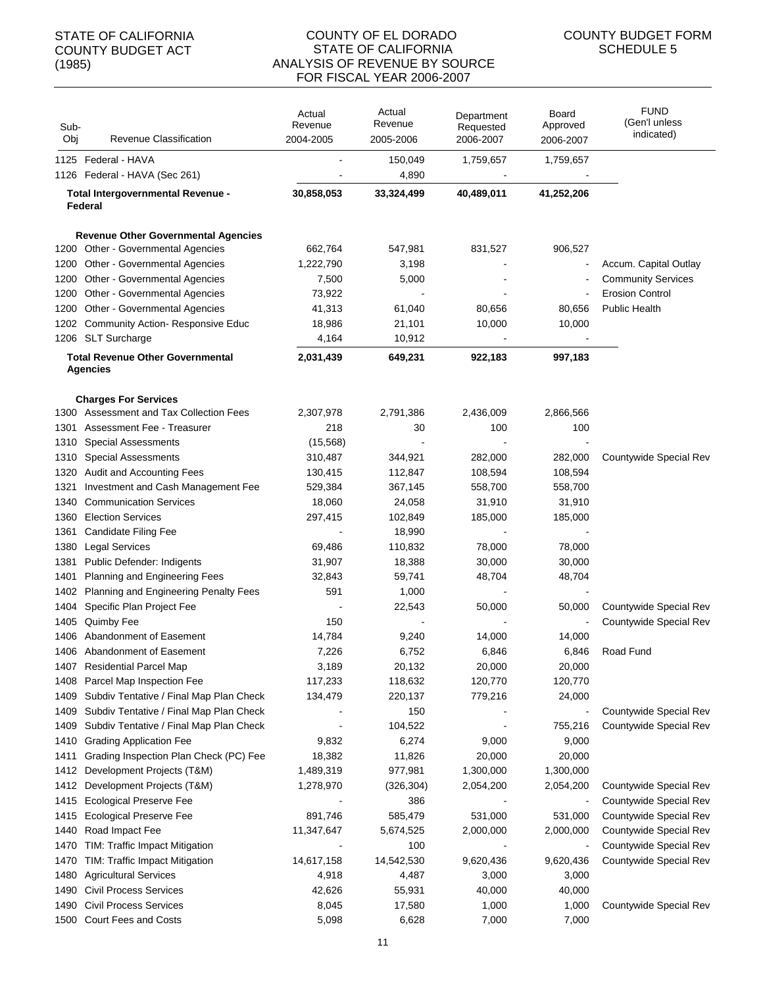#### COUNTY OF EL DORADO STATE OF CALIFORNIA ANALYSIS OF REVENUE BY SOURCE FOR FISCAL YEAR 2006-2007

| Sub-<br>Obj | Revenue Classification                                     | Actual<br>Revenue<br>2004-2005 | Actual<br>Revenue<br>2005-2006 | Department<br>Requested<br>2006-2007 | Board<br>Approved<br>2006-2007 | <b>FUND</b><br>(Gen'l unless<br>indicated) |
|-------------|------------------------------------------------------------|--------------------------------|--------------------------------|--------------------------------------|--------------------------------|--------------------------------------------|
|             | 1125 Federal - HAVA                                        |                                | 150,049                        | 1,759,657                            | 1,759,657                      |                                            |
|             | 1126 Federal - HAVA (Sec 261)                              |                                | 4,890                          |                                      |                                |                                            |
|             | Total Intergovernmental Revenue -                          | 30,858,053                     | 33,324,499                     | 40,489,011                           | 41,252,206                     |                                            |
|             | Federal                                                    |                                |                                |                                      |                                |                                            |
|             |                                                            |                                |                                |                                      |                                |                                            |
|             | <b>Revenue Other Governmental Agencies</b>                 |                                |                                |                                      |                                |                                            |
|             | 1200 Other - Governmental Agencies                         | 662,764                        | 547,981                        | 831,527                              | 906,527                        |                                            |
|             | 1200 Other - Governmental Agencies                         | 1,222,790                      | 3,198                          | L,                                   | $\blacksquare$                 | Accum. Capital Outlay                      |
|             | 1200 Other - Governmental Agencies                         | 7,500                          | 5,000                          |                                      | $\blacksquare$                 | <b>Community Services</b>                  |
| 1200        | Other - Governmental Agencies                              | 73,922                         |                                |                                      | $\blacksquare$                 | <b>Erosion Control</b>                     |
|             | 1200 Other - Governmental Agencies                         | 41,313                         | 61,040                         | 80,656                               | 80,656                         | <b>Public Health</b>                       |
|             | 1202 Community Action- Responsive Educ                     | 18,986                         | 21,101                         | 10,000                               | 10,000                         |                                            |
|             | 1206 SLT Surcharge                                         | 4,164                          | 10,912                         | $\blacksquare$                       | $\blacksquare$                 |                                            |
|             | <b>Total Revenue Other Governmental</b><br><b>Agencies</b> | 2,031,439                      | 649,231                        | 922,183                              | 997,183                        |                                            |
|             | <b>Charges For Services</b>                                |                                |                                |                                      |                                |                                            |
|             | 1300 Assessment and Tax Collection Fees                    | 2,307,978                      | 2,791,386                      | 2,436,009                            | 2,866,566                      |                                            |
|             | 1301 Assessment Fee - Treasurer                            | 218                            | 30                             | 100                                  | 100                            |                                            |
| 1310        | <b>Special Assessments</b>                                 | (15, 568)                      |                                |                                      |                                |                                            |
| 1310        | <b>Special Assessments</b>                                 | 310,487                        | 344,921                        | 282,000                              | 282,000                        | Countywide Special Rev                     |
|             | 1320 Audit and Accounting Fees                             | 130,415                        | 112,847                        | 108,594                              | 108,594                        |                                            |
| 1321        | Investment and Cash Management Fee                         | 529,384                        | 367,145                        | 558,700                              | 558,700                        |                                            |
| 1340        | <b>Communication Services</b>                              | 18,060                         | 24,058                         | 31,910                               | 31,910                         |                                            |
| 1360        | <b>Election Services</b>                                   | 297,415                        | 102,849                        | 185,000                              | 185,000                        |                                            |
| 1361        | Candidate Filing Fee                                       |                                | 18,990                         |                                      |                                |                                            |
| 1380        | <b>Legal Services</b>                                      | 69,486                         | 110,832                        | 78,000                               | 78,000                         |                                            |
| 1381        | Public Defender: Indigents                                 | 31,907                         | 18,388                         | 30,000                               | 30,000                         |                                            |
| 1401        | Planning and Engineering Fees                              | 32,843                         | 59,741                         | 48,704                               | 48,704                         |                                            |
| 1402        | Planning and Engineering Penalty Fees                      | 591                            | 1,000                          |                                      |                                |                                            |
| 1404        | Specific Plan Project Fee                                  |                                | 22,543                         | 50,000                               | 50,000                         | Countywide Special Rev                     |
| 1405        | <b>Quimby Fee</b>                                          | 150                            |                                |                                      |                                | Countywide Special Rev                     |
|             | 1406 Abandonment of Easement                               | 14,784                         | 9,240                          | 14,000                               | 14,000                         |                                            |
|             | 1406 Abandonment of Easement                               | 7,226                          | 6,752                          | 6,846                                | 6,846                          | Road Fund                                  |
| 1407        | <b>Residential Parcel Map</b>                              | 3,189                          | 20,132                         | 20,000                               | 20,000                         |                                            |
| 1408        | Parcel Map Inspection Fee                                  | 117,233                        | 118,632                        | 120,770                              | 120,770                        |                                            |
| 1409        | Subdiv Tentative / Final Map Plan Check                    | 134,479                        | 220,137                        | 779,216                              | 24,000                         |                                            |
| 1409        | Subdiv Tentative / Final Map Plan Check                    |                                | 150                            |                                      |                                | Countywide Special Rev                     |
| 1409        | Subdiv Tentative / Final Map Plan Check                    |                                | 104,522                        |                                      | 755,216                        | Countywide Special Rev                     |
| 1410        | <b>Grading Application Fee</b>                             | 9,832                          | 6,274                          | 9,000                                | 9,000                          |                                            |
| 1411        | Grading Inspection Plan Check (PC) Fee                     | 18,382                         | 11,826                         | 20,000                               | 20,000                         |                                            |
| 1412        | Development Projects (T&M)                                 | 1,489,319                      | 977,981                        | 1,300,000                            | 1,300,000                      |                                            |
| 1412        | Development Projects (T&M)                                 | 1,278,970                      | (326, 304)                     | 2,054,200                            | 2,054,200                      | Countywide Special Rev                     |
| 1415        | <b>Ecological Preserve Fee</b>                             |                                | 386                            |                                      |                                | Countywide Special Rev                     |
| 1415        | <b>Ecological Preserve Fee</b>                             | 891,746                        | 585,479                        | 531,000                              | 531,000                        | Countywide Special Rev                     |
| 1440        | Road Impact Fee                                            | 11,347,647                     | 5,674,525                      | 2,000,000                            | 2,000,000                      | Countywide Special Rev                     |
| 1470        | TIM: Traffic Impact Mitigation                             |                                | 100                            |                                      |                                | Countywide Special Rev                     |
| 1470        | TIM: Traffic Impact Mitigation                             | 14,617,158                     | 14,542,530                     | 9,620,436                            | 9,620,436                      | Countywide Special Rev                     |
| 1480        | <b>Agricultural Services</b>                               | 4,918                          | 4,487                          | 3,000                                | 3,000                          |                                            |
| 1490        | <b>Civil Process Services</b>                              | 42,626                         | 55,931                         | 40,000                               | 40,000                         |                                            |
| 1490        | <b>Civil Process Services</b>                              | 8,045                          | 17,580                         | 1,000                                | 1,000                          | Countywide Special Rev                     |
| 1500        | Court Fees and Costs                                       | 5,098                          | 6,628                          | 7,000                                | 7,000                          |                                            |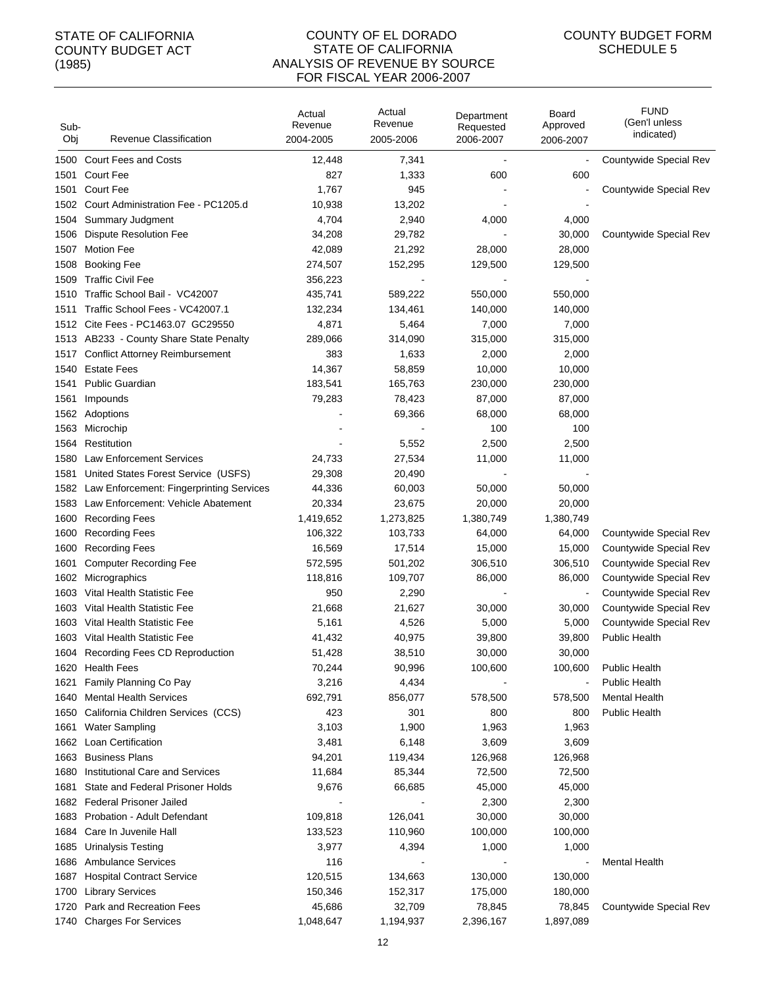#### COUNTY OF EL DORADO STATE OF CALIFORNIA ANALYSIS OF REVENUE BY SOURCE FOR FISCAL YEAR 2006-2007

| Sub-<br>Obj | Revenue Classification                   | Actual<br>Revenue<br>2004-2005 | Actual<br>Revenue<br>2005-2006 | Department<br>Requested<br>2006-2007 | Board<br>Approved<br>2006-2007 | <b>FUND</b><br>(Gen'l unless<br>indicated) |
|-------------|------------------------------------------|--------------------------------|--------------------------------|--------------------------------------|--------------------------------|--------------------------------------------|
| 1500        | <b>Court Fees and Costs</b>              | 12,448                         | 7,341                          |                                      |                                | Countywide Special Rev                     |
| 1501        | <b>Court Fee</b>                         | 827                            | 1,333                          | 600                                  | 600                            |                                            |
| 1501        | <b>Court Fee</b>                         | 1,767                          | 945                            |                                      |                                | Countywide Special Rev                     |
| 1502        | Court Administration Fee - PC1205.d      | 10,938                         | 13,202                         |                                      |                                |                                            |
| 1504        | Summary Judgment                         | 4,704                          | 2,940                          | 4,000                                | 4,000                          |                                            |
| 1506        | Dispute Resolution Fee                   | 34,208                         | 29,782                         |                                      | 30,000                         | Countywide Special Rev                     |
| 1507        | <b>Motion Fee</b>                        | 42,089                         | 21,292                         | 28,000                               | 28,000                         |                                            |
| 1508        | <b>Booking Fee</b>                       | 274,507                        | 152,295                        | 129,500                              | 129,500                        |                                            |
| 1509        | <b>Traffic Civil Fee</b>                 | 356,223                        |                                |                                      |                                |                                            |
| 1510        | Traffic School Bail - VC42007            | 435,741                        | 589,222                        | 550,000                              | 550,000                        |                                            |
| 1511        | Traffic School Fees - VC42007.1          | 132,234                        | 134,461                        | 140,000                              | 140,000                        |                                            |
| 1512        | Cite Fees - PC1463.07 GC29550            | 4,871                          | 5,464                          | 7,000                                | 7,000                          |                                            |
|             | 1513 AB233 - County Share State Penalty  | 289,066                        | 314,090                        | 315,000                              | 315,000                        |                                            |
| 1517        | <b>Conflict Attorney Reimbursement</b>   | 383                            | 1,633                          | 2,000                                | 2,000                          |                                            |
| 1540        | <b>Estate Fees</b>                       | 14,367                         | 58,859                         | 10,000                               | 10,000                         |                                            |
| 1541        | <b>Public Guardian</b>                   | 183,541                        | 165,763                        | 230,000                              | 230,000                        |                                            |
| 1561        | Impounds                                 | 79,283                         | 78,423                         | 87,000                               | 87,000                         |                                            |
| 1562        | Adoptions                                |                                | 69,366                         | 68,000                               | 68,000                         |                                            |
| 1563        | Microchip                                |                                |                                | 100                                  | 100                            |                                            |
| 1564        | Restitution                              |                                | 5,552                          | 2,500                                | 2,500                          |                                            |
| 1580        | <b>Law Enforcement Services</b>          | 24,733                         | 27,534                         | 11,000                               | 11,000                         |                                            |
| 1581        | United States Forest Service (USFS)      | 29,308                         | 20,490                         |                                      |                                |                                            |
| 1582        | Law Enforcement: Fingerprinting Services | 44,336                         | 60,003                         | 50,000                               | 50,000                         |                                            |
| 1583        | Law Enforcement: Vehicle Abatement       | 20,334                         | 23,675                         | 20,000                               | 20,000                         |                                            |
| 1600        | <b>Recording Fees</b>                    | 1,419,652                      | 1,273,825                      | 1,380,749                            | 1,380,749                      |                                            |
| 1600        | <b>Recording Fees</b>                    | 106,322                        | 103,733                        | 64,000                               | 64,000                         | Countywide Special Rev                     |
| 1600        | <b>Recording Fees</b>                    | 16,569                         | 17,514                         | 15,000                               | 15,000                         | Countywide Special Rev                     |
| 1601        | <b>Computer Recording Fee</b>            | 572,595                        | 501,202                        | 306,510                              | 306,510                        | Countywide Special Rev                     |
| 1602        | Micrographics                            | 118,816                        | 109,707                        | 86,000                               | 86,000                         | Countywide Special Rev                     |
| 1603        | Vital Health Statistic Fee               | 950                            | 2,290                          |                                      | $\blacksquare$                 | Countywide Special Rev                     |
| 1603        | Vital Health Statistic Fee               | 21,668                         | 21,627                         | 30,000                               | 30,000                         | Countywide Special Rev                     |
| 1603        | Vital Health Statistic Fee               | 5,161                          | 4,526                          | 5,000                                | 5,000                          | Countywide Special Rev                     |
| 1603        | Vital Health Statistic Fee               | 41,432                         | 40,975                         | 39,800                               | 39,800                         | <b>Public Health</b>                       |
|             | 1604 Recording Fees CD Reproduction      | 51,428                         | 38,510                         | 30.000                               | 30,000                         |                                            |
|             | 1620 Health Fees                         | 70,244                         | 90,996                         | 100,600                              | 100,600                        | <b>Public Health</b>                       |
| 1621        | Family Planning Co Pay                   | 3,216                          | 4,434                          |                                      |                                | <b>Public Health</b>                       |
| 1640        | <b>Mental Health Services</b>            | 692,791                        | 856,077                        | 578,500                              | 578,500                        | <b>Mental Health</b>                       |
| 1650        | California Children Services (CCS)       | 423                            | 301                            | 800                                  | 800                            | <b>Public Health</b>                       |
| 1661        | <b>Water Sampling</b>                    | 3,103                          | 1,900                          | 1,963                                | 1,963                          |                                            |
| 1662        | Loan Certification                       | 3,481                          | 6,148                          | 3,609                                | 3,609                          |                                            |
| 1663        | <b>Business Plans</b>                    | 94,201                         | 119,434                        | 126,968                              | 126,968                        |                                            |
| 1680        | Institutional Care and Services          | 11,684                         | 85,344                         | 72,500                               | 72,500                         |                                            |
| 1681        | State and Federal Prisoner Holds         | 9,676                          | 66,685                         | 45,000                               | 45,000                         |                                            |
| 1682        | <b>Federal Prisoner Jailed</b>           |                                |                                | 2,300                                | 2,300                          |                                            |
| 1683        | Probation - Adult Defendant              | 109,818                        | 126,041                        | 30,000                               | 30,000                         |                                            |
| 1684        | Care In Juvenile Hall                    | 133,523                        | 110,960                        | 100,000                              | 100,000                        |                                            |
| 1685        | <b>Urinalysis Testing</b>                | 3,977                          | 4,394                          | 1,000                                | 1,000                          |                                            |
| 1686        | <b>Ambulance Services</b>                | 116                            |                                |                                      | $\overline{\phantom{a}}$       | <b>Mental Health</b>                       |
| 1687        | <b>Hospital Contract Service</b>         | 120,515                        | 134,663                        | 130,000                              | 130,000                        |                                            |
| 1700        | <b>Library Services</b>                  | 150,346                        | 152,317                        | 175,000                              | 180,000                        |                                            |
| 1720        | Park and Recreation Fees                 | 45,686                         | 32,709                         | 78,845                               | 78,845                         | Countywide Special Rev                     |
| 1740        | <b>Charges For Services</b>              | 1,048,647                      | 1,194,937                      | 2,396,167                            | 1,897,089                      |                                            |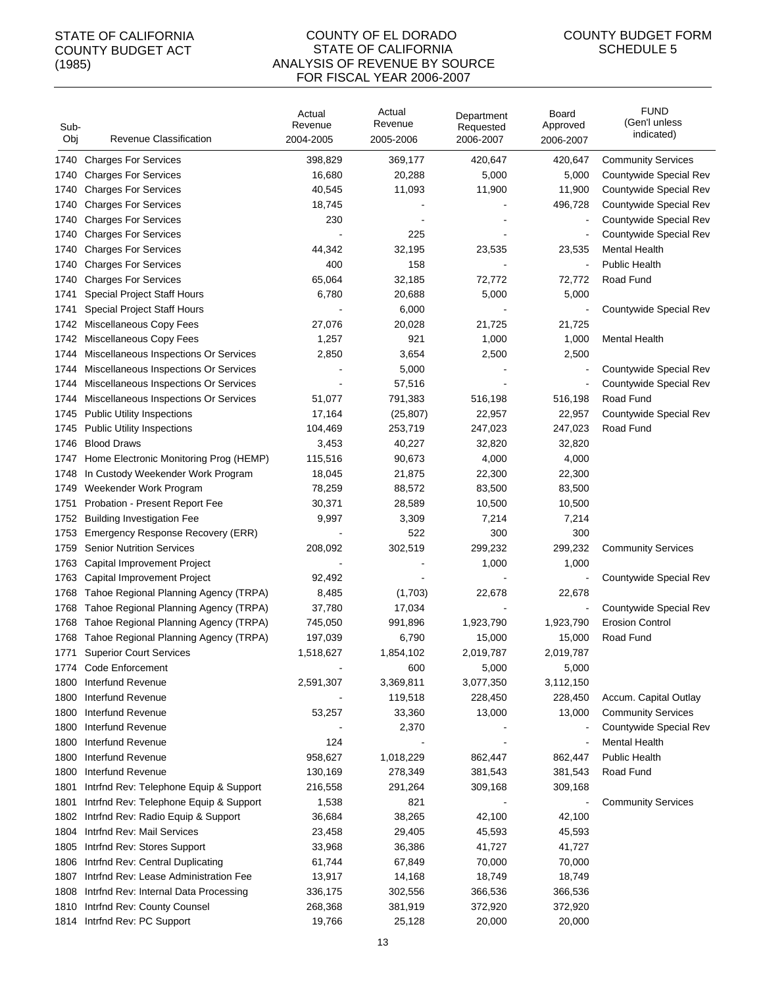#### COUNTY OF EL DORADO STATE OF CALIFORNIA ANALYSIS OF REVENUE BY SOURCE FOR FISCAL YEAR 2006-2007

| Sub-<br>Obj | <b>Revenue Classification</b>          | Actual<br>Revenue<br>2004-2005 | Actual<br>Revenue<br>2005-2006 | Department<br>Requested<br>2006-2007 | Board<br>Approved<br>2006-2007 | <b>FUND</b><br>(Gen'l unless<br>indicated) |
|-------------|----------------------------------------|--------------------------------|--------------------------------|--------------------------------------|--------------------------------|--------------------------------------------|
| 1740        | <b>Charges For Services</b>            | 398,829                        | 369,177                        | 420,647                              | 420,647                        | <b>Community Services</b>                  |
| 1740        | <b>Charges For Services</b>            | 16,680                         | 20,288                         | 5,000                                | 5,000                          | Countywide Special Rev                     |
| 1740        | <b>Charges For Services</b>            | 40,545                         | 11,093                         | 11,900                               | 11,900                         | Countywide Special Rev                     |
| 1740        | <b>Charges For Services</b>            | 18,745                         |                                |                                      | 496,728                        | Countywide Special Rev                     |
| 1740        | <b>Charges For Services</b>            | 230                            |                                |                                      | $\blacksquare$                 | Countywide Special Rev                     |
| 1740        | <b>Charges For Services</b>            |                                | 225                            |                                      | $\blacksquare$                 | Countywide Special Rev                     |
| 1740        | <b>Charges For Services</b>            | 44,342                         | 32,195                         | 23,535                               | 23,535                         | <b>Mental Health</b>                       |
| 1740        | <b>Charges For Services</b>            | 400                            | 158                            |                                      | $\blacksquare$                 | <b>Public Health</b>                       |
| 1740        | <b>Charges For Services</b>            | 65,064                         | 32,185                         | 72,772                               | 72,772                         | Road Fund                                  |
| 1741        | <b>Special Project Staff Hours</b>     | 6,780                          | 20,688                         | 5,000                                | 5,000                          |                                            |
| 1741        | <b>Special Project Staff Hours</b>     |                                | 6,000                          |                                      |                                | Countywide Special Rev                     |
| 1742        | Miscellaneous Copy Fees                | 27,076                         | 20,028                         | 21,725                               | 21,725                         |                                            |
| 1742        | Miscellaneous Copy Fees                | 1,257                          | 921                            | 1,000                                | 1,000                          | <b>Mental Health</b>                       |
| 1744        | Miscellaneous Inspections Or Services  | 2,850                          | 3,654                          | 2,500                                | 2,500                          |                                            |
| 1744        | Miscellaneous Inspections Or Services  |                                | 5,000                          |                                      |                                | Countywide Special Rev                     |
| 1744        | Miscellaneous Inspections Or Services  |                                | 57,516                         |                                      | $\overline{\phantom{a}}$       | Countywide Special Rev                     |
| 1744        | Miscellaneous Inspections Or Services  | 51,077                         | 791,383                        | 516,198                              | 516,198                        | Road Fund                                  |
| 1745        | <b>Public Utility Inspections</b>      | 17,164                         | (25, 807)                      | 22,957                               | 22,957                         | Countywide Special Rev                     |
| 1745        | <b>Public Utility Inspections</b>      | 104,469                        | 253,719                        | 247,023                              | 247,023                        | Road Fund                                  |
| 1746        | <b>Blood Draws</b>                     | 3,453                          | 40,227                         | 32,820                               | 32,820                         |                                            |
| 1747        | Home Electronic Monitoring Prog (HEMP) | 115,516                        | 90,673                         | 4,000                                | 4,000                          |                                            |
| 1748        | In Custody Weekender Work Program      | 18,045                         | 21,875                         | 22,300                               | 22,300                         |                                            |
| 1749        | Weekender Work Program                 | 78,259                         | 88,572                         | 83,500                               | 83,500                         |                                            |
| 1751        | Probation - Present Report Fee         | 30,371                         | 28,589                         | 10,500                               | 10,500                         |                                            |
| 1752        | <b>Building Investigation Fee</b>      | 9,997                          | 3,309                          | 7,214                                | 7,214                          |                                            |
| 1753        | Emergency Response Recovery (ERR)      |                                | 522                            | 300                                  | 300                            |                                            |
| 1759        | <b>Senior Nutrition Services</b>       | 208,092                        | 302,519                        | 299,232                              | 299,232                        | <b>Community Services</b>                  |
| 1763        | Capital Improvement Project            |                                |                                | 1,000                                | 1,000                          |                                            |
| 1763        | Capital Improvement Project            | 92,492                         |                                |                                      |                                | Countywide Special Rev                     |
| 1768        | Tahoe Regional Planning Agency (TRPA)  | 8,485                          | (1,703)                        | 22,678                               | 22,678                         |                                            |
| 1768        | Tahoe Regional Planning Agency (TRPA)  | 37,780                         | 17,034                         |                                      | $\overline{a}$                 | Countywide Special Rev                     |
| 1768        | Tahoe Regional Planning Agency (TRPA)  | 745,050                        | 991,896                        | 1,923,790                            | 1,923,790                      | <b>Erosion Control</b>                     |
| 1768        | Tahoe Regional Planning Agency (TRPA)  | 197,039                        | 6,790                          | 15,000                               | 15,000                         | Road Fund                                  |
| 1771        | <b>Superior Court Services</b>         | 1,518,627                      | 1,854,102                      | 2,019,787                            | 2,019,787                      |                                            |
|             | 1774 Code Enforcement                  |                                | 600                            | 5,000                                | 5,000                          |                                            |
| 1800        | Interfund Revenue                      | 2,591,307                      | 3,369,811                      | 3,077,350                            | 3,112,150                      |                                            |
| 1800        | Interfund Revenue                      |                                | 119,518                        | 228,450                              | 228,450                        | Accum. Capital Outlay                      |
| 1800        | Interfund Revenue                      | 53,257                         | 33,360                         | 13,000                               | 13,000                         | <b>Community Services</b>                  |
| 1800        | Interfund Revenue                      |                                | 2,370                          |                                      |                                | Countywide Special Rev                     |
| 1800        | Interfund Revenue                      | 124                            |                                |                                      | $\overline{\phantom{a}}$       | <b>Mental Health</b>                       |
| 1800        | Interfund Revenue                      | 958,627                        | 1,018,229                      | 862,447                              | 862,447                        | <b>Public Health</b>                       |
| 1800        | Interfund Revenue                      | 130,169                        | 278,349                        | 381,543                              | 381,543                        | Road Fund                                  |
| 1801        | Intrfnd Rev: Telephone Equip & Support | 216,558                        | 291,264                        | 309,168                              | 309,168                        |                                            |
| 1801        | Intrfnd Rev: Telephone Equip & Support | 1,538                          | 821                            |                                      | $\blacksquare$                 | <b>Community Services</b>                  |
| 1802        | Intrfnd Rev: Radio Equip & Support     | 36,684                         | 38,265                         | 42,100                               | 42,100                         |                                            |
| 1804        | Intrfnd Rev: Mail Services             | 23,458                         | 29,405                         | 45,593                               | 45,593                         |                                            |
| 1805        | Intrfnd Rev: Stores Support            | 33,968                         | 36,386                         | 41,727                               | 41,727                         |                                            |
| 1806        | Intrfnd Rev: Central Duplicating       | 61,744                         | 67,849                         | 70,000                               | 70,000                         |                                            |
| 1807        | Intrfnd Rev: Lease Administration Fee  | 13,917                         | 14,168                         | 18,749                               | 18,749                         |                                            |
| 1808        | Intrfnd Rev: Internal Data Processing  | 336,175                        | 302,556                        | 366,536                              | 366,536                        |                                            |
| 1810        | Intrfnd Rev: County Counsel            | 268,368                        | 381,919                        | 372,920                              | 372,920                        |                                            |
| 1814        | Intrfnd Rev: PC Support                | 19,766                         | 25,128                         | 20,000                               | 20,000                         |                                            |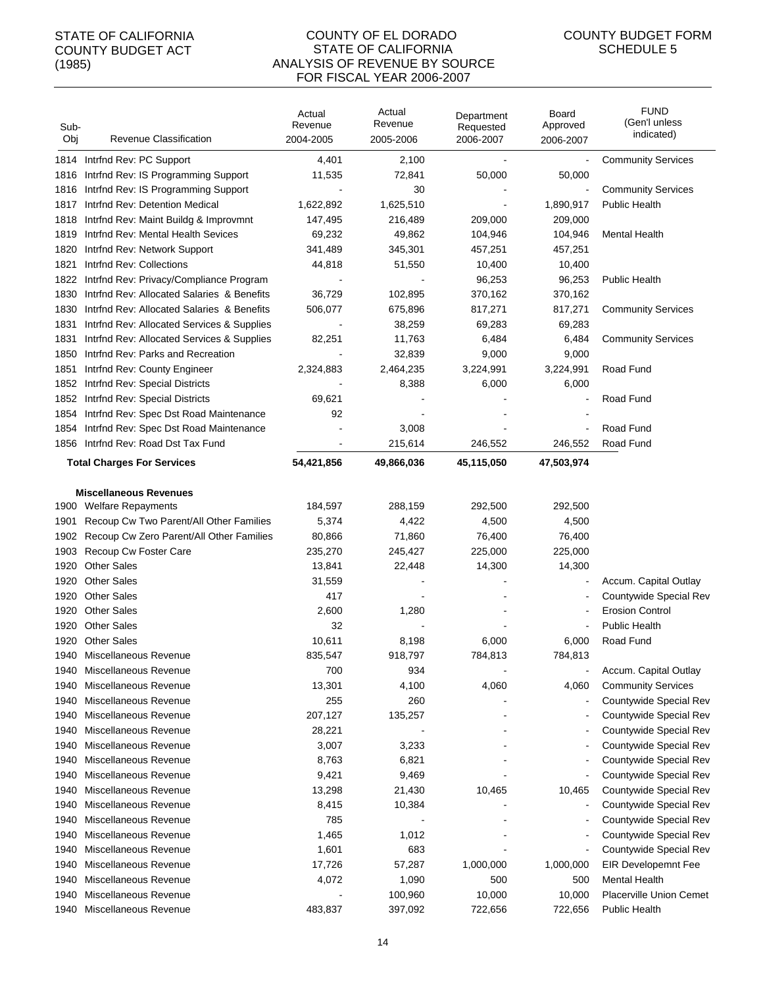#### COUNTY OF EL DORADO STATE OF CALIFORNIA ANALYSIS OF REVENUE BY SOURCE FOR FISCAL YEAR 2006-2007

| Sub-<br>Obj | Revenue Classification                     | Actual<br>Revenue<br>2004-2005 | Actual<br>Revenue<br>2005-2006 | Department<br>Requested<br>2006-2007 | Board<br>Approved<br>2006-2007 | <b>FUND</b><br>(Gen'l unless<br>indicated) |
|-------------|--------------------------------------------|--------------------------------|--------------------------------|--------------------------------------|--------------------------------|--------------------------------------------|
|             | 1814 Intrind Rev: PC Support               | 4,401                          | 2,100                          |                                      |                                | <b>Community Services</b>                  |
| 1816        | Intrind Rev: IS Programming Support        | 11,535                         | 72,841                         | 50,000                               | 50,000                         |                                            |
| 1816        | Intrind Rev: IS Programming Support        |                                | 30                             |                                      |                                | <b>Community Services</b>                  |
| 1817        | Intrind Rev: Detention Medical             | 1,622,892                      | 1,625,510                      |                                      | 1,890,917                      | <b>Public Health</b>                       |
| 1818        | Intrfnd Rev: Maint Buildg & Improvmnt      | 147,495                        | 216,489                        | 209,000                              | 209,000                        |                                            |
| 1819        | Intrind Rev: Mental Health Sevices         | 69,232                         | 49,862                         | 104,946                              | 104,946                        | <b>Mental Health</b>                       |
| 1820        | Intrfnd Rev: Network Support               | 341,489                        | 345,301                        | 457,251                              | 457,251                        |                                            |
| 1821        | Intrfnd Rev: Collections                   | 44,818                         | 51,550                         | 10,400                               | 10,400                         |                                            |
| 1822        | Intrfnd Rev: Privacy/Compliance Program    |                                |                                | 96,253                               | 96,253                         | <b>Public Health</b>                       |
| 1830        | Intrind Rev: Allocated Salaries & Benefits | 36,729                         | 102,895                        | 370,162                              | 370,162                        |                                            |
| 1830        | Intrind Rev: Allocated Salaries & Benefits | 506,077                        | 675,896                        | 817,271                              | 817,271                        | <b>Community Services</b>                  |
| 1831        | Intrind Rev: Allocated Services & Supplies |                                | 38,259                         | 69,283                               | 69,283                         |                                            |
| 1831        | Intrind Rev: Allocated Services & Supplies | 82,251                         | 11,763                         | 6,484                                | 6,484                          | <b>Community Services</b>                  |
| 1850        | Intrind Rev: Parks and Recreation          |                                | 32,839                         | 9,000                                | 9,000                          |                                            |
| 1851        | Intrind Rev: County Engineer               | 2,324,883                      | 2,464,235                      | 3,224,991                            | 3,224,991                      | Road Fund                                  |
| 1852        | Intrfnd Rev: Special Districts             |                                | 8,388                          | 6,000                                | 6,000                          |                                            |
| 1852        | Intrind Rev: Special Districts             | 69,621                         |                                |                                      |                                | Road Fund                                  |
| 1854        | Intrfnd Rev: Spec Dst Road Maintenance     | 92                             |                                |                                      |                                |                                            |
| 1854        | Intrfnd Rev: Spec Dst Road Maintenance     |                                | 3,008                          |                                      |                                | Road Fund                                  |
| 1856        | Intrind Rev: Road Dst Tax Fund             |                                | 215,614                        | 246,552                              | 246,552                        | Road Fund                                  |
|             |                                            |                                |                                |                                      |                                |                                            |
|             | <b>Total Charges For Services</b>          | 54,421,856                     | 49,866,036                     | 45,115,050                           | 47,503,974                     |                                            |
|             | <b>Miscellaneous Revenues</b>              |                                |                                |                                      |                                |                                            |
|             | 1900 Welfare Repayments                    | 184,597                        | 288,159                        | 292,500                              | 292,500                        |                                            |
| 1901        | Recoup Cw Two Parent/All Other Families    | 5,374                          | 4,422                          | 4,500                                | 4,500                          |                                            |
| 1902        | Recoup Cw Zero Parent/All Other Families   | 80,866                         | 71,860                         | 76,400                               | 76,400                         |                                            |
| 1903        | Recoup Cw Foster Care                      | 235,270                        | 245,427                        | 225,000                              | 225,000                        |                                            |
| 1920        | <b>Other Sales</b>                         | 13,841                         | 22,448                         | 14,300                               | 14,300                         |                                            |
| 1920        | <b>Other Sales</b>                         | 31,559                         |                                |                                      | $\overline{\phantom{a}}$       | Accum. Capital Outlay                      |
| 1920        | <b>Other Sales</b>                         | 417                            |                                |                                      | $\overline{\phantom{a}}$       | Countywide Special Rev                     |
| 1920        | <b>Other Sales</b>                         | 2,600                          | 1,280                          |                                      |                                | <b>Erosion Control</b>                     |
| 1920        | <b>Other Sales</b>                         | 32                             |                                |                                      |                                | <b>Public Health</b>                       |
|             | 1920 Other Sales                           | 10,611                         | 8,198                          | 6,000                                | 6,000                          | Road Fund                                  |
|             | 1940 Miscellaneous Revenue                 | 835,547                        | 918,797                        | 784,813                              | 784,813                        |                                            |
| 1940        | Miscellaneous Revenue                      | 700                            | 934                            |                                      | $\blacksquare$                 | Accum. Capital Outlay                      |
| 1940        | Miscellaneous Revenue                      | 13,301                         | 4,100                          | 4,060                                | 4,060                          | <b>Community Services</b>                  |
| 1940        | Miscellaneous Revenue                      | 255                            | 260                            |                                      | $\overline{\phantom{a}}$       | Countywide Special Rev                     |
| 1940        | Miscellaneous Revenue                      | 207,127                        | 135,257                        |                                      |                                | Countywide Special Rev                     |
| 1940        | Miscellaneous Revenue                      | 28,221                         |                                |                                      |                                | Countywide Special Rev                     |
| 1940        | Miscellaneous Revenue                      | 3,007                          | 3,233                          |                                      |                                | Countywide Special Rev                     |
| 1940        | Miscellaneous Revenue                      | 8,763                          | 6,821                          |                                      |                                | Countywide Special Rev                     |
| 1940        | Miscellaneous Revenue                      | 9,421                          | 9,469                          |                                      | $\overline{\phantom{a}}$       | Countywide Special Rev                     |
| 1940        | Miscellaneous Revenue                      | 13,298                         | 21,430                         | 10,465                               | 10,465                         | Countywide Special Rev                     |
| 1940        | Miscellaneous Revenue                      | 8,415                          | 10,384                         |                                      | $\overline{\phantom{a}}$       | Countywide Special Rev                     |
| 1940        | Miscellaneous Revenue                      | 785                            |                                |                                      |                                | Countywide Special Rev                     |
| 1940        | Miscellaneous Revenue                      | 1,465                          | 1,012                          |                                      |                                | Countywide Special Rev                     |
| 1940        | Miscellaneous Revenue                      | 1,601                          | 683                            |                                      | $\overline{\phantom{a}}$       | Countywide Special Rev                     |
| 1940        | Miscellaneous Revenue                      | 17,726                         | 57,287                         | 1,000,000                            | 1,000,000                      | <b>EIR Developemnt Fee</b>                 |
| 1940        | Miscellaneous Revenue                      | 4,072                          | 1,090                          | 500                                  | 500                            | <b>Mental Health</b>                       |
| 1940        | Miscellaneous Revenue                      |                                | 100,960                        | 10,000                               | 10,000                         | Placerville Union Cemet                    |
| 1940        | Miscellaneous Revenue                      | 483,837                        | 397,092                        | 722,656                              | 722,656                        | <b>Public Health</b>                       |
|             |                                            |                                |                                |                                      |                                |                                            |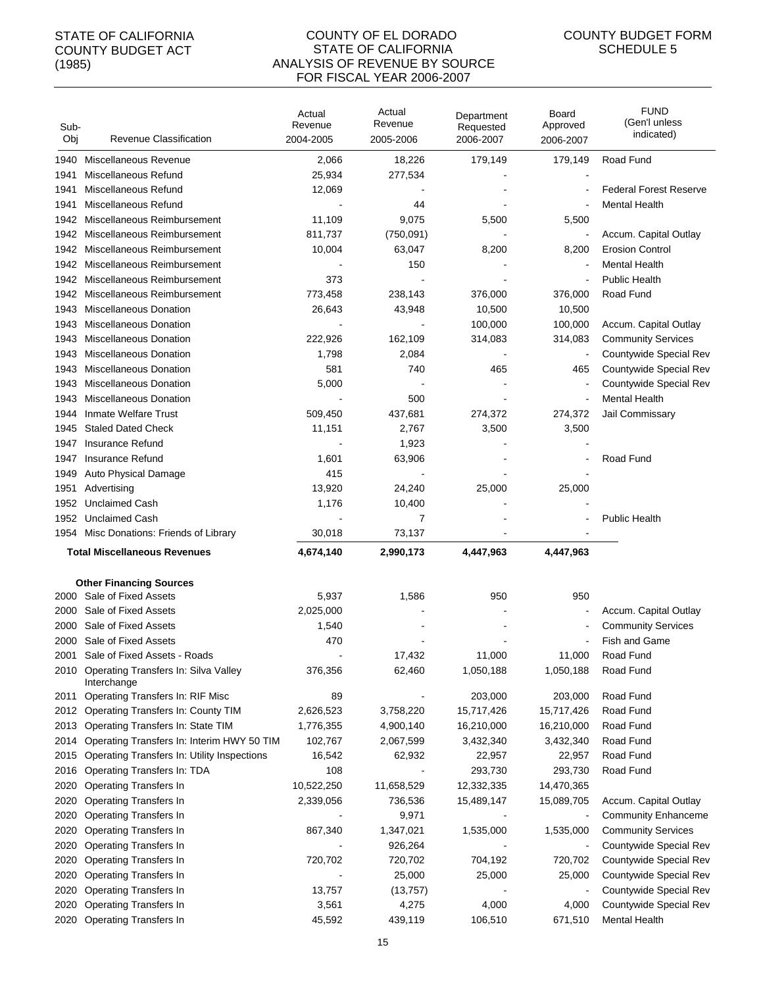#### COUNTY OF EL DORADO STATE OF CALIFORNIA ANALYSIS OF REVENUE BY SOURCE FOR FISCAL YEAR 2006-2007

| Sub-<br>Obj | Revenue Classification                                      | Actual<br>Revenue<br>2004-2005 | Actual<br>Revenue<br>2005-2006 | Department<br>Requested<br>2006-2007 | Board<br>Approved<br>2006-2007 | <b>FUND</b><br>(Gen'l unless<br>indicated) |
|-------------|-------------------------------------------------------------|--------------------------------|--------------------------------|--------------------------------------|--------------------------------|--------------------------------------------|
| 1940        | Miscellaneous Revenue                                       | 2,066                          | 18,226                         | 179,149                              | 179,149                        | Road Fund                                  |
| 1941        | Miscellaneous Refund                                        | 25,934                         | 277,534                        |                                      |                                |                                            |
| 1941        | Miscellaneous Refund                                        | 12,069                         |                                |                                      |                                | <b>Federal Forest Reserve</b>              |
| 1941        | Miscellaneous Refund                                        |                                | 44                             |                                      |                                | <b>Mental Health</b>                       |
| 1942        | Miscellaneous Reimbursement                                 | 11,109                         | 9,075                          | 5,500                                | 5,500                          |                                            |
| 1942        | Miscellaneous Reimbursement                                 | 811,737                        | (750,091)                      |                                      |                                | Accum. Capital Outlay                      |
| 1942        | Miscellaneous Reimbursement                                 | 10,004                         | 63,047                         | 8,200                                | 8,200                          | <b>Erosion Control</b>                     |
| 1942        | Miscellaneous Reimbursement                                 |                                | 150                            |                                      |                                | <b>Mental Health</b>                       |
| 1942        | Miscellaneous Reimbursement                                 | 373                            |                                |                                      |                                | <b>Public Health</b>                       |
| 1942        | Miscellaneous Reimbursement                                 | 773,458                        | 238,143                        | 376,000                              | 376,000                        | Road Fund                                  |
| 1943        | <b>Miscellaneous Donation</b>                               | 26,643                         | 43,948                         | 10,500                               | 10,500                         |                                            |
| 1943        | <b>Miscellaneous Donation</b>                               |                                |                                | 100,000                              | 100,000                        | Accum. Capital Outlay                      |
| 1943        | <b>Miscellaneous Donation</b>                               | 222,926                        | 162,109                        | 314,083                              | 314,083                        | <b>Community Services</b>                  |
| 1943        | <b>Miscellaneous Donation</b>                               | 1,798                          | 2,084                          |                                      |                                | Countywide Special Rev                     |
| 1943        | <b>Miscellaneous Donation</b>                               | 581                            | 740                            | 465                                  | 465                            | Countywide Special Rev                     |
| 1943        | <b>Miscellaneous Donation</b>                               | 5,000                          |                                |                                      |                                | Countywide Special Rev                     |
| 1943        | <b>Miscellaneous Donation</b>                               |                                | 500                            |                                      | $\blacksquare$                 | <b>Mental Health</b>                       |
| 1944        | <b>Inmate Welfare Trust</b>                                 | 509,450                        | 437,681                        | 274,372                              | 274,372                        | Jail Commissary                            |
| 1945        | <b>Staled Dated Check</b>                                   | 11,151                         | 2,767                          | 3,500                                | 3,500                          |                                            |
| 1947        | Insurance Refund                                            |                                | 1,923                          |                                      |                                |                                            |
| 1947        | Insurance Refund                                            | 1,601                          | 63,906                         |                                      |                                | Road Fund                                  |
| 1949        | Auto Physical Damage                                        | 415                            |                                |                                      |                                |                                            |
| 1951        | Advertising                                                 | 13,920                         | 24,240                         | 25,000                               | 25,000                         |                                            |
| 1952        | <b>Unclaimed Cash</b>                                       | 1,176                          | 10,400                         |                                      |                                |                                            |
| 1952        | <b>Unclaimed Cash</b>                                       |                                | 7                              |                                      |                                | <b>Public Health</b>                       |
| 1954        | Misc Donations: Friends of Library                          | 30,018                         | 73,137                         |                                      |                                |                                            |
|             | <b>Total Miscellaneous Revenues</b>                         | 4,674,140                      | 2,990,173                      | 4,447,963                            | 4,447,963                      |                                            |
|             |                                                             |                                |                                |                                      |                                |                                            |
|             | <b>Other Financing Sources</b><br>2000 Sale of Fixed Assets | 5,937                          | 1,586                          | 950                                  | 950                            |                                            |
| 2000        | Sale of Fixed Assets                                        | 2,025,000                      |                                |                                      |                                | Accum. Capital Outlay                      |
| 2000        | Sale of Fixed Assets                                        | 1,540                          |                                |                                      |                                | <b>Community Services</b>                  |
| 2000        | Sale of Fixed Assets                                        | 470                            |                                |                                      |                                | <b>Fish and Game</b>                       |
| 2001        | Sale of Fixed Assets - Roads                                |                                | 17,432                         | 11,000                               | 11,000                         | Road Fund                                  |
|             | 2010 Operating Transfers In: Silva Valley                   | 376,356                        | 62,460                         | 1,050,188                            | 1,050,188                      | Road Fund                                  |
|             | Interchange                                                 |                                |                                |                                      |                                |                                            |
| 2011        | Operating Transfers In: RIF Misc                            | 89                             |                                | 203,000                              | 203,000                        | Road Fund                                  |
| 2012        | <b>Operating Transfers In: County TIM</b>                   | 2,626,523                      | 3,758,220                      | 15,717,426                           | 15,717,426                     | Road Fund                                  |
| 2013        | Operating Transfers In: State TIM                           | 1,776,355                      | 4,900,140                      | 16,210,000                           | 16,210,000                     | Road Fund                                  |
| 2014        | Operating Transfers In: Interim HWY 50 TIM                  | 102,767                        | 2,067,599                      | 3,432,340                            | 3,432,340                      | Road Fund                                  |
| 2015        | Operating Transfers In: Utility Inspections                 | 16,542                         | 62,932                         | 22,957                               | 22,957                         | Road Fund                                  |
| 2016        | Operating Transfers In: TDA                                 | 108                            |                                | 293,730                              | 293,730                        | Road Fund                                  |
| 2020        | <b>Operating Transfers In</b>                               | 10,522,250                     | 11,658,529                     | 12,332,335                           | 14,470,365                     |                                            |
| 2020        | <b>Operating Transfers In</b>                               | 2,339,056                      | 736,536                        | 15,489,147                           | 15,089,705                     | Accum. Capital Outlay                      |
| 2020        | <b>Operating Transfers In</b>                               |                                | 9,971                          |                                      | $\overline{\phantom{a}}$       | <b>Community Enhanceme</b>                 |
| 2020        | <b>Operating Transfers In</b>                               | 867,340                        | 1,347,021                      | 1,535,000                            | 1,535,000                      | <b>Community Services</b>                  |
| 2020        | <b>Operating Transfers In</b>                               |                                | 926,264                        |                                      | $\blacksquare$                 | Countywide Special Rev                     |
| 2020        | <b>Operating Transfers In</b>                               | 720,702                        | 720,702                        | 704,192                              | 720,702                        | Countywide Special Rev                     |
| 2020        | <b>Operating Transfers In</b>                               |                                | 25,000                         | 25,000                               | 25,000                         | Countywide Special Rev                     |
| 2020        | <b>Operating Transfers In</b>                               | 13,757                         | (13, 757)                      |                                      | $\blacksquare$                 | Countywide Special Rev                     |
| 2020        | <b>Operating Transfers In</b>                               | 3,561                          | 4,275                          | 4,000                                | 4,000                          | Countywide Special Rev                     |
| 2020        | <b>Operating Transfers In</b>                               | 45,592                         | 439,119                        | 106,510                              | 671,510                        | Mental Health                              |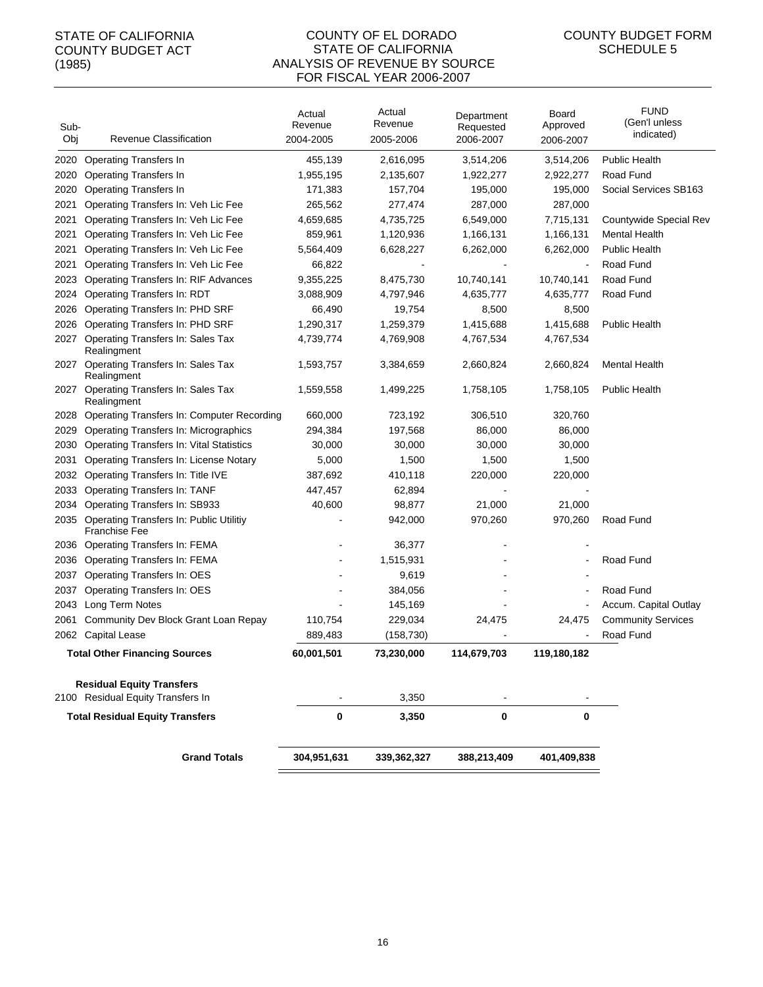#### COUNTY OF EL DORADO STATE OF CALIFORNIA ANALYSIS OF REVENUE BY SOURCE FOR FISCAL YEAR 2006-2007

| Sub-<br>Obj | Revenue Classification                                                 | Actual<br>Revenue<br>2004-2005 | Actual<br>Revenue<br>2005-2006 | Department<br>Requested<br>2006-2007 | Board<br>Approved<br>2006-2007 | <b>FUND</b><br>(Gen'l unless<br>indicated) |
|-------------|------------------------------------------------------------------------|--------------------------------|--------------------------------|--------------------------------------|--------------------------------|--------------------------------------------|
| 2020        | <b>Operating Transfers In</b>                                          | 455,139                        | 2,616,095                      | 3,514,206                            | 3,514,206                      | <b>Public Health</b>                       |
| 2020        | <b>Operating Transfers In</b>                                          | 1,955,195                      | 2,135,607                      | 1,922,277                            | 2,922,277                      | Road Fund                                  |
| 2020        | <b>Operating Transfers In</b>                                          | 171,383                        | 157,704                        | 195,000                              | 195,000                        | Social Services SB163                      |
| 2021        | Operating Transfers In: Veh Lic Fee                                    | 265,562                        | 277,474                        | 287,000                              | 287,000                        |                                            |
| 2021        | Operating Transfers In: Veh Lic Fee                                    | 4,659,685                      | 4,735,725                      | 6,549,000                            | 7,715,131                      | Countywide Special Rev                     |
| 2021        | Operating Transfers In: Veh Lic Fee                                    | 859,961                        | 1,120,936                      | 1,166,131                            | 1,166,131                      | <b>Mental Health</b>                       |
| 2021        | Operating Transfers In: Veh Lic Fee                                    | 5,564,409                      | 6,628,227                      | 6,262,000                            | 6,262,000                      | <b>Public Health</b>                       |
| 2021        | Operating Transfers In: Veh Lic Fee                                    | 66,822                         |                                |                                      |                                | Road Fund                                  |
| 2023        | <b>Operating Transfers In: RIF Advances</b>                            | 9,355,225                      | 8,475,730                      | 10,740,141                           | 10,740,141                     | Road Fund                                  |
| 2024        | Operating Transfers In: RDT                                            | 3,088,909                      | 4,797,946                      | 4,635,777                            | 4,635,777                      | Road Fund                                  |
| 2026        | Operating Transfers In: PHD SRF                                        | 66,490                         | 19,754                         | 8,500                                | 8,500                          |                                            |
| 2026        | Operating Transfers In: PHD SRF                                        | 1,290,317                      | 1,259,379                      | 1,415,688                            | 1,415,688                      | <b>Public Health</b>                       |
| 2027        | Operating Transfers In: Sales Tax<br>Realingment                       | 4,739,774                      | 4,769,908                      | 4,767,534                            | 4,767,534                      |                                            |
|             | 2027 Operating Transfers In: Sales Tax<br>Realingment                  | 1,593,757                      | 3,384,659                      | 2,660,824                            | 2,660,824                      | <b>Mental Health</b>                       |
|             | 2027 Operating Transfers In: Sales Tax<br>Realingment                  | 1,559,558                      | 1,499,225                      | 1,758,105                            | 1,758,105                      | <b>Public Health</b>                       |
| 2028        | <b>Operating Transfers In: Computer Recording</b>                      | 660,000                        | 723,192                        | 306,510                              | 320,760                        |                                            |
| 2029        | Operating Transfers In: Micrographics                                  | 294,384                        | 197,568                        | 86,000                               | 86,000                         |                                            |
| 2030        | <b>Operating Transfers In: Vital Statistics</b>                        | 30,000                         | 30,000                         | 30,000                               | 30,000                         |                                            |
| 2031        | Operating Transfers In: License Notary                                 | 5,000                          | 1,500                          | 1,500                                | 1,500                          |                                            |
| 2032        | Operating Transfers In: Title IVE                                      | 387,692                        | 410,118                        | 220,000                              | 220,000                        |                                            |
| 2033        | <b>Operating Transfers In: TANF</b>                                    | 447,457                        | 62,894                         |                                      |                                |                                            |
| 2034        | Operating Transfers In: SB933                                          | 40,600                         | 98,877                         | 21,000                               | 21,000                         |                                            |
| 2035        | <b>Operating Transfers In: Public Utilitiy</b><br><b>Franchise Fee</b> |                                | 942,000                        | 970,260                              | 970,260                        | Road Fund                                  |
|             | 2036 Operating Transfers In: FEMA                                      |                                | 36,377                         |                                      |                                |                                            |
| 2036        | <b>Operating Transfers In: FEMA</b>                                    |                                | 1,515,931                      |                                      |                                | Road Fund                                  |
| 2037        | Operating Transfers In: OES                                            |                                | 9,619                          |                                      |                                |                                            |
| 2037        | Operating Transfers In: OES                                            |                                | 384,056                        |                                      |                                | Road Fund                                  |
| 2043        | Long Term Notes                                                        |                                | 145,169                        |                                      | $\overline{\phantom{a}}$       | Accum. Capital Outlay                      |
| 2061        | Community Dev Block Grant Loan Repay                                   | 110,754                        | 229,034                        | 24,475                               | 24,475                         | <b>Community Services</b>                  |
|             | 2062 Capital Lease                                                     | 889,483                        | (158, 730)                     |                                      |                                | Road Fund                                  |
|             | <b>Total Other Financing Sources</b>                                   | 60,001,501                     | 73,230,000                     | 114,679,703                          | 119,180,182                    |                                            |
|             | <b>Residual Equity Transfers</b><br>2100 Residual Equity Transfers In  |                                | 3,350                          |                                      |                                |                                            |
|             | <b>Total Residual Equity Transfers</b>                                 | 0                              | 3,350                          | 0                                    | 0                              |                                            |
|             | <b>Grand Totals</b>                                                    | 304,951,631                    | 339,362,327                    | 388,213,409                          | 401,409,838                    |                                            |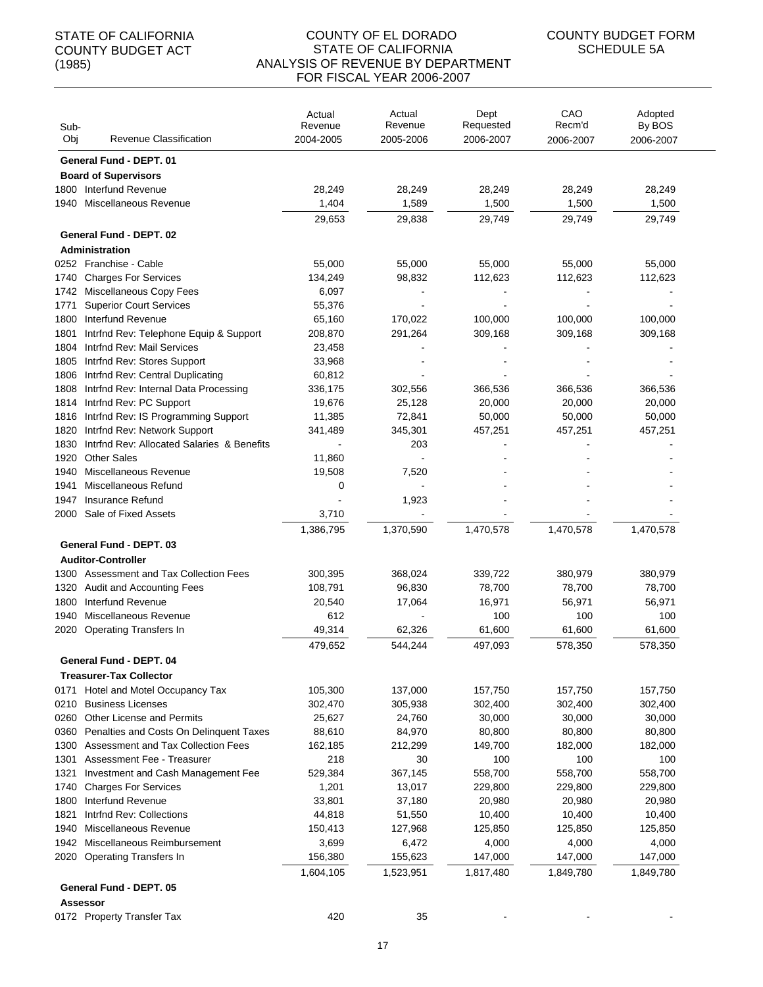| Sub-<br>Obj  | Revenue Classification                        | Actual<br>Revenue<br>2004-2005 | Actual<br>Revenue<br>2005-2006 | Dept<br>Requested<br>2006-2007 | CAO<br>Recm'd<br>2006-2007 | Adopted<br>By BOS<br>2006-2007 |
|--------------|-----------------------------------------------|--------------------------------|--------------------------------|--------------------------------|----------------------------|--------------------------------|
|              | <b>General Fund - DEPT, 01</b>                |                                |                                |                                |                            |                                |
|              | <b>Board of Supervisors</b>                   |                                |                                |                                |                            |                                |
| 1800         | Interfund Revenue                             | 28,249                         | 28,249                         | 28,249                         | 28,249                     | 28,249                         |
| 1940         | Miscellaneous Revenue                         | 1,404                          | 1,589                          | 1,500                          | 1,500                      | 1,500                          |
|              |                                               | 29,653                         | 29,838                         | 29,749                         | 29,749                     | 29,749                         |
|              | General Fund - DEPT. 02                       |                                |                                |                                |                            |                                |
|              | Administration                                |                                |                                |                                |                            |                                |
|              | 0252 Franchise - Cable                        | 55,000                         | 55,000                         | 55,000                         | 55,000                     | 55,000                         |
| 1740         | <b>Charges For Services</b>                   | 134,249                        | 98,832                         | 112,623                        | 112,623                    | 112,623                        |
| 1742         | Miscellaneous Copy Fees                       | 6,097                          |                                |                                |                            |                                |
| 1771         | <b>Superior Court Services</b>                | 55,376                         |                                |                                |                            |                                |
| 1800         | Interfund Revenue                             | 65,160                         | 170,022                        | 100,000                        | 100,000                    | 100,000                        |
| 1801         | Intrfnd Rev: Telephone Equip & Support        | 208,870                        | 291,264                        | 309,168                        | 309,168                    | 309,168                        |
| 1804         | Intrfnd Rev: Mail Services                    | 23,458                         |                                |                                |                            |                                |
| 1805         | Intrfnd Rev: Stores Support                   | 33,968                         |                                |                                |                            |                                |
| 1806         | Intrfnd Rev: Central Duplicating              | 60,812                         |                                |                                |                            |                                |
| 1808         | Intrfnd Rev: Internal Data Processing         | 336,175                        | 302,556                        | 366,536                        | 366,536                    | 366,536                        |
| 1814         | Intrfnd Rev: PC Support                       | 19,676                         | 25,128                         | 20,000                         | 20,000                     | 20,000                         |
| 1816         | Intrfnd Rev: IS Programming Support           | 11,385                         | 72,841                         | 50,000                         | 50,000                     | 50,000                         |
| 1820         | Intrfnd Rev: Network Support                  | 341,489                        | 345,301                        | 457,251                        | 457,251                    | 457,251                        |
| 1830         | Intrind Rev: Allocated Salaries & Benefits    |                                | 203                            |                                |                            |                                |
| 1920         | <b>Other Sales</b>                            | 11,860                         |                                |                                |                            |                                |
| 1940<br>1941 | Miscellaneous Revenue<br>Miscellaneous Refund | 19,508<br>0                    | 7,520                          |                                |                            |                                |
| 1947         | Insurance Refund                              |                                | 1,923                          |                                |                            |                                |
| 2000         | Sale of Fixed Assets                          | 3,710                          |                                |                                |                            |                                |
|              |                                               | 1,386,795                      | 1,370,590                      | 1,470,578                      | 1,470,578                  | 1,470,578                      |
|              | <b>General Fund - DEPT. 03</b>                |                                |                                |                                |                            |                                |
|              | <b>Auditor-Controller</b>                     |                                |                                |                                |                            |                                |
| 1300         | Assessment and Tax Collection Fees            | 300,395                        | 368,024                        | 339,722                        | 380,979                    | 380,979                        |
| 1320         | Audit and Accounting Fees                     | 108,791                        | 96,830                         | 78,700                         | 78,700                     | 78,700                         |
| 1800         | Interfund Revenue                             | 20,540                         | 17,064                         | 16,971                         | 56,971                     | 56,971                         |
| 1940         | Miscellaneous Revenue                         | 612                            |                                | 100                            | 100                        | 100                            |
| 2020         | Operating Transfers In                        | 49,314                         | 62,326                         | 61,600                         | 61,600                     | 61,600                         |
|              |                                               | 479,652                        | 544,244                        | 497,093                        | 578,350                    | 578,350                        |
|              | General Fund - DEPT. 04                       |                                |                                |                                |                            |                                |
|              | <b>Treasurer-Tax Collector</b>                |                                |                                |                                |                            |                                |
| 0171         | Hotel and Motel Occupancy Tax                 | 105,300                        | 137,000                        | 157,750                        | 157,750                    | 157,750                        |
| 0210         | <b>Business Licenses</b>                      | 302,470                        | 305,938                        | 302,400                        | 302,400                    | 302,400                        |
| 0260         | <b>Other License and Permits</b>              | 25,627                         | 24,760                         | 30,000                         | 30,000                     | 30,000                         |
| 0360         | Penalties and Costs On Delinquent Taxes       | 88,610                         | 84,970                         | 80,800                         | 80,800                     | 80,800                         |
| 1300         | Assessment and Tax Collection Fees            | 162,185                        | 212,299                        | 149,700                        | 182,000                    | 182,000                        |
| 1301         | Assessment Fee - Treasurer                    | 218                            | 30                             | 100                            | 100                        | 100                            |
| 1321         | Investment and Cash Management Fee            | 529,384                        | 367,145                        | 558,700                        | 558,700                    | 558,700                        |
| 1740         | <b>Charges For Services</b>                   | 1,201                          | 13,017                         | 229,800                        | 229,800                    | 229,800                        |
| 1800         | Interfund Revenue                             | 33,801                         | 37,180                         | 20,980                         | 20,980                     | 20,980                         |
| 1821         | Intrfnd Rev: Collections                      | 44,818                         | 51,550                         | 10,400                         | 10,400                     | 10,400                         |
| 1940         | Miscellaneous Revenue                         | 150,413                        | 127,968                        | 125,850                        | 125,850                    | 125,850                        |
| 1942         | Miscellaneous Reimbursement                   | 3,699                          | 6,472                          | 4,000                          | 4,000                      | 4,000                          |
| 2020         | <b>Operating Transfers In</b>                 | 156,380                        | 155,623                        | 147,000                        | 147,000                    | 147,000                        |
|              |                                               | 1,604,105                      | 1,523,951                      | 1,817,480                      | 1,849,780                  | 1,849,780                      |
|              | General Fund - DEPT. 05                       |                                |                                |                                |                            |                                |
|              | <b>Assessor</b>                               |                                |                                |                                |                            |                                |
|              | 0172 Property Transfer Tax                    | 420                            | 35                             |                                |                            |                                |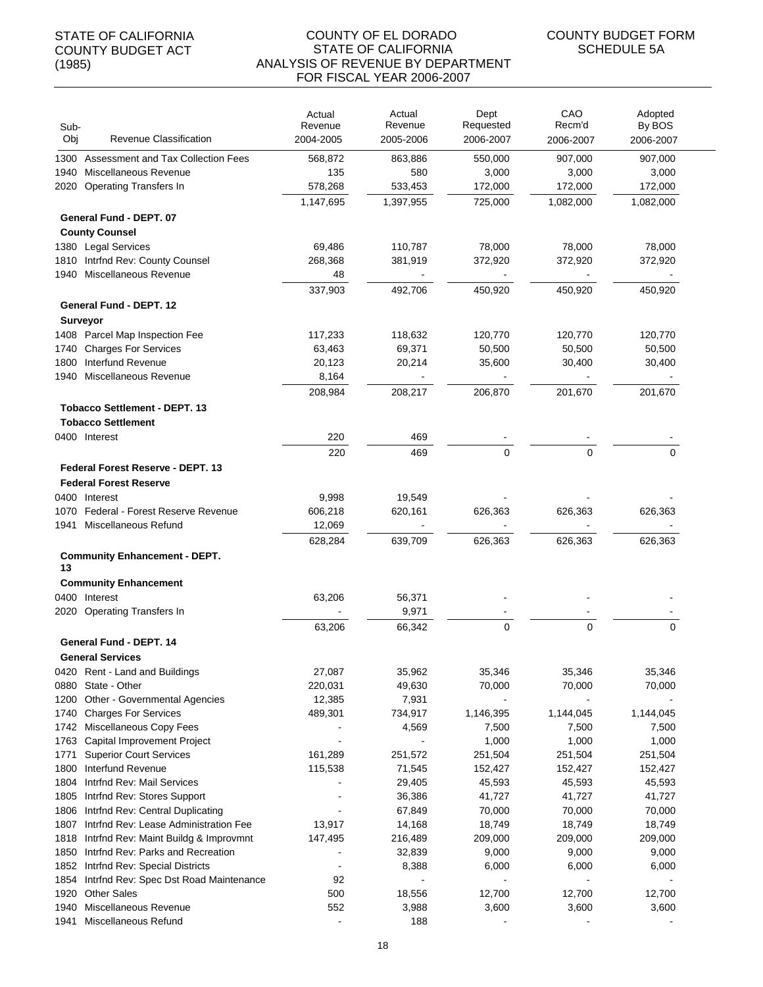#### COUNTY OF EL DORADO STATE OF CALIFORNIA ANALYSIS OF REVENUE BY DEPARTMENT FOR FISCAL YEAR 2006-2007

| Sub-<br>Obj  | <b>Revenue Classification</b>                                       | Actual<br>Revenue<br>2004-2005 | Actual<br>Revenue<br>2005-2006 | Dept<br>Requested<br>2006-2007 | CAO<br>Recm'd<br>2006-2007 | Adopted<br>By BOS<br>2006-2007 |
|--------------|---------------------------------------------------------------------|--------------------------------|--------------------------------|--------------------------------|----------------------------|--------------------------------|
| 1300         | Assessment and Tax Collection Fees                                  | 568,872                        | 863,886                        | 550,000                        | 907,000                    | 907,000                        |
| 1940         | Miscellaneous Revenue                                               | 135                            | 580                            | 3,000                          | 3,000                      | 3,000                          |
| 2020         | <b>Operating Transfers In</b>                                       | 578,268                        | 533,453                        | 172,000                        | 172,000                    | 172,000                        |
|              |                                                                     | 1,147,695                      | 1,397,955                      | 725,000                        | 1,082,000                  | 1,082,000                      |
|              | General Fund - DEPT. 07                                             |                                |                                |                                |                            |                                |
|              | <b>County Counsel</b>                                               |                                |                                |                                |                            |                                |
| 1380         | <b>Legal Services</b>                                               | 69,486                         | 110,787                        | 78,000                         | 78,000                     | 78,000                         |
| 1810         | Intrfnd Rev: County Counsel                                         | 268,368                        | 381,919                        | 372,920                        | 372,920                    | 372,920                        |
| 1940         | Miscellaneous Revenue                                               | 48                             |                                |                                |                            |                                |
|              |                                                                     | 337,903                        | 492,706                        | 450,920                        | 450,920                    | 450,920                        |
|              | General Fund - DEPT. 12                                             |                                |                                |                                |                            |                                |
|              | <b>Surveyor</b><br>1408 Parcel Map Inspection Fee                   | 117,233                        | 118,632                        | 120,770                        | 120,770                    | 120,770                        |
| 1740         | <b>Charges For Services</b>                                         | 63,463                         | 69,371                         | 50,500                         | 50,500                     | 50,500                         |
| 1800         | Interfund Revenue                                                   | 20,123                         | 20,214                         | 35,600                         | 30,400                     | 30,400                         |
| 1940         | Miscellaneous Revenue                                               | 8,164                          |                                |                                |                            |                                |
|              |                                                                     | 208,984                        | 208,217                        | 206,870                        | 201,670                    | 201,670                        |
|              | <b>Tobacco Settlement - DEPT. 13</b><br><b>Tobacco Settlement</b>   |                                |                                |                                |                            |                                |
|              | 0400 Interest                                                       | 220                            | 469                            |                                |                            |                                |
|              |                                                                     | 220                            | 469                            | $\Omega$                       | $\Omega$                   | $\Omega$                       |
|              | Federal Forest Reserve - DEPT. 13                                   |                                |                                |                                |                            |                                |
|              | <b>Federal Forest Reserve</b>                                       |                                |                                |                                |                            |                                |
| 0400         | Interest                                                            | 9,998                          | 19,549                         |                                |                            |                                |
| 1070         | Federal - Forest Reserve Revenue                                    | 606,218                        | 620,161                        | 626,363                        | 626,363                    | 626,363                        |
| 1941         | Miscellaneous Refund                                                | 12,069                         |                                |                                |                            |                                |
|              |                                                                     | 628,284                        | 639,709                        | 626,363                        | 626,363                    | 626,363                        |
| 13           | <b>Community Enhancement - DEPT.</b>                                |                                |                                |                                |                            |                                |
|              | <b>Community Enhancement</b>                                        |                                |                                |                                |                            |                                |
|              | 0400 Interest                                                       | 63,206                         | 56,371                         |                                |                            |                                |
|              | 2020 Operating Transfers In                                         |                                | 9,971                          |                                |                            |                                |
|              |                                                                     | 63,206                         | 66,342                         | $\mathbf 0$                    | $\mathbf 0$                | 0                              |
|              | General Fund - DEPT. 14                                             |                                |                                |                                |                            |                                |
|              | <b>General Services</b>                                             |                                |                                |                                |                            |                                |
| 0880         | 0420 Rent - Land and Buildings<br>State - Other                     | 27,087<br>220,031              | 35,962<br>49,630               | 35,346<br>70,000               | 35,346<br>70,000           | 35,346<br>70,000               |
| 1200         | Other - Governmental Agencies                                       | 12,385                         | 7,931                          |                                |                            |                                |
| 1740         | <b>Charges For Services</b>                                         | 489,301                        | 734,917                        | 1,146,395                      | 1,144,045                  | 1,144,045                      |
| 1742         | Miscellaneous Copy Fees                                             |                                | 4,569                          | 7,500                          | 7,500                      | 7,500                          |
| 1763         | Capital Improvement Project                                         |                                |                                | 1,000                          | 1,000                      | 1,000                          |
| 1771         | <b>Superior Court Services</b>                                      | 161,289                        | 251,572                        | 251,504                        | 251,504                    | 251,504                        |
| 1800         | Interfund Revenue                                                   | 115,538                        | 71,545                         | 152,427                        | 152,427                    | 152,427                        |
| 1804         | Intrfnd Rev: Mail Services                                          |                                | 29,405                         | 45,593                         | 45,593                     | 45,593                         |
| 1805         | Intrind Rev: Stores Support                                         |                                | 36,386                         | 41,727                         | 41,727                     | 41,727                         |
| 1806         | Intrfnd Rev: Central Duplicating                                    |                                | 67,849                         | 70,000                         | 70,000                     | 70,000                         |
| 1807         | Intrind Rev: Lease Administration Fee                               | 13,917                         | 14,168                         | 18,749                         | 18,749                     | 18,749                         |
| 1818         | Intrfnd Rev: Maint Buildg & Improvmnt                               | 147,495                        | 216,489                        | 209,000                        | 209,000                    | 209,000                        |
| 1850<br>1852 | Intrfnd Rev: Parks and Recreation<br>Intrind Rev: Special Districts | $\overline{\phantom{a}}$       | 32,839<br>8,388                | 9,000<br>6,000                 | 9,000<br>6,000             | 9,000<br>6,000                 |
| 1854         | Intrind Rev: Spec Dst Road Maintenance                              | 92                             |                                |                                |                            |                                |
| 1920         | <b>Other Sales</b>                                                  | 500                            | 18,556                         | 12,700                         | 12,700                     | 12,700                         |
| 1940         | Miscellaneous Revenue                                               | 552                            | 3,988                          | 3,600                          | 3,600                      | 3,600                          |
| 1941         | Miscellaneous Refund                                                | $\blacksquare$                 | 188                            |                                |                            |                                |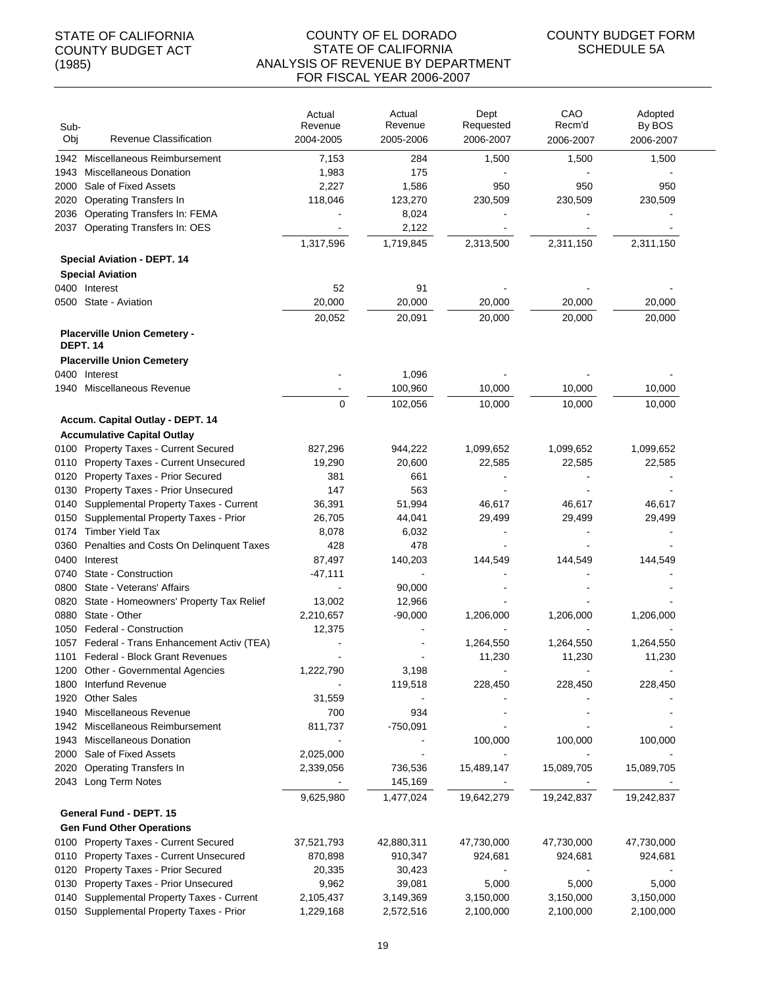#### COUNTY OF EL DORADO STATE OF CALIFORNIA ANALYSIS OF REVENUE BY DEPARTMENT FOR FISCAL YEAR 2006-2007

| Sub-<br>Obj | Revenue Classification                                 | Actual<br>Revenue<br>2004-2005 | Actual<br>Revenue<br>2005-2006 | Dept<br>Requested<br>2006-2007 | CAO<br>Recm'd<br>2006-2007 | Adopted<br>By BOS<br>2006-2007 |
|-------------|--------------------------------------------------------|--------------------------------|--------------------------------|--------------------------------|----------------------------|--------------------------------|
| 1942        | Miscellaneous Reimbursement                            | 7,153                          | 284                            | 1,500                          | 1,500                      | 1,500                          |
| 1943        | <b>Miscellaneous Donation</b>                          | 1,983                          | 175                            |                                |                            |                                |
| 2000        | Sale of Fixed Assets                                   | 2,227                          | 1,586                          | 950                            | 950                        | 950                            |
| 2020        | <b>Operating Transfers In</b>                          | 118,046                        | 123,270                        | 230,509                        | 230,509                    | 230,509                        |
| 2036        | Operating Transfers In: FEMA                           |                                | 8,024                          |                                |                            |                                |
| 2037        | Operating Transfers In: OES                            |                                | 2,122                          |                                |                            |                                |
|             |                                                        | 1,317,596                      | 1,719,845                      | 2,313,500                      | 2,311,150                  | 2,311,150                      |
|             | <b>Special Aviation - DEPT. 14</b>                     |                                |                                |                                |                            |                                |
|             | <b>Special Aviation</b>                                |                                |                                |                                |                            |                                |
|             | 0400 Interest                                          | 52                             | 91                             |                                |                            |                                |
|             | 0500 State - Aviation                                  | 20,000                         | 20,000                         | 20,000                         | 20,000                     | 20,000                         |
|             |                                                        | 20,052                         | 20,091                         | 20,000                         | 20,000                     | 20,000                         |
|             | <b>Placerville Union Cemetery -</b><br><b>DEPT. 14</b> |                                |                                |                                |                            |                                |
|             | <b>Placerville Union Cemetery</b>                      |                                |                                |                                |                            |                                |
|             | 0400 Interest                                          |                                | 1,096                          |                                |                            |                                |
|             | 1940 Miscellaneous Revenue                             |                                | 100,960                        | 10,000                         | 10,000                     | 10,000                         |
|             |                                                        | $\mathbf 0$                    | 102,056                        | 10,000                         | 10,000                     | 10,000                         |
|             | Accum. Capital Outlay - DEPT. 14                       |                                |                                |                                |                            |                                |
|             | <b>Accumulative Capital Outlay</b>                     |                                |                                |                                |                            |                                |
|             | 0100 Property Taxes - Current Secured                  | 827,296                        | 944,222                        | 1,099,652                      | 1,099,652                  | 1,099,652                      |
|             | 0110 Property Taxes - Current Unsecured                | 19,290                         | 20,600                         | 22,585                         | 22,585                     | 22,585                         |
|             | 0120 Property Taxes - Prior Secured                    | 381                            | 661                            |                                |                            |                                |
| 0130        | Property Taxes - Prior Unsecured                       | 147                            | 563                            |                                |                            |                                |
| 0140        | Supplemental Property Taxes - Current                  | 36,391                         | 51,994                         | 46,617                         | 46,617                     | 46,617                         |
| 0150        | Supplemental Property Taxes - Prior                    | 26,705                         | 44,041                         | 29,499                         | 29,499                     | 29,499                         |
| 0174        | Timber Yield Tax                                       | 8,078                          | 6,032                          |                                |                            |                                |
| 0360        | Penalties and Costs On Delinquent Taxes                | 428                            | 478                            |                                |                            |                                |
|             | 0400 Interest                                          | 87,497                         | 140,203                        | 144,549                        | 144,549                    | 144,549                        |
| 0740        | State - Construction                                   | $-47,111$                      |                                |                                |                            |                                |
|             | 0800 State - Veterans' Affairs                         |                                | 90,000                         |                                |                            |                                |
| 0820        | State - Homeowners' Property Tax Relief                | 13,002                         | 12,966                         |                                |                            |                                |
| 0880        | State - Other<br>1050 Federal - Construction           | 2,210,657                      | $-90,000$                      | 1,206,000                      | 1,206,000                  | 1,206,000                      |
|             | 1057 Federal - Trans Enhancement Activ (TEA)           | 12,375                         |                                | 1,264,550                      | 1,264,550                  | 1,264,550                      |
|             | 1101 Federal - Block Grant Revenues                    |                                |                                | 11,230                         | 11,230                     | 11,230                         |
|             | 1200 Other - Governmental Agencies                     | 1,222,790                      | 3,198                          |                                |                            |                                |
| 1800        | Interfund Revenue                                      |                                | 119,518                        | 228,450                        | 228,450                    | 228,450                        |
| 1920        | <b>Other Sales</b>                                     | 31,559                         |                                |                                |                            |                                |
| 1940        | Miscellaneous Revenue                                  | 700                            | 934                            |                                |                            |                                |
| 1942        | Miscellaneous Reimbursement                            | 811,737                        | $-750,091$                     |                                |                            |                                |
|             | 1943 Miscellaneous Donation                            |                                |                                | 100,000                        | 100,000                    | 100,000                        |
|             | 2000 Sale of Fixed Assets                              | 2,025,000                      |                                | $\blacksquare$                 |                            |                                |
| 2020        | <b>Operating Transfers In</b>                          | 2,339,056                      | 736,536                        | 15,489,147                     | 15,089,705                 | 15,089,705                     |
|             | 2043 Long Term Notes                                   |                                | 145,169                        |                                |                            |                                |
|             |                                                        | 9,625,980                      | 1,477,024                      | 19,642,279                     | 19,242,837                 | 19,242,837                     |
|             | General Fund - DEPT. 15                                |                                |                                |                                |                            |                                |
|             | <b>Gen Fund Other Operations</b>                       |                                |                                |                                |                            |                                |
|             | 0100 Property Taxes - Current Secured                  | 37,521,793                     | 42,880,311                     | 47,730,000                     | 47,730,000                 | 47,730,000                     |
|             | 0110 Property Taxes - Current Unsecured                | 870,898                        | 910,347                        | 924,681                        | 924,681                    | 924,681                        |
|             | 0120 Property Taxes - Prior Secured                    | 20,335                         | 30,423                         |                                |                            |                                |
| 0130        | <b>Property Taxes - Prior Unsecured</b>                | 9,962                          | 39,081                         | 5,000                          | 5,000                      | 5,000                          |
|             | 0140 Supplemental Property Taxes - Current             | 2,105,437                      | 3,149,369                      | 3,150,000                      | 3,150,000                  | 3,150,000                      |
|             | 0150 Supplemental Property Taxes - Prior               | 1,229,168                      | 2,572,516                      | 2,100,000                      | 2,100,000                  | 2,100,000                      |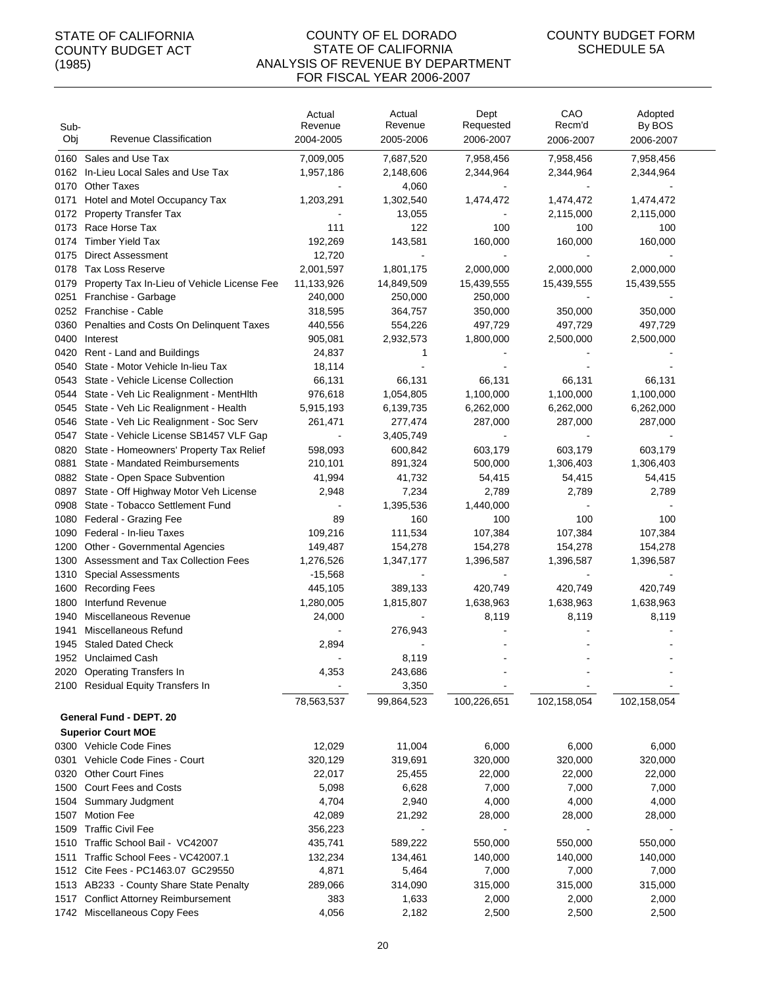| Sub-<br>Obj  | Revenue Classification                                           | Actual<br>Revenue      | Actual<br>Revenue           | Dept<br>Requested                     | CAO<br>Recm'd               | Adopted<br>By BOS |
|--------------|------------------------------------------------------------------|------------------------|-----------------------------|---------------------------------------|-----------------------------|-------------------|
|              |                                                                  | 2004-2005              | 2005-2006                   | 2006-2007                             | 2006-2007                   | 2006-2007         |
| 0160         | Sales and Use Tax                                                | 7,009,005              | 7,687,520                   | 7,958,456                             | 7,958,456                   | 7,958,456         |
| 0162         | In-Lieu Local Sales and Use Tax                                  | 1,957,186              | 2,148,606                   | 2,344,964                             | 2,344,964                   | 2,344,964         |
| 0170         | <b>Other Taxes</b>                                               |                        | 4,060                       |                                       |                             |                   |
| 0171         | Hotel and Motel Occupancy Tax                                    | 1,203,291              | 1,302,540                   | 1,474,472                             | 1,474,472                   | 1,474,472         |
| 0172<br>0173 | <b>Property Transfer Tax</b><br>Race Horse Tax                   | 111                    | 13,055<br>122               | 100                                   | 2,115,000<br>100            | 2,115,000<br>100  |
| 0174         | <b>Timber Yield Tax</b>                                          | 192,269                | 143,581                     | 160,000                               | 160,000                     | 160,000           |
| 0175         | <b>Direct Assessment</b>                                         | 12,720                 |                             |                                       |                             |                   |
| 0178         | <b>Tax Loss Reserve</b>                                          | 2,001,597              | 1,801,175                   | 2,000,000                             | 2,000,000                   | 2,000,000         |
| 0179         | Property Tax In-Lieu of Vehicle License Fee                      | 11,133,926             | 14,849,509                  | 15,439,555                            | 15,439,555                  | 15,439,555        |
| 0251         | Franchise - Garbage                                              | 240,000                | 250,000                     | 250,000                               |                             |                   |
|              | 0252 Franchise - Cable                                           | 318,595                | 364,757                     | 350,000                               | 350,000                     | 350,000           |
| 0360         | Penalties and Costs On Delinquent Taxes                          | 440,556                | 554,226                     | 497,729                               | 497,729                     | 497,729           |
| 0400         | Interest                                                         | 905,081                | 2,932,573                   | 1,800,000                             | 2,500,000                   | 2,500,000         |
| 0420         | Rent - Land and Buildings                                        | 24,837                 | 1                           |                                       |                             |                   |
| 0540         | State - Motor Vehicle In-lieu Tax                                | 18,114                 |                             |                                       |                             |                   |
| 0543         | State - Vehicle License Collection                               | 66,131                 | 66,131                      | 66,131                                | 66,131                      | 66,131            |
| 0544         | State - Veh Lic Realignment - MentHlth                           | 976,618                | 1,054,805                   | 1,100,000                             | 1,100,000                   | 1,100,000         |
| 0545         | State - Veh Lic Realignment - Health                             | 5,915,193              | 6,139,735                   | 6,262,000                             | 6,262,000                   | 6,262,000         |
| 0546         | State - Veh Lic Realignment - Soc Serv                           | 261,471                | 277,474                     | 287,000                               | 287,000                     | 287,000           |
| 0547         | State - Vehicle License SB1457 VLF Gap                           |                        | 3,405,749                   |                                       |                             |                   |
| 0820         | State - Homeowners' Property Tax Relief                          | 598,093                | 600,842                     | 603,179                               | 603,179                     | 603,179           |
| 0881         | State - Mandated Reimbursements                                  | 210,101                | 891,324                     | 500,000                               | 1,306,403                   | 1,306,403         |
| 0882         | State - Open Space Subvention                                    | 41,994                 | 41,732                      | 54,415                                | 54,415                      | 54,415            |
| 0897         | State - Off Highway Motor Veh License                            | 2,948                  | 7,234                       | 2,789                                 | 2,789                       | 2,789             |
| 0908         | State - Tobacco Settlement Fund                                  |                        | 1,395,536                   | 1,440,000                             |                             |                   |
| 1080         | Federal - Grazing Fee                                            | 89                     | 160                         | 100                                   | 100                         | 100               |
| 1090         | Federal - In-lieu Taxes                                          | 109,216                | 111,534                     | 107,384                               | 107,384                     | 107,384           |
| 1200         | Other - Governmental Agencies                                    | 149,487                | 154,278                     | 154,278                               | 154,278                     | 154,278           |
| 1300<br>1310 | Assessment and Tax Collection Fees<br><b>Special Assessments</b> | 1,276,526<br>$-15,568$ | 1,347,177<br>$\blacksquare$ | 1,396,587<br>$\overline{\phantom{a}}$ | 1,396,587<br>$\blacksquare$ | 1,396,587         |
| 1600         | <b>Recording Fees</b>                                            | 445,105                | 389,133                     | 420,749                               | 420,749                     | 420,749           |
| 1800         | Interfund Revenue                                                | 1,280,005              | 1,815,807                   | 1,638,963                             | 1,638,963                   | 1,638,963         |
| 1940         | Miscellaneous Revenue                                            | 24,000                 |                             | 8,119                                 | 8,119                       | 8,119             |
| 1941         | Miscellaneous Refund                                             |                        | 276,943                     |                                       |                             |                   |
|              | 1945 Staled Dated Check                                          | 2,894                  |                             |                                       |                             |                   |
|              | 1952 Unclaimed Cash                                              |                        | 8,119                       |                                       |                             |                   |
|              | 2020 Operating Transfers In                                      | 4,353                  | 243,686                     |                                       |                             |                   |
|              | 2100 Residual Equity Transfers In                                |                        | 3,350                       |                                       |                             |                   |
|              |                                                                  | 78,563,537             | 99,864,523                  | 100,226,651                           | 102,158,054                 | 102,158,054       |
|              | General Fund - DEPT. 20                                          |                        |                             |                                       |                             |                   |
|              | <b>Superior Court MOE</b>                                        |                        |                             |                                       |                             |                   |
|              | 0300 Vehicle Code Fines                                          | 12,029                 | 11,004                      | 6,000                                 | 6,000                       | 6,000             |
|              | 0301 Vehicle Code Fines - Court                                  | 320,129                | 319,691                     | 320,000                               | 320,000                     | 320,000           |
|              | 0320 Other Court Fines                                           | 22,017                 | 25,455                      | 22,000                                | 22,000                      | 22,000            |
|              | 1500 Court Fees and Costs                                        | 5,098                  | 6,628                       | 7,000                                 | 7,000                       | 7,000             |
| 1504         | Summary Judgment                                                 | 4,704                  | 2,940                       | 4,000                                 | 4,000                       | 4,000             |
| 1507         | <b>Motion Fee</b>                                                | 42,089                 | 21,292                      | 28,000                                | 28,000                      | 28,000            |
| 1509         | <b>Traffic Civil Fee</b>                                         | 356,223                |                             | $\blacksquare$                        |                             |                   |
|              | 1510 Traffic School Bail - VC42007                               | 435,741                | 589,222                     | 550,000                               | 550,000                     | 550,000           |
| 1511         | Traffic School Fees - VC42007.1                                  | 132,234                | 134,461                     | 140,000                               | 140,000                     | 140,000           |
|              | 1512 Cite Fees - PC1463.07 GC29550                               | 4,871                  | 5,464                       | 7,000                                 | 7,000                       | 7,000             |
|              | 1513 AB233 - County Share State Penalty                          | 289,066                | 314,090                     | 315,000                               | 315,000                     | 315,000           |
|              | 1517 Conflict Attorney Reimbursement                             | 383                    | 1,633                       | 2,000                                 | 2,000                       | 2,000             |
|              | 1742 Miscellaneous Copy Fees                                     | 4,056                  | 2,182                       | 2,500                                 | 2,500                       | 2,500             |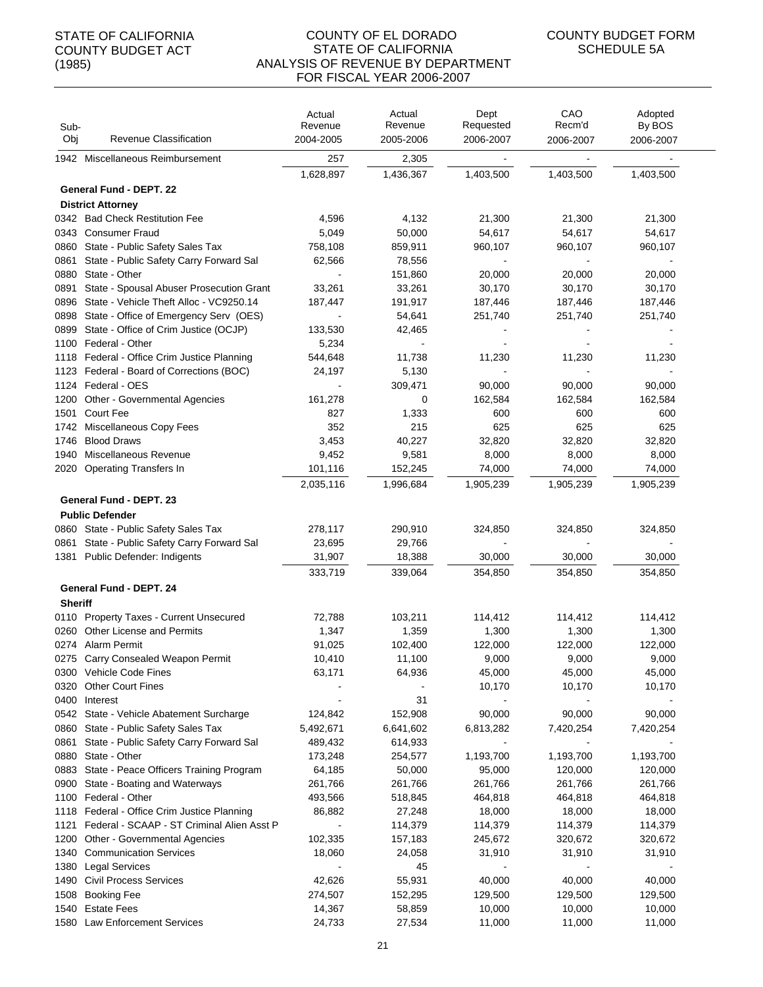| Sub-<br>Obj    | Revenue Classification                                                     | Actual<br>Revenue<br>2004-2005 | Actual<br>Revenue<br>2005-2006 | Dept<br>Requested<br>2006-2007 | CAO<br>Recm'd<br>2006-2007 | Adopted<br>By BOS<br>2006-2007 |
|----------------|----------------------------------------------------------------------------|--------------------------------|--------------------------------|--------------------------------|----------------------------|--------------------------------|
|                | 1942 Miscellaneous Reimbursement                                           | 257                            | 2,305                          |                                |                            |                                |
|                |                                                                            |                                |                                |                                |                            |                                |
|                |                                                                            | 1,628,897                      | 1,436,367                      | 1,403,500                      | 1,403,500                  | 1,403,500                      |
|                | General Fund - DEPT. 22                                                    |                                |                                |                                |                            |                                |
|                | <b>District Attorney</b>                                                   |                                |                                |                                |                            |                                |
|                | 0342 Bad Check Restitution Fee                                             | 4,596                          | 4,132                          | 21,300                         | 21,300                     | 21,300                         |
|                | 0343 Consumer Fraud                                                        | 5,049                          | 50,000                         | 54,617                         | 54,617                     | 54,617                         |
| 0860           | State - Public Safety Sales Tax<br>State - Public Safety Carry Forward Sal | 758,108                        | 859,911                        | 960,107                        | 960,107                    | 960,107                        |
| 0861<br>0880   | State - Other                                                              | 62,566                         | 78,556<br>151,860              | 20,000                         | 20,000                     | 20,000                         |
| 0891           | State - Spousal Abuser Prosecution Grant                                   | 33,261                         | 33,261                         | 30,170                         | 30,170                     | 30,170                         |
| 0896           | State - Vehicle Theft Alloc - VC9250.14                                    | 187,447                        | 191,917                        | 187,446                        | 187,446                    | 187,446                        |
| 0898           | State - Office of Emergency Serv (OES)                                     |                                | 54,641                         | 251,740                        | 251,740                    | 251,740                        |
| 0899           | State - Office of Crim Justice (OCJP)                                      | 133,530                        | 42,465                         |                                |                            |                                |
| 1100           | Federal - Other                                                            | 5,234                          |                                | $\blacksquare$                 |                            |                                |
|                | 1118 Federal - Office Crim Justice Planning                                | 544,648                        | 11,738                         | 11,230                         | 11,230                     | 11,230                         |
|                | 1123 Federal - Board of Corrections (BOC)                                  | 24,197                         | 5,130                          |                                |                            |                                |
|                | 1124 Federal - OES                                                         |                                | 309,471                        | 90,000                         | 90,000                     | 90,000                         |
| 1200           | Other - Governmental Agencies                                              | 161,278                        | 0                              | 162,584                        | 162,584                    | 162,584                        |
| 1501           | <b>Court Fee</b>                                                           | 827                            | 1,333                          | 600                            | 600                        | 600                            |
| 1742           | Miscellaneous Copy Fees                                                    | 352                            | 215                            | 625                            | 625                        | 625                            |
| 1746           | <b>Blood Draws</b>                                                         | 3,453                          | 40,227                         | 32,820                         | 32,820                     | 32,820                         |
| 1940           | Miscellaneous Revenue                                                      | 9,452                          | 9,581                          | 8,000                          | 8,000                      | 8,000                          |
| 2020           | <b>Operating Transfers In</b>                                              | 101,116                        | 152,245                        | 74,000                         | 74,000                     | 74,000                         |
|                |                                                                            | 2,035,116                      | 1,996,684                      | 1,905,239                      | 1,905,239                  | 1,905,239                      |
|                | General Fund - DEPT. 23                                                    |                                |                                |                                |                            |                                |
|                | <b>Public Defender</b>                                                     |                                |                                |                                |                            |                                |
|                | 0860 State - Public Safety Sales Tax                                       | 278,117                        | 290,910                        | 324,850                        | 324,850                    | 324,850                        |
|                | 0861 State - Public Safety Carry Forward Sal                               | 23,695                         | 29,766                         |                                |                            |                                |
|                | 1381 Public Defender: Indigents                                            | 31,907                         | 18,388                         | 30,000                         | 30,000                     | 30,000                         |
|                |                                                                            | 333,719                        | 339,064                        | 354,850                        | 354,850                    | 354,850                        |
|                | <b>General Fund - DEPT. 24</b>                                             |                                |                                |                                |                            |                                |
| <b>Sheriff</b> |                                                                            |                                |                                |                                |                            |                                |
|                | 0110 Property Taxes - Current Unsecured                                    | 72,788                         | 103,211                        | 114,412                        | 114,412                    | 114,412                        |
|                | 0260 Other License and Permits                                             | 1,347                          | 1,359                          | 1,300                          | 1,300                      | 1,300                          |
|                | 0274 Alarm Permit                                                          | 91,025                         | 102,400                        | 122,000                        | 122,000                    | 122,000                        |
|                | 0275 Carry Consealed Weapon Permit                                         | 10,410                         | 11,100                         | 9,000                          | 9,000                      | 9,000                          |
|                | 0300 Vehicle Code Fines                                                    | 63,171                         | 64,936                         | 45,000                         | 45,000                     | 45,000                         |
|                | 0320 Other Court Fines                                                     |                                |                                | 10,170                         | 10,170                     | 10,170                         |
|                | 0400 Interest                                                              |                                | 31                             |                                |                            |                                |
|                | 0542 State - Vehicle Abatement Surcharge                                   | 124,842                        | 152,908                        | 90,000                         | 90,000                     | 90,000                         |
|                | 0860 State - Public Safety Sales Tax                                       | 5,492,671                      | 6,641,602                      | 6,813,282                      | 7,420,254                  | 7,420,254                      |
|                | 0861 State - Public Safety Carry Forward Sal                               | 489,432                        | 614,933                        |                                |                            |                                |
|                | 0880 State - Other                                                         | 173,248                        | 254,577                        | 1,193,700                      | 1,193,700                  | 1,193,700                      |
|                | 0883 State - Peace Officers Training Program                               | 64,185                         | 50,000                         | 95,000                         | 120,000                    | 120,000                        |
|                | 0900 State - Boating and Waterways                                         | 261,766                        | 261,766                        | 261,766                        | 261,766                    | 261,766                        |
|                | 1100 Federal - Other                                                       | 493,566                        | 518,845                        | 464,818                        | 464,818                    | 464,818                        |
|                | 1118 Federal - Office Crim Justice Planning                                | 86,882                         | 27,248                         | 18,000                         | 18,000                     | 18,000                         |
| 1121           | Federal - SCAAP - ST Criminal Alien Asst P                                 | $\blacksquare$                 | 114,379                        | 114,379                        | 114,379                    | 114,379                        |
|                | 1200 Other - Governmental Agencies                                         | 102,335                        | 157,183                        | 245,672                        | 320,672                    | 320,672                        |
|                | 1340 Communication Services                                                | 18,060                         | 24,058                         | 31,910                         | 31,910                     | 31,910                         |
| 1380           | <b>Legal Services</b>                                                      |                                | 45                             |                                |                            |                                |
|                | 1490 Civil Process Services                                                | 42,626                         | 55,931                         | 40,000                         | 40,000                     | 40,000                         |
| 1508           | <b>Booking Fee</b>                                                         | 274,507                        | 152,295                        | 129,500                        | 129,500                    | 129,500                        |
| 1540           | <b>Estate Fees</b>                                                         | 14,367                         | 58,859                         | 10,000                         | 10,000                     | 10,000                         |
|                | 1580 Law Enforcement Services                                              | 24,733                         | 27,534                         | 11,000                         | 11,000                     | 11,000                         |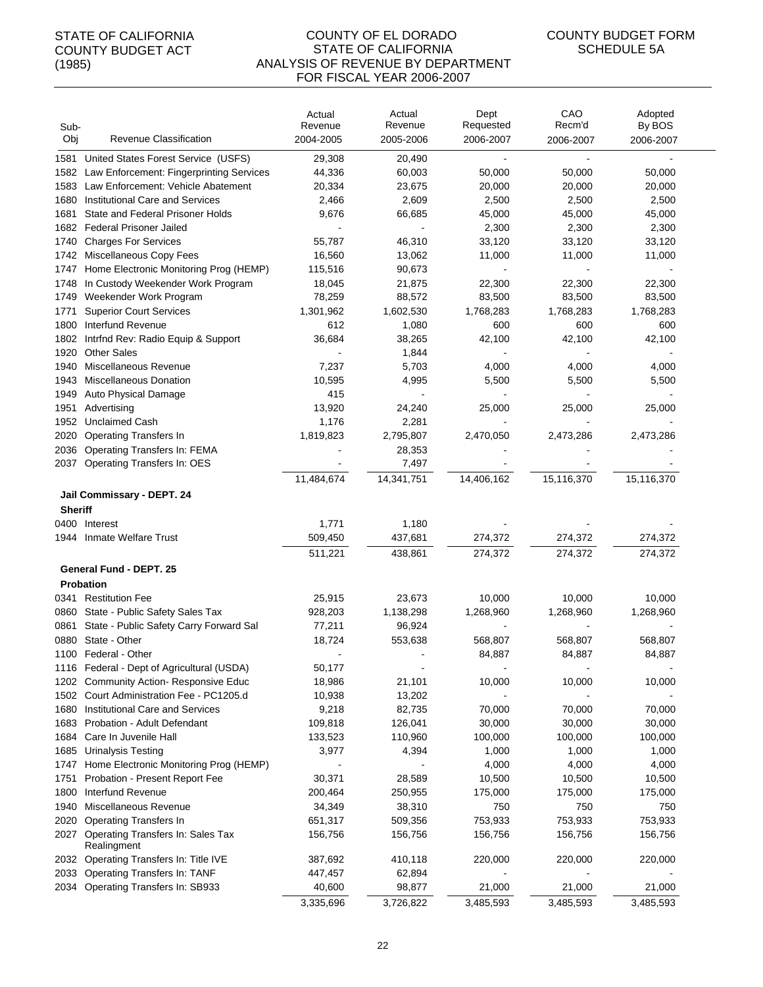#### COUNTY OF EL DORADO STATE OF CALIFORNIA ANALYSIS OF REVENUE BY DEPARTMENT FOR FISCAL YEAR 2006-2007

| Sub-<br>Obj    | Revenue Classification                                | Actual<br>Revenue<br>2004-2005 | Actual<br>Revenue<br>2005-2006 | Dept<br>Requested<br>2006-2007 | CAO<br>Recm'd<br>2006-2007 | Adopted<br>By BOS<br>2006-2007 |
|----------------|-------------------------------------------------------|--------------------------------|--------------------------------|--------------------------------|----------------------------|--------------------------------|
| 1581           | United States Forest Service (USFS)                   | 29,308                         | 20,490                         |                                |                            |                                |
| 1582           | Law Enforcement: Fingerprinting Services              | 44,336                         | 60,003                         | 50,000                         | 50,000                     | 50,000                         |
| 1583           | Law Enforcement: Vehicle Abatement                    | 20,334                         | 23,675                         | 20,000                         | 20,000                     | 20,000                         |
| 1680           | Institutional Care and Services                       | 2,466                          | 2,609                          | 2,500                          | 2,500                      | 2,500                          |
| 1681           | State and Federal Prisoner Holds                      | 9,676                          | 66,685                         | 45,000                         | 45,000                     | 45,000                         |
| 1682           | <b>Federal Prisoner Jailed</b>                        |                                |                                | 2,300                          | 2,300                      | 2,300                          |
| 1740           | <b>Charges For Services</b>                           | 55,787                         | 46,310                         | 33,120                         | 33,120                     | 33,120                         |
| 1742           | Miscellaneous Copy Fees                               | 16,560                         | 13,062                         | 11,000                         | 11,000                     | 11,000                         |
| 1747           | Home Electronic Monitoring Prog (HEMP)                | 115,516                        | 90,673                         | $\blacksquare$                 | $\overline{\phantom{a}}$   |                                |
| 1748           | In Custody Weekender Work Program                     | 18,045                         | 21,875                         | 22,300                         | 22,300                     | 22,300                         |
| 1749           | Weekender Work Program                                | 78,259                         | 88,572                         | 83,500                         | 83,500                     | 83,500                         |
| 1771           | <b>Superior Court Services</b>                        | 1,301,962                      | 1,602,530                      | 1,768,283                      | 1,768,283                  | 1,768,283                      |
| 1800           | Interfund Revenue                                     | 612                            | 1,080                          | 600                            | 600                        | 600                            |
| 1802           | Intrfnd Rev: Radio Equip & Support                    | 36,684                         | 38,265                         | 42,100                         | 42,100                     | 42,100                         |
| 1920           | <b>Other Sales</b>                                    |                                | 1,844                          |                                |                            |                                |
| 1940           | Miscellaneous Revenue                                 | 7,237                          | 5,703                          | 4,000                          | 4,000                      | 4,000                          |
| 1943           | Miscellaneous Donation                                | 10,595                         | 4,995                          | 5,500                          | 5,500                      | 5,500                          |
| 1949           | Auto Physical Damage                                  | 415                            |                                |                                |                            |                                |
| 1951           | Advertising                                           | 13,920                         | 24,240                         | 25,000                         | 25,000                     | 25,000                         |
| 1952           | <b>Unclaimed Cash</b>                                 | 1,176                          | 2,281                          |                                |                            |                                |
| 2020           | <b>Operating Transfers In</b>                         | 1,819,823                      | 2,795,807                      | 2,470,050                      | 2,473,286                  | 2,473,286                      |
| 2036           | Operating Transfers In: FEMA                          |                                | 28,353                         |                                |                            |                                |
| 2037           | Operating Transfers In: OES                           |                                | 7,497                          |                                |                            |                                |
|                |                                                       | 11,484,674                     | 14,341,751                     | 14,406,162                     | 15,116,370                 | 15,116,370                     |
|                | Jail Commissary - DEPT. 24                            |                                |                                |                                |                            |                                |
| <b>Sheriff</b> |                                                       |                                |                                |                                |                            |                                |
|                | 0400 Interest                                         | 1,771                          | 1,180                          |                                |                            |                                |
|                | 1944 Inmate Welfare Trust                             | 509,450                        | 437,681                        | 274,372                        | 274,372                    | 274,372                        |
|                |                                                       | 511,221                        | 438,861                        | 274,372                        | 274,372                    | 274,372                        |
|                | General Fund - DEPT. 25                               |                                |                                |                                |                            |                                |
|                | Probation                                             |                                |                                |                                |                            |                                |
| 0341           | <b>Restitution Fee</b>                                | 25,915                         | 23,673                         | 10,000                         | 10,000                     | 10,000                         |
|                | 0860 State - Public Safety Sales Tax                  | 928,203                        | 1,138,298                      | 1,268,960                      | 1,268,960                  | 1,268,960                      |
| 0861           | State - Public Safety Carry Forward Sal               | 77,211                         | 96,924                         |                                |                            |                                |
| 0880           | State - Other                                         | 18,724                         | 553,638                        | 568,807                        | 568,807                    | 568,807                        |
|                | 1100 Federal - Other                                  |                                |                                | 84,887                         | 84,887                     | 84,887                         |
|                | 1116 Federal - Dept of Agricultural (USDA)            | 50,177                         |                                |                                |                            |                                |
|                | 1202 Community Action-Responsive Educ                 | 18,986                         | 21,101                         | 10,000                         | 10,000                     | 10,000                         |
|                | 1502 Court Administration Fee - PC1205.d              | 10,938                         | 13,202                         |                                |                            |                                |
| 1680           | <b>Institutional Care and Services</b>                | 9,218                          | 82,735                         | 70,000                         | 70,000                     | 70,000                         |
| 1683           | Probation - Adult Defendant                           | 109,818                        | 126,041                        | 30,000                         | 30,000                     | 30,000                         |
| 1684           | Care In Juvenile Hall                                 | 133,523                        | 110,960                        | 100,000                        | 100,000                    | 100,000                        |
| 1685           | <b>Urinalysis Testing</b>                             | 3,977                          | 4,394                          | 1,000                          | 1,000                      | 1,000                          |
| 1747           | Home Electronic Monitoring Prog (HEMP)                |                                |                                | 4,000                          | 4,000                      | 4,000                          |
| 1751           | Probation - Present Report Fee                        | 30,371                         | 28,589                         | 10,500                         | 10,500                     | 10,500                         |
| 1800           | Interfund Revenue                                     | 200,464                        | 250,955                        | 175,000                        | 175,000                    | 175,000                        |
| 1940           | Miscellaneous Revenue                                 | 34,349                         | 38,310                         | 750                            | 750                        | 750                            |
| 2020           | <b>Operating Transfers In</b>                         | 651,317                        | 509,356                        | 753,933                        | 753,933                    | 753,933                        |
|                | 2027 Operating Transfers In: Sales Tax<br>Realingment | 156,756                        | 156,756                        | 156,756                        | 156,756                    | 156,756                        |
|                | 2032 Operating Transfers In: Title IVE                | 387,692                        | 410,118                        | 220,000                        | 220,000                    | 220,000                        |
|                | 2033 Operating Transfers In: TANF                     | 447,457                        | 62,894                         |                                |                            |                                |
|                | 2034 Operating Transfers In: SB933                    | 40,600                         | 98,877                         | 21,000                         | 21,000                     | 21,000                         |
|                |                                                       | 3,335,696                      | 3,726,822                      | 3,485,593                      | 3,485,593                  | 3,485,593                      |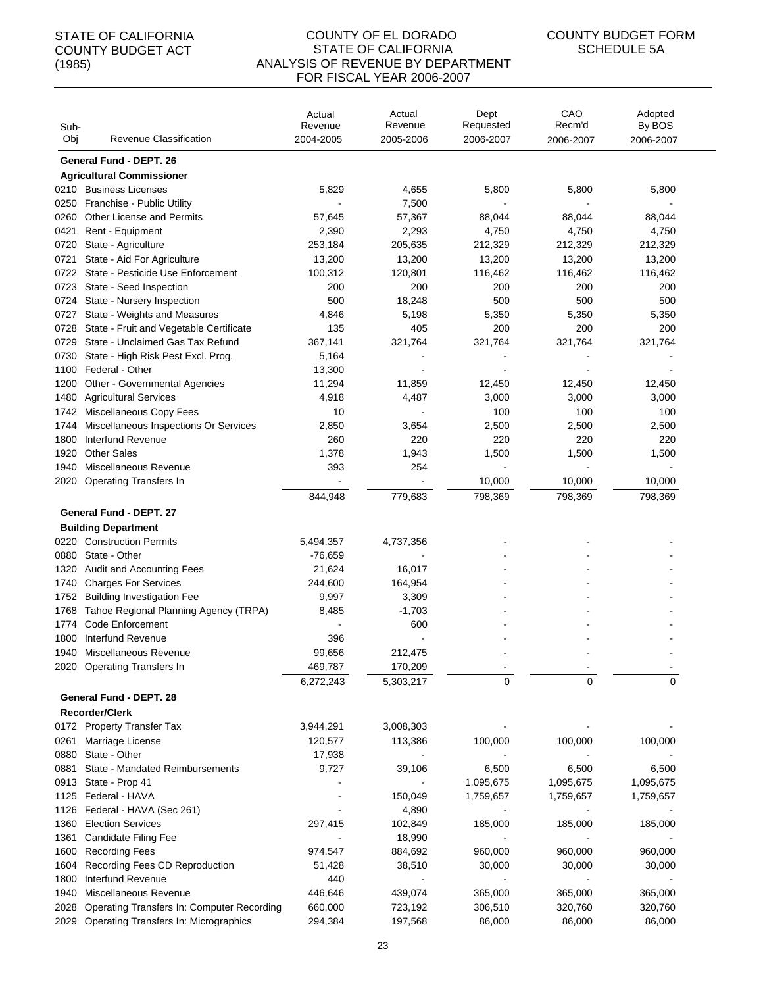| Sub-<br>Obj  | Revenue Classification                                     | Actual<br>Revenue<br>2004-2005 | Actual<br>Revenue<br>2005-2006 | Dept<br>Requested<br>2006-2007 | CAO<br>Recm'd<br>2006-2007 | Adopted<br>By BOS<br>2006-2007 |
|--------------|------------------------------------------------------------|--------------------------------|--------------------------------|--------------------------------|----------------------------|--------------------------------|
|              | <b>General Fund - DEPT. 26</b>                             |                                |                                |                                |                            |                                |
|              | <b>Agricultural Commissioner</b>                           |                                |                                |                                |                            |                                |
|              | 0210 Business Licenses                                     | 5,829                          | 4,655                          | 5,800                          | 5,800                      | 5,800                          |
|              | 0250 Franchise - Public Utility                            |                                | 7,500                          |                                |                            |                                |
| 0260         | <b>Other License and Permits</b>                           | 57,645                         | 57,367                         | 88,044                         | 88,044                     | 88,044                         |
| 0421         | Rent - Equipment                                           | 2,390                          | 2,293                          | 4,750                          | 4,750                      | 4,750                          |
| 0720         | State - Agriculture                                        | 253,184                        | 205,635                        | 212,329                        | 212,329                    | 212,329                        |
| 0721         | State - Aid For Agriculture                                | 13,200                         | 13,200                         | 13,200                         | 13,200                     | 13,200                         |
|              | 0722 State - Pesticide Use Enforcement                     | 100,312                        | 120,801                        | 116,462                        | 116,462                    | 116,462                        |
| 0723         | State - Seed Inspection                                    | 200                            | 200                            | 200                            | 200                        | 200                            |
| 0724         | State - Nursery Inspection                                 | 500                            | 18,248                         | 500                            | 500                        | 500                            |
| 0727         | State - Weights and Measures                               | 4,846                          | 5,198                          | 5,350                          | 5,350                      | 5,350                          |
| 0728         | State - Fruit and Vegetable Certificate                    | 135                            | 405                            | 200                            | 200                        | 200                            |
| 0729         | State - Unclaimed Gas Tax Refund                           | 367,141                        | 321,764                        | 321,764                        | 321,764                    | 321,764                        |
| 0730         | State - High Risk Pest Excl. Prog.                         | 5,164                          |                                |                                |                            |                                |
|              | 1100 Federal - Other                                       | 13,300                         |                                |                                |                            |                                |
| 1200         | Other - Governmental Agencies                              | 11,294                         | 11,859                         | 12,450                         | 12,450                     | 12,450                         |
| 1480         | <b>Agricultural Services</b>                               | 4,918                          | 4,487                          | 3,000                          | 3,000                      | 3,000                          |
| 1742         | Miscellaneous Copy Fees                                    | 10                             |                                | 100                            | 100                        | 100                            |
| 1744<br>1800 | Miscellaneous Inspections Or Services<br>Interfund Revenue | 2,850<br>260                   | 3,654<br>220                   | 2,500<br>220                   | 2,500<br>220               | 2,500<br>220                   |
| 1920         | <b>Other Sales</b>                                         | 1,378                          | 1,943                          | 1,500                          | 1,500                      | 1,500                          |
| 1940         | Miscellaneous Revenue                                      | 393                            | 254                            |                                |                            |                                |
|              | 2020 Operating Transfers In                                |                                |                                | 10,000                         | 10,000                     | 10,000                         |
|              |                                                            | 844,948                        | 779,683                        | 798,369                        | 798,369                    | 798,369                        |
|              | <b>General Fund - DEPT. 27</b>                             |                                |                                |                                |                            |                                |
|              | <b>Building Department</b>                                 |                                |                                |                                |                            |                                |
|              | 0220 Construction Permits                                  | 5,494,357                      | 4,737,356                      |                                |                            |                                |
| 0880         | State - Other                                              | $-76,659$                      |                                |                                |                            |                                |
| 1320         | Audit and Accounting Fees                                  | 21,624                         | 16,017                         |                                |                            |                                |
| 1740         | <b>Charges For Services</b>                                | 244,600                        | 164,954                        |                                |                            |                                |
| 1752         | <b>Building Investigation Fee</b>                          | 9,997                          | 3,309                          |                                |                            |                                |
| 1768         | Tahoe Regional Planning Agency (TRPA)                      | 8,485                          | $-1,703$                       |                                |                            |                                |
| 1774         | <b>Code Enforcement</b>                                    |                                | 600                            |                                |                            |                                |
| 1800         | Interfund Revenue                                          | 396                            |                                |                                |                            |                                |
| 1940         | Miscellaneous Revenue                                      | 99,656                         | 212,475                        |                                |                            |                                |
|              | 2020 Operating Transfers In                                | 469,787                        | 170,209                        |                                |                            |                                |
|              |                                                            | 6,272,243                      | 5,303,217                      | 0                              | $\Omega$                   | $\Omega$                       |
|              | General Fund - DEPT. 28                                    |                                |                                |                                |                            |                                |
|              | Recorder/Clerk                                             |                                |                                |                                |                            |                                |
|              | 0172 Property Transfer Tax                                 | 3,944,291                      | 3,008,303                      |                                |                            |                                |
| 0261         | Marriage License                                           | 120,577                        | 113,386                        | 100,000                        | 100,000                    | 100,000                        |
|              | 0880 State - Other                                         | 17,938                         | $\blacksquare$                 |                                |                            |                                |
| 0881         | State - Mandated Reimbursements                            | 9,727                          | 39,106                         | 6,500                          | 6,500                      | 6,500                          |
|              | 0913 State - Prop 41                                       |                                | $\blacksquare$                 | 1,095,675                      | 1,095,675                  | 1,095,675                      |
|              | 1125 Federal - HAVA                                        |                                | 150,049                        | 1,759,657                      | 1,759,657                  | 1,759,657                      |
|              | 1126 Federal - HAVA (Sec 261)                              |                                | 4,890                          |                                |                            |                                |
| 1360         | <b>Election Services</b>                                   | 297,415                        | 102,849                        | 185,000                        | 185,000                    | 185,000                        |
| 1361         | <b>Candidate Filing Fee</b>                                |                                | 18,990                         |                                |                            |                                |
| 1600         | <b>Recording Fees</b>                                      | 974,547                        | 884,692                        | 960,000                        | 960,000                    | 960,000                        |
| 1604         | Recording Fees CD Reproduction<br>Interfund Revenue        | 51,428<br>440                  | 38,510                         | 30,000                         | 30,000                     | 30,000                         |
| 1800<br>1940 | Miscellaneous Revenue                                      | 446,646                        | 439,074                        | 365,000                        | 365,000                    | 365,000                        |
| 2028         | <b>Operating Transfers In: Computer Recording</b>          | 660,000                        | 723,192                        | 306,510                        | 320,760                    | 320,760                        |
| 2029         | Operating Transfers In: Micrographics                      | 294,384                        | 197,568                        | 86,000                         | 86,000                     | 86,000                         |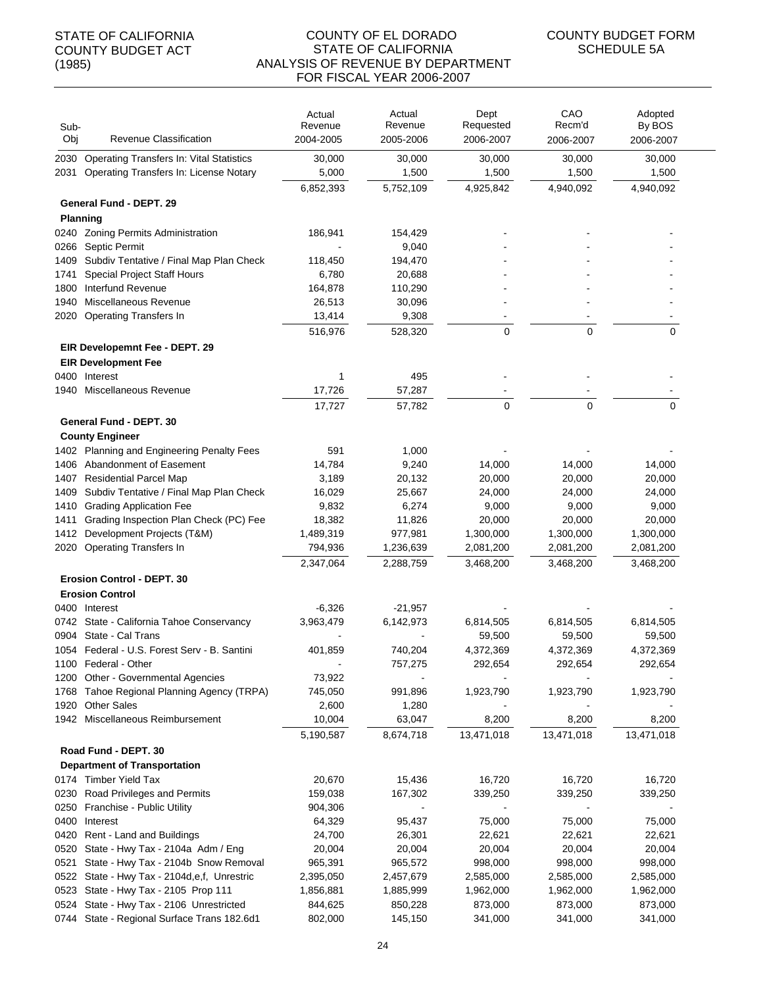| Sub-<br>Obj  | Revenue Classification                                                           | Actual<br>Revenue<br>2004-2005 | Actual<br>Revenue<br>2005-2006 | Dept<br>Requested<br>2006-2007 | CAO<br>Recm'd<br>2006-2007 | Adopted<br>By BOS<br>2006-2007 |
|--------------|----------------------------------------------------------------------------------|--------------------------------|--------------------------------|--------------------------------|----------------------------|--------------------------------|
|              |                                                                                  |                                |                                |                                |                            |                                |
| 2030         | <b>Operating Transfers In: Vital Statistics</b>                                  | 30,000                         | 30,000                         | 30,000                         | 30,000                     | 30,000                         |
| 2031         | Operating Transfers In: License Notary                                           | 5,000                          | 1,500                          | 1,500                          | 1,500                      | 1,500                          |
|              |                                                                                  | 6,852,393                      | 5,752,109                      | 4,925,842                      | 4,940,092                  | 4,940,092                      |
|              | General Fund - DEPT. 29                                                          |                                |                                |                                |                            |                                |
|              | <b>Planning</b>                                                                  |                                |                                |                                |                            |                                |
|              | 0240 Zoning Permits Administration                                               | 186,941                        | 154,429                        |                                |                            |                                |
| 0266         | Septic Permit                                                                    |                                | 9,040                          |                                |                            |                                |
| 1409         | Subdiv Tentative / Final Map Plan Check                                          | 118,450                        | 194,470                        |                                |                            |                                |
| 1741<br>1800 | Special Project Staff Hours<br>Interfund Revenue                                 | 6,780<br>164,878               | 20,688                         |                                |                            |                                |
| 1940         | Miscellaneous Revenue                                                            | 26,513                         | 110,290<br>30,096              |                                |                            |                                |
| 2020         | <b>Operating Transfers In</b>                                                    | 13,414                         | 9,308                          |                                |                            |                                |
|              |                                                                                  |                                |                                |                                |                            |                                |
|              |                                                                                  | 516,976                        | 528,320                        | 0                              | $\mathbf 0$                | 0                              |
|              | EIR Developemnt Fee - DEPT. 29                                                   |                                |                                |                                |                            |                                |
|              | <b>EIR Development Fee</b>                                                       |                                |                                |                                |                            |                                |
|              | 0400 Interest                                                                    | 1                              | 495                            |                                |                            |                                |
| 1940         | Miscellaneous Revenue                                                            | 17,726                         | 57.287                         |                                |                            |                                |
|              |                                                                                  | 17,727                         | 57,782                         | $\Omega$                       | $\Omega$                   | $\Omega$                       |
|              | General Fund - DEPT. 30                                                          |                                |                                |                                |                            |                                |
|              | <b>County Engineer</b>                                                           |                                |                                |                                |                            |                                |
|              | 1402 Planning and Engineering Penalty Fees                                       | 591                            | 1,000                          |                                |                            |                                |
| 1406         | Abandonment of Easement                                                          | 14,784                         | 9,240                          | 14,000                         | 14,000                     | 14,000                         |
|              | 1407 Residential Parcel Map                                                      | 3,189                          | 20,132                         | 20,000                         | 20,000                     | 20,000                         |
| 1409         | Subdiv Tentative / Final Map Plan Check                                          | 16,029                         | 25,667                         | 24,000                         | 24,000                     | 24,000                         |
| 1410         | <b>Grading Application Fee</b>                                                   | 9,832                          | 6,274                          | 9,000                          | 9,000                      | 9,000                          |
| 1411         | Grading Inspection Plan Check (PC) Fee                                           | 18,382                         | 11,826                         | 20,000                         | 20,000                     | 20,000                         |
| 1412         | Development Projects (T&M)                                                       | 1,489,319                      | 977,981                        | 1,300,000                      | 1,300,000                  | 1,300,000                      |
| 2020         | <b>Operating Transfers In</b>                                                    | 794,936                        | 1,236,639                      | 2,081,200                      | 2,081,200                  | 2,081,200                      |
|              |                                                                                  | 2,347,064                      | 2,288,759                      | 3,468,200                      | 3,468,200                  | 3,468,200                      |
|              | <b>Erosion Control - DEPT. 30</b>                                                |                                |                                |                                |                            |                                |
|              | <b>Erosion Control</b>                                                           |                                |                                |                                |                            |                                |
|              | 0400 Interest                                                                    | $-6,326$                       | $-21,957$                      |                                |                            |                                |
|              | 0742 State - California Tahoe Conservancy                                        | 3,963,479                      | 6,142,973                      | 6,814,505                      | 6,814,505                  | 6,814,505                      |
| 0904         | State - Cal Trans                                                                |                                |                                | 59,500                         | 59,500                     | 59,500                         |
|              | 1054 Federal - U.S. Forest Serv - B. Santini                                     | 401,859                        | 740,204                        | 4,372,369                      | 4,372,369                  | 4,372,369                      |
|              | 1100 Federal - Other                                                             |                                | 757,275                        | 292,654                        | 292,654                    | 292,654                        |
| 1200         | Other - Governmental Agencies                                                    | 73,922                         |                                |                                |                            |                                |
| 1768         | Tahoe Regional Planning Agency (TRPA)                                            | 745,050                        | 991,896                        | 1,923,790                      | 1,923,790                  | 1,923,790                      |
| 1920         | <b>Other Sales</b>                                                               | 2,600                          | 1,280                          |                                |                            |                                |
|              | 1942 Miscellaneous Reimbursement                                                 | 10,004                         | 63,047                         | 8,200                          | 8,200                      | 8,200                          |
|              |                                                                                  | 5,190,587                      | 8,674,718                      | 13,471,018                     | 13,471,018                 | 13,471,018                     |
|              | Road Fund - DEPT. 30                                                             |                                |                                |                                |                            |                                |
|              | <b>Department of Transportation</b>                                              |                                |                                |                                |                            |                                |
|              | 0174 Timber Yield Tax                                                            | 20,670                         | 15,436                         | 16,720                         | 16,720                     | 16,720                         |
| 0230         | Road Privileges and Permits                                                      | 159,038                        | 167,302                        | 339,250                        | 339,250                    | 339,250                        |
| 0250         | Franchise - Public Utility                                                       | 904,306                        |                                |                                |                            |                                |
|              | 0400 Interest                                                                    | 64,329                         | 95,437                         | 75,000                         | 75,000                     | 75,000                         |
|              | 0420 Rent - Land and Buildings                                                   | 24,700                         | 26,301                         | 22,621                         | 22,621                     | 22,621                         |
| 0520         | State - Hwy Tax - 2104a Adm / Eng                                                | 20,004                         | 20,004                         | 20,004                         | 20,004                     | 20,004                         |
| 0521         | State - Hwy Tax - 2104b Snow Removal                                             | 965,391                        | 965,572                        | 998,000                        | 998,000                    | 998,000                        |
|              | 0522 State - Hwy Tax - 2104d, e, f, Unrestric                                    | 2,395,050                      | 2,457,679                      | 2,585,000                      | 2,585,000                  | 2,585,000                      |
|              | 0523 State - Hwy Tax - 2105 Prop 111<br>0524 State - Hwy Tax - 2106 Unrestricted | 1,856,881<br>844,625           | 1,885,999<br>850,228           | 1,962,000<br>873,000           | 1,962,000<br>873,000       | 1,962,000<br>873,000           |
|              | 0744 State - Regional Surface Trans 182.6d1                                      | 802,000                        | 145,150                        | 341,000                        | 341,000                    | 341,000                        |
|              |                                                                                  |                                |                                |                                |                            |                                |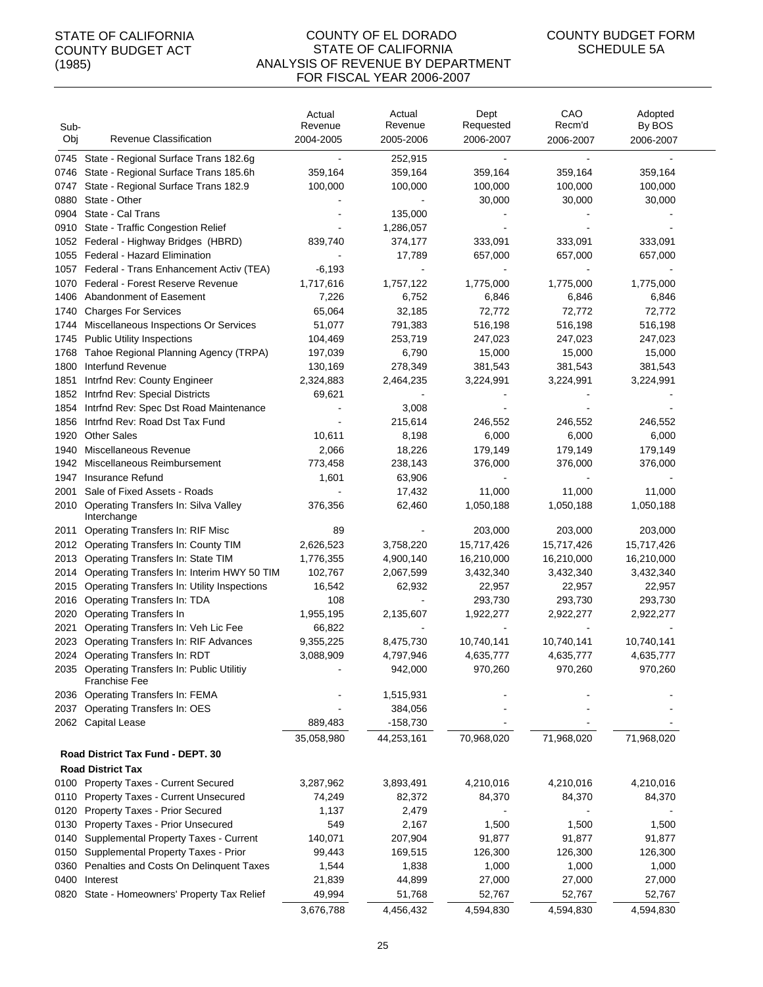| Sub-<br>Obj  | Revenue Classification                                               | Actual<br>Revenue<br>2004-2005 | Actual<br>Revenue<br>2005-2006 | Dept<br>Requested<br>2006-2007 | CAO<br>Recm'd<br>2006-2007 | Adopted<br>By BOS<br>2006-2007 |
|--------------|----------------------------------------------------------------------|--------------------------------|--------------------------------|--------------------------------|----------------------------|--------------------------------|
| 0745         | State - Regional Surface Trans 182.6g                                |                                | 252,915                        |                                |                            |                                |
| 0746         | State - Regional Surface Trans 185.6h                                | 359,164                        | 359,164                        | 359,164                        | 359,164                    | 359,164                        |
| 0747         | State - Regional Surface Trans 182.9                                 | 100,000                        | 100,000                        | 100,000                        | 100,000                    | 100,000                        |
| 0880         | State - Other                                                        |                                |                                | 30,000                         | 30,000                     | 30,000                         |
| 0904         | State - Cal Trans                                                    |                                | 135,000                        |                                |                            |                                |
| 0910         | State - Traffic Congestion Relief                                    |                                | 1,286,057                      |                                |                            |                                |
| 1052         | Federal - Highway Bridges (HBRD)                                     | 839,740                        | 374,177                        | 333,091                        | 333,091                    | 333,091                        |
| 1055         | Federal - Hazard Elimination                                         |                                | 17,789                         | 657,000                        | 657,000                    | 657,000                        |
|              | 1057 Federal - Trans Enhancement Activ (TEA)                         | -6,193                         |                                |                                |                            |                                |
| 1070         | Federal - Forest Reserve Revenue                                     | 1,717,616                      | 1,757,122                      | 1,775,000                      | 1,775,000                  | 1,775,000                      |
| 1406         | Abandonment of Easement                                              | 7,226                          | 6,752                          | 6,846                          | 6,846                      | 6,846                          |
| 1740         | <b>Charges For Services</b>                                          | 65,064                         | 32,185                         | 72,772                         | 72,772                     | 72,772                         |
| 1744         | Miscellaneous Inspections Or Services                                | 51,077                         | 791,383                        | 516,198                        | 516,198                    | 516,198                        |
| 1745         | <b>Public Utility Inspections</b>                                    | 104,469                        | 253,719                        | 247,023                        | 247,023                    | 247,023                        |
| 1768         | Tahoe Regional Planning Agency (TRPA)                                | 197,039                        | 6,790                          | 15,000                         | 15,000                     | 15,000                         |
| 1800         | Interfund Revenue                                                    | 130,169                        | 278,349                        | 381,543                        | 381,543                    | 381,543                        |
| 1851         | Intrfnd Rev: County Engineer                                         | 2,324,883                      | 2,464,235                      | 3,224,991                      | 3,224,991                  | 3,224,991                      |
| 1852         | Intrfnd Rev: Special Districts                                       | 69,621                         |                                |                                |                            |                                |
| 1854         | Intrfnd Rev: Spec Dst Road Maintenance                               |                                | 3,008                          |                                |                            |                                |
| 1856         | Intrfnd Rev: Road Dst Tax Fund                                       |                                | 215,614                        | 246,552                        | 246,552                    | 246,552                        |
| 1920         | <b>Other Sales</b><br>Miscellaneous Revenue                          | 10,611                         | 8,198                          | 6,000                          | 6,000                      | 6,000                          |
| 1940         | Miscellaneous Reimbursement                                          | 2,066                          | 18,226                         | 179,149                        | 179,149                    | 179,149                        |
| 1942<br>1947 | Insurance Refund                                                     | 773,458<br>1,601               | 238,143<br>63,906              | 376,000                        | 376,000                    | 376,000                        |
| 2001         | Sale of Fixed Assets - Roads                                         |                                | 17,432                         | 11,000                         | 11,000                     | 11,000                         |
|              | 2010 Operating Transfers In: Silva Valley                            | 376,356                        | 62,460                         | 1,050,188                      | 1,050,188                  | 1,050,188                      |
|              | Interchange                                                          |                                |                                |                                |                            |                                |
| 2011         | <b>Operating Transfers In: RIF Misc</b>                              | 89                             |                                | 203,000                        | 203,000                    | 203,000                        |
| 2012         | Operating Transfers In: County TIM                                   | 2,626,523                      | 3,758,220                      | 15,717,426                     | 15,717,426                 | 15,717,426                     |
| 2013         | Operating Transfers In: State TIM                                    | 1,776,355                      | 4,900,140                      | 16,210,000                     | 16,210,000                 | 16,210,000                     |
| 2014         | Operating Transfers In: Interim HWY 50 TIM                           | 102,767                        | 2,067,599                      | 3,432,340                      | 3,432,340                  | 3,432,340                      |
| 2015         | Operating Transfers In: Utility Inspections                          | 16,542                         | 62,932                         | 22,957                         | 22,957                     | 22,957                         |
| 2016         | Operating Transfers In: TDA                                          | 108                            |                                | 293,730                        | 293,730                    | 293,730                        |
| 2020         | <b>Operating Transfers In</b>                                        | 1,955,195                      | 2,135,607                      | 1,922,277                      | 2,922,277                  | 2,922,277                      |
| 2021         | Operating Transfers In: Veh Lic Fee                                  | 66,822                         |                                |                                |                            |                                |
| 2023         | Operating Transfers In: RIF Advances                                 | 9,355,225                      | 8,475,730                      | 10,740,141                     | 10,740,141                 | 10,740,141                     |
|              | 2024 Operating Transfers In: RDT                                     | 3,088,909                      | 4,797,946                      | 4,635,777                      | 4,635,777                  | 4,635,777                      |
|              | 2035 Operating Transfers In: Public Utilitiy<br><b>Franchise Fee</b> |                                | 942,000                        | 970,260                        | 970,260                    | 970,260                        |
|              | 2036 Operating Transfers In: FEMA                                    |                                | 1,515,931                      |                                |                            |                                |
|              | 2037 Operating Transfers In: OES                                     |                                | 384,056                        |                                |                            |                                |
|              | 2062 Capital Lease                                                   | 889,483                        | $-158,730$                     |                                |                            |                                |
|              |                                                                      | 35,058,980                     | 44,253,161                     | 70,968,020                     | 71,968,020                 | 71,968,020                     |
|              | Road District Tax Fund - DEPT. 30                                    |                                |                                |                                |                            |                                |
|              | <b>Road District Tax</b>                                             |                                |                                |                                |                            |                                |
|              | 0100 Property Taxes - Current Secured                                | 3,287,962                      | 3,893,491                      | 4,210,016                      | 4,210,016                  | 4,210,016                      |
|              | 0110 Property Taxes - Current Unsecured                              | 74,249                         | 82,372                         | 84,370                         | 84,370                     | 84,370                         |
| 0120         | <b>Property Taxes - Prior Secured</b>                                | 1,137                          | 2,479                          |                                |                            |                                |
| 0130         | Property Taxes - Prior Unsecured                                     | 549                            | 2,167                          | 1,500                          | 1,500                      | 1,500                          |
| 0140         | Supplemental Property Taxes - Current                                | 140,071                        | 207,904                        | 91,877                         | 91,877                     | 91,877                         |
| 0150         | Supplemental Property Taxes - Prior                                  | 99,443                         | 169,515                        | 126,300                        | 126,300                    | 126,300                        |
| 0360         | Penalties and Costs On Delinquent Taxes                              | 1,544                          | 1,838                          | 1,000                          | 1,000                      | 1,000                          |
| 0400         | Interest                                                             | 21,839                         | 44,899                         | 27,000                         | 27,000                     | 27,000                         |
| 0820         | State - Homeowners' Property Tax Relief                              | 49,994                         | 51,768                         | 52,767                         | 52,767                     | 52,767                         |
|              |                                                                      | 3,676,788                      | 4,456,432                      | 4,594,830                      | 4,594,830                  | 4,594,830                      |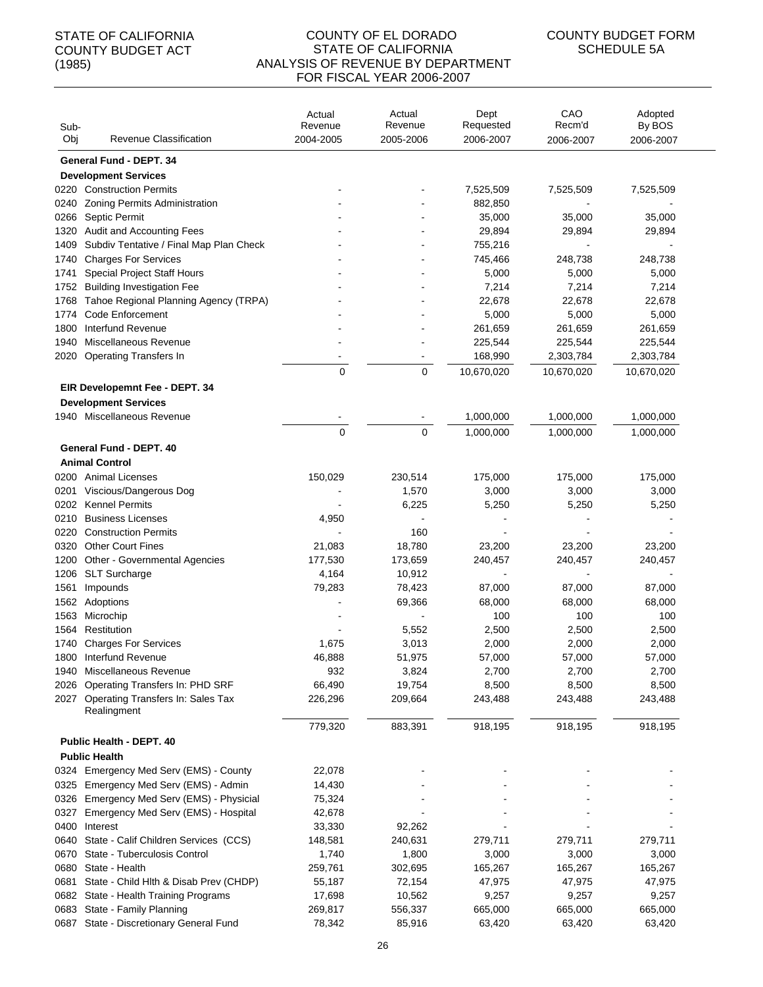#### COUNTY OF EL DORADO STATE OF CALIFORNIA ANALYSIS OF REVENUE BY DEPARTMENT FOR FISCAL YEAR 2006-2007

| Sub-         |                                                                  | Actual<br>Revenue | Actual<br>Revenue | Dept<br>Requested | CAO<br>Recm'd     | Adopted<br>By BOS |  |
|--------------|------------------------------------------------------------------|-------------------|-------------------|-------------------|-------------------|-------------------|--|
| Obj          | Revenue Classification                                           | 2004-2005         | 2005-2006         | 2006-2007         | 2006-2007         | 2006-2007         |  |
|              | General Fund - DEPT. 34                                          |                   |                   |                   |                   |                   |  |
|              | <b>Development Services</b>                                      |                   |                   |                   |                   |                   |  |
|              | 0220 Construction Permits                                        |                   |                   | 7,525,509         | 7,525,509         | 7,525,509         |  |
| 0240         | Zoning Permits Administration                                    |                   |                   | 882,850           |                   |                   |  |
| 0266         | Septic Permit                                                    |                   |                   | 35,000            | 35,000            | 35,000            |  |
| 1320         | <b>Audit and Accounting Fees</b>                                 |                   |                   | 29,894            | 29,894            | 29,894            |  |
| 1409         | Subdiv Tentative / Final Map Plan Check                          |                   |                   | 755,216           |                   |                   |  |
| 1740         | <b>Charges For Services</b>                                      |                   |                   | 745,466           | 248,738           | 248,738           |  |
| 1741<br>1752 | Special Project Staff Hours<br><b>Building Investigation Fee</b> |                   |                   | 5,000<br>7,214    | 5,000<br>7,214    | 5,000<br>7,214    |  |
| 1768         | Tahoe Regional Planning Agency (TRPA)                            |                   |                   | 22,678            | 22,678            | 22,678            |  |
| 1774         | Code Enforcement                                                 |                   |                   | 5,000             | 5,000             | 5,000             |  |
| 1800         | Interfund Revenue                                                |                   |                   | 261,659           | 261,659           | 261,659           |  |
| 1940         | Miscellaneous Revenue                                            |                   |                   | 225,544           | 225,544           | 225,544           |  |
| 2020         | <b>Operating Transfers In</b>                                    |                   |                   | 168,990           | 2,303,784         | 2,303,784         |  |
|              |                                                                  | 0                 | 0                 | 10,670,020        | 10,670,020        | 10,670,020        |  |
|              | EIR Developemnt Fee - DEPT. 34                                   |                   |                   |                   |                   |                   |  |
|              | <b>Development Services</b>                                      |                   |                   |                   |                   |                   |  |
|              | 1940 Miscellaneous Revenue                                       |                   |                   | 1,000,000         | 1,000,000         | 1,000,000         |  |
|              |                                                                  | $\mathbf 0$       | $\mathbf 0$       | 1,000,000         | 1,000,000         | 1,000,000         |  |
|              | General Fund - DEPT. 40                                          |                   |                   |                   |                   |                   |  |
|              | <b>Animal Control</b>                                            |                   |                   |                   |                   |                   |  |
|              | 0200 Animal Licenses                                             | 150,029           | 230,514           | 175,000           | 175,000           | 175,000           |  |
| 0201         | Viscious/Dangerous Dog                                           |                   | 1,570             | 3,000             | 3,000             | 3,000             |  |
|              | 0202 Kennel Permits                                              |                   | 6,225             | 5,250             | 5,250             | 5,250             |  |
| 0210         | <b>Business Licenses</b>                                         | 4,950             |                   |                   |                   |                   |  |
| 0220         | <b>Construction Permits</b>                                      |                   | 160               |                   |                   |                   |  |
| 0320         | <b>Other Court Fines</b>                                         | 21,083            | 18,780            | 23,200            | 23,200            | 23,200            |  |
| 1200         | Other - Governmental Agencies                                    | 177,530           | 173,659           | 240,457           | 240,457           | 240,457           |  |
| 1206         | <b>SLT Surcharge</b>                                             | 4,164             | 10,912            | $\blacksquare$    | $\overline{a}$    |                   |  |
| 1561         | Impounds                                                         | 79,283            | 78,423            | 87,000            | 87,000            | 87,000            |  |
| 1562         | Adoptions                                                        |                   | 69,366            | 68,000            | 68,000            | 68,000            |  |
| 1563         | Microchip                                                        |                   |                   | 100               | 100               | 100               |  |
| 1564         | Restitution                                                      |                   | 5,552             | 2,500             | 2,500             | 2,500             |  |
|              | 1740 Charges For Services                                        | 1,675             | 3,013             | 2,000             | 2,000             | 2,000             |  |
|              | 1800 Interfund Revenue                                           | 46,888            | 51,975            | 57,000            | 57,000            | 57,000            |  |
| 1940         | Miscellaneous Revenue                                            | 932               | 3,824             | 2,700             | 2,700             | 2,700             |  |
| 2026         | Operating Transfers In: PHD SRF                                  | 66,490            | 19,754            | 8,500             | 8,500             | 8,500             |  |
| 2027         | Operating Transfers In: Sales Tax<br>Realingment                 | 226,296           | 209,664           | 243,488           | 243,488           | 243,488           |  |
|              |                                                                  | 779,320           | 883,391           | 918,195           | 918,195           | 918,195           |  |
|              | <b>Public Health - DEPT. 40</b>                                  |                   |                   |                   |                   |                   |  |
|              | <b>Public Health</b>                                             |                   |                   |                   |                   |                   |  |
|              | 0324 Emergency Med Serv (EMS) - County                           | 22,078            |                   |                   |                   |                   |  |
|              | 0325 Emergency Med Serv (EMS) - Admin                            | 14,430            |                   |                   |                   |                   |  |
|              | 0326 Emergency Med Serv (EMS) - Physicial                        | 75,324            |                   |                   |                   |                   |  |
| 0327         | Emergency Med Serv (EMS) - Hospital                              | 42,678            |                   |                   |                   |                   |  |
| 0400         | Interest                                                         | 33,330            | 92,262            |                   |                   |                   |  |
|              | 0640 State - Calif Children Services (CCS)                       | 148,581           | 240,631           | 279,711           | 279,711           | 279,711           |  |
| 0670         | State - Tuberculosis Control                                     | 1,740             | 1,800             | 3,000             | 3,000             | 3,000             |  |
| 0680         | State - Health                                                   | 259,761           | 302,695           | 165,267           | 165,267           | 165,267           |  |
| 0681         | State - Child Hlth & Disab Prev (CHDP)                           | 55,187            | 72,154            | 47,975            | 47,975            | 47,975            |  |
| 0682         | State - Health Training Programs                                 | 17,698            | 10,562            | 9,257             | 9,257             | 9,257             |  |
| 0683<br>0687 | State - Family Planning<br>State - Discretionary General Fund    | 269,817<br>78,342 | 556,337<br>85,916 | 665,000<br>63,420 | 665,000<br>63,420 | 665,000<br>63,420 |  |
|              |                                                                  |                   |                   |                   |                   |                   |  |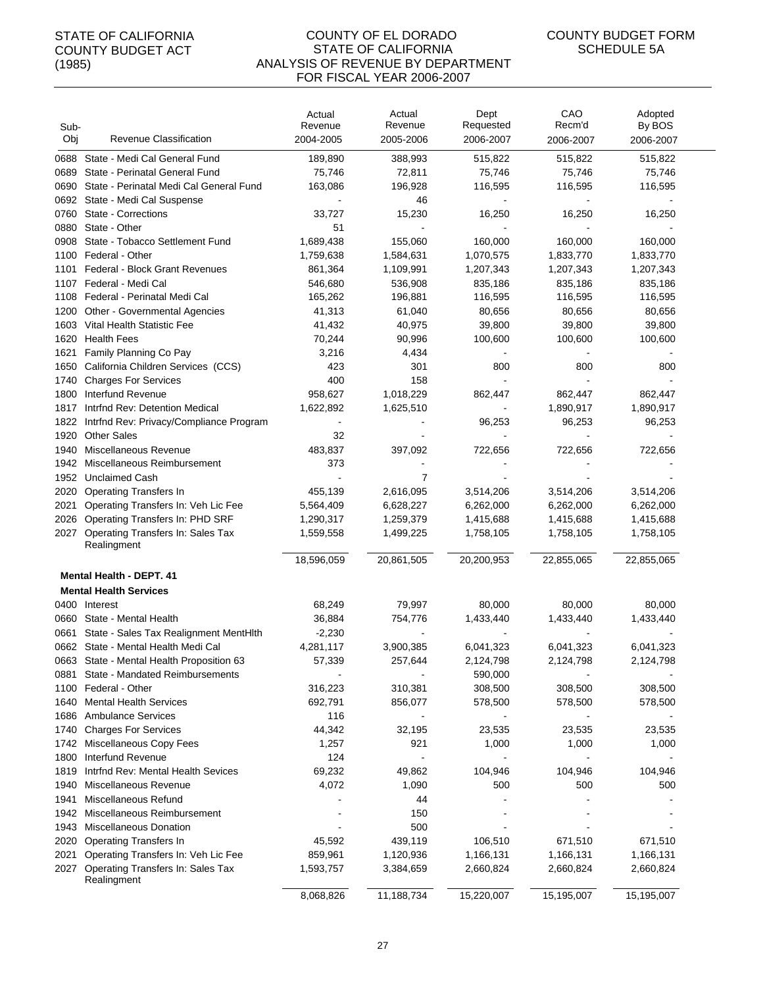#### COUNTY OF EL DORADO STATE OF CALIFORNIA ANALYSIS OF REVENUE BY DEPARTMENT FOR FISCAL YEAR 2006-2007

| Sub-         |                                                                          | Actual<br>Revenue    | Actual<br>Revenue      | Dept<br>Requested      | CAO<br>Recm'd          | Adopted<br>By BOS      |
|--------------|--------------------------------------------------------------------------|----------------------|------------------------|------------------------|------------------------|------------------------|
| Obj          | Revenue Classification                                                   | 2004-2005            | 2005-2006              | 2006-2007              | 2006-2007              | 2006-2007              |
| 0688         | State - Medi Cal General Fund                                            | 189,890              | 388,993                | 515,822                | 515,822                | 515,822                |
| 0689         | State - Perinatal General Fund                                           | 75,746               | 72,811                 | 75,746                 | 75,746                 | 75,746                 |
| 0690         | State - Perinatal Medi Cal General Fund                                  | 163,086              | 196,928                | 116,595                | 116,595                | 116,595                |
| 0692         | State - Medi Cal Suspense                                                |                      | 46                     |                        |                        |                        |
| 0760         | State - Corrections                                                      | 33,727               | 15,230                 | 16,250                 | 16,250                 | 16,250                 |
| 0880         | State - Other                                                            | 51                   |                        |                        |                        |                        |
| 0908         | State - Tobacco Settlement Fund                                          | 1,689,438            | 155,060                | 160,000                | 160,000                | 160,000                |
| 1100         | Federal - Other                                                          | 1,759,638            | 1,584,631              | 1,070,575              | 1,833,770              | 1,833,770              |
| 1101         | <b>Federal - Block Grant Revenues</b>                                    | 861,364              | 1,109,991              | 1,207,343              | 1,207,343              | 1,207,343              |
| 1107         | Federal - Medi Cal                                                       | 546,680              | 536,908                | 835,186                | 835,186                | 835,186                |
|              | 1108 Federal - Perinatal Medi Cal                                        | 165,262              | 196,881                | 116,595                | 116,595                | 116,595                |
| 1200         | Other - Governmental Agencies                                            | 41,313               | 61,040                 | 80,656                 | 80,656                 | 80,656                 |
| 1603         | Vital Health Statistic Fee                                               | 41,432               | 40,975                 | 39,800                 | 39,800                 | 39,800                 |
| 1620         | <b>Health Fees</b>                                                       | 70,244               | 90,996                 | 100,600                | 100,600                | 100,600                |
| 1621         | Family Planning Co Pay                                                   | 3,216                | 4,434                  |                        |                        |                        |
| 1650         | California Children Services (CCS)                                       | 423                  | 301                    | 800                    | 800                    | 800                    |
| 1740         | <b>Charges For Services</b>                                              | 400                  | 158                    |                        |                        |                        |
| 1800<br>1817 | Interfund Revenue<br>Intrfnd Rev: Detention Medical                      | 958,627<br>1,622,892 | 1,018,229<br>1,625,510 | 862,447                | 862,447<br>1,890,917   | 862,447                |
| 1822         |                                                                          |                      |                        |                        | 96,253                 | 1,890,917              |
| 1920         | Intrfnd Rev: Privacy/Compliance Program<br><b>Other Sales</b>            | 32                   |                        | 96,253                 |                        | 96,253                 |
| 1940         | Miscellaneous Revenue                                                    | 483,837              | 397,092                | 722,656                | 722,656                | 722,656                |
| 1942         | Miscellaneous Reimbursement                                              | 373                  |                        |                        |                        |                        |
| 1952         | <b>Unclaimed Cash</b>                                                    |                      | 7                      |                        |                        |                        |
| 2020         | <b>Operating Transfers In</b>                                            | 455,139              | 2,616,095              | 3,514,206              | 3,514,206              | 3,514,206              |
| 2021         | Operating Transfers In: Veh Lic Fee                                      | 5,564,409            | 6,628,227              | 6,262,000              | 6,262,000              | 6,262,000              |
| 2026         | Operating Transfers In: PHD SRF                                          | 1,290,317            | 1,259,379              | 1,415,688              | 1,415,688              | 1,415,688              |
| 2027         | Operating Transfers In: Sales Tax                                        | 1,559,558            | 1,499,225              | 1,758,105              | 1,758,105              | 1,758,105              |
|              | Realingment                                                              |                      |                        |                        |                        |                        |
|              |                                                                          | 18,596,059           | 20,861,505             | 20,200,953             | 22,855,065             | 22,855,065             |
|              | Mental Health - DEPT. 41                                                 |                      |                        |                        |                        |                        |
|              | <b>Mental Health Services</b>                                            |                      |                        |                        |                        |                        |
|              | 0400 Interest                                                            | 68,249               | 79,997                 | 80,000                 | 80,000                 | 80,000                 |
| 0660         | State - Mental Health                                                    | 36,884               | 754,776                | 1,433,440              | 1,433,440              | 1,433,440              |
| 0661         | State - Sales Tax Realignment MentHith                                   | $-2,230$             |                        |                        |                        |                        |
|              | 0662 State - Mental Health Medi Cal                                      | 4,281,117            | 3,900,385              | 6,041,323              | 6,041,323              | 6,041,323              |
|              | 0663 State - Mental Health Proposition 63                                | 57,339               | 257,644                | 2,124,798              | 2,124,798              | 2,124,798              |
|              | 0881 State - Mandated Reimbursements                                     |                      |                        | 590,000                |                        |                        |
|              | 1100 Federal - Other                                                     | 316,223              | 310,381                | 308,500                | 308,500                | 308,500                |
|              | 1640 Mental Health Services                                              | 692,791              | 856,077                | 578,500                | 578,500                | 578,500                |
| 1686         | <b>Ambulance Services</b>                                                | 116                  |                        |                        |                        |                        |
| 1740         | <b>Charges For Services</b>                                              | 44,342               | 32,195                 | 23,535                 | 23,535                 | 23,535                 |
| 1742         | Miscellaneous Copy Fees                                                  | 1,257                | 921                    | 1,000                  | 1,000                  | 1,000                  |
| 1800         | Interfund Revenue                                                        | 124                  |                        |                        |                        |                        |
| 1819         | Intrfnd Rev: Mental Health Sevices                                       | 69,232               | 49,862                 | 104,946                | 104,946                | 104,946                |
| 1940         | Miscellaneous Revenue                                                    | 4,072                | 1,090                  | 500                    | 500                    | 500                    |
| 1941         | Miscellaneous Refund                                                     |                      | 44                     |                        |                        |                        |
| 1942         | Miscellaneous Reimbursement                                              |                      | 150                    |                        |                        |                        |
| 1943         | Miscellaneous Donation                                                   |                      | 500                    |                        |                        |                        |
| 2020<br>2021 | <b>Operating Transfers In</b>                                            | 45,592               | 439,119                | 106,510                | 671,510                | 671,510                |
| 2027         | Operating Transfers In: Veh Lic Fee<br>Operating Transfers In: Sales Tax | 859,961<br>1,593,757 | 1,120,936<br>3,384,659 | 1,166,131<br>2,660,824 | 1,166,131<br>2,660,824 | 1,166,131<br>2,660,824 |
|              | Realingment                                                              |                      |                        |                        |                        |                        |
|              |                                                                          | 8,068,826            | 11,188,734             | 15,220,007             | 15,195,007             | 15,195,007             |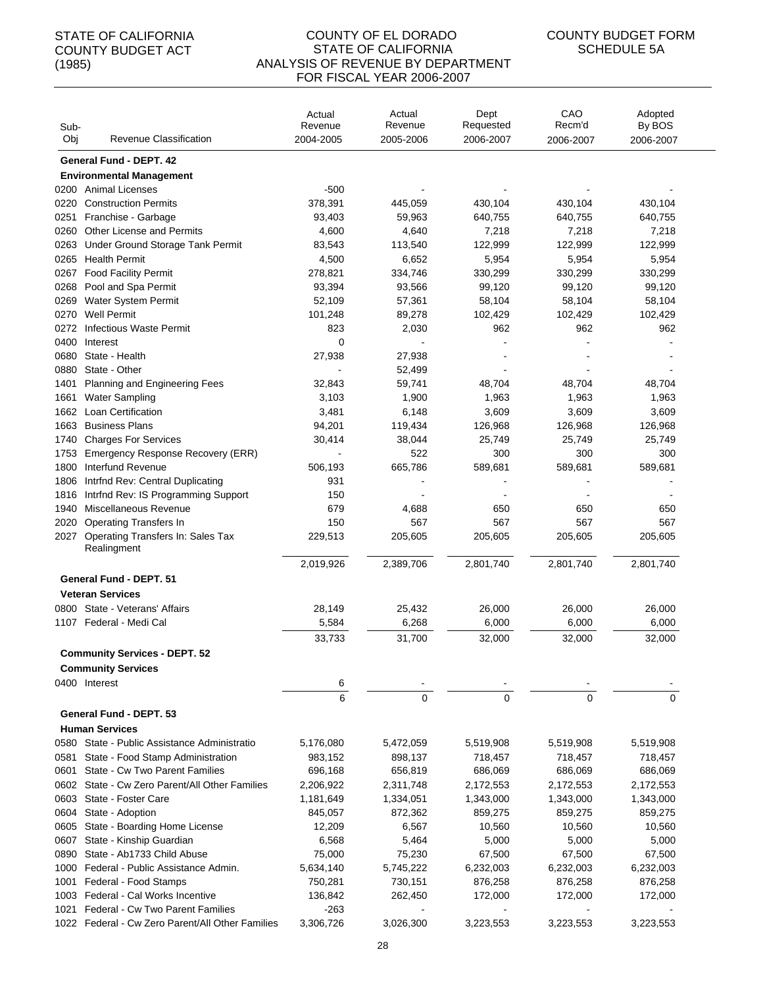| Sub-<br>Obj | Revenue Classification                           | Actual<br>Revenue<br>2004-2005 | Actual<br>Revenue<br>2005-2006 | Dept<br>Requested<br>2006-2007 | CAO<br>Recm'd<br>2006-2007 | Adopted<br>By BOS<br>2006-2007 |
|-------------|--------------------------------------------------|--------------------------------|--------------------------------|--------------------------------|----------------------------|--------------------------------|
|             | General Fund - DEPT. 42                          |                                |                                |                                |                            |                                |
|             | <b>Environmental Management</b>                  |                                |                                |                                |                            |                                |
|             | 0200 Animal Licenses                             | $-500$                         |                                |                                |                            |                                |
| 0220        | <b>Construction Permits</b>                      | 378,391                        | 445,059                        | 430,104                        | 430,104                    | 430,104                        |
| 0251        | Franchise - Garbage                              | 93,403                         | 59,963                         | 640,755                        | 640,755                    | 640,755                        |
| 0260        | Other License and Permits                        | 4,600                          | 4,640                          | 7,218                          | 7,218                      | 7,218                          |
| 0263        | Under Ground Storage Tank Permit                 | 83,543                         | 113,540                        | 122,999                        | 122,999                    | 122,999                        |
| 0265        | <b>Health Permit</b>                             | 4,500                          | 6,652                          | 5,954                          | 5,954                      | 5,954                          |
| 0267        | <b>Food Facility Permit</b>                      | 278,821                        | 334,746                        | 330,299                        | 330,299                    | 330,299                        |
| 0268        | Pool and Spa Permit                              | 93,394                         | 93,566                         | 99,120                         | 99,120                     | 99,120                         |
| 0269        | Water System Permit                              | 52,109                         | 57,361                         | 58,104                         | 58,104                     | 58,104                         |
| 0270        | <b>Well Permit</b>                               | 101,248                        | 89,278                         | 102,429                        | 102,429                    | 102,429                        |
| 0272        | <b>Infectious Waste Permit</b>                   | 823                            | 2,030                          | 962                            | 962                        | 962                            |
| 0400        | Interest                                         | 0                              |                                |                                |                            |                                |
| 0680        | State - Health                                   | 27,938                         | 27,938                         |                                |                            |                                |
| 0880        | State - Other                                    |                                | 52,499                         |                                |                            |                                |
| 1401        | Planning and Engineering Fees                    | 32,843                         | 59,741                         | 48,704                         | 48,704                     | 48,704                         |
| 1661        | <b>Water Sampling</b>                            | 3,103                          | 1,900                          | 1,963                          | 1,963                      | 1,963                          |
| 1662        | <b>Loan Certification</b>                        | 3,481                          | 6,148                          | 3,609                          | 3,609                      | 3,609                          |
| 1663        | <b>Business Plans</b>                            | 94,201                         | 119,434                        | 126,968                        | 126,968                    | 126,968                        |
| 1740        | <b>Charges For Services</b>                      | 30,414                         | 38,044                         | 25,749                         | 25,749                     | 25,749                         |
| 1753        | Emergency Response Recovery (ERR)                |                                | 522                            | 300                            | 300                        | 300                            |
| 1800        | Interfund Revenue                                | 506,193                        | 665,786                        | 589,681                        | 589,681                    | 589,681                        |
| 1806        | Intrfnd Rev: Central Duplicating                 | 931                            |                                |                                |                            |                                |
| 1816        | Intrfnd Rev: IS Programming Support              | 150                            |                                |                                |                            |                                |
| 1940        | Miscellaneous Revenue                            | 679                            | 4,688                          | 650                            | 650                        | 650                            |
| 2020        | <b>Operating Transfers In</b>                    | 150                            | 567                            | 567                            | 567                        | 567                            |
| 2027        | Operating Transfers In: Sales Tax                | 229,513                        | 205,605                        | 205,605                        | 205,605                    | 205,605                        |
|             | Realingment                                      |                                |                                |                                |                            |                                |
|             |                                                  | 2,019,926                      | 2,389,706                      | 2,801,740                      | 2,801,740                  | 2,801,740                      |
|             | <b>General Fund - DEPT, 51</b>                   |                                |                                |                                |                            |                                |
|             | <b>Veteran Services</b>                          |                                |                                |                                |                            |                                |
|             | 0800 State - Veterans' Affairs                   | 28,149                         | 25,432                         | 26,000                         | 26,000                     | 26,000                         |
|             | 1107 Federal - Medi Cal                          | 5,584                          | 6,268                          | 6,000                          | 6,000                      | 6,000                          |
|             |                                                  | 33,733                         | 31,700                         | 32,000                         | 32,000                     | 32,000                         |
|             | <b>Community Services - DEPT. 52</b>             |                                |                                |                                |                            |                                |
|             | <b>Community Services</b>                        |                                |                                |                                |                            |                                |
|             | 0400 Interest                                    |                                |                                |                                |                            |                                |
|             |                                                  | 6<br>6                         | $\mathbf 0$                    | $\Omega$                       | $\Omega$                   | $\Omega$                       |
|             |                                                  |                                |                                |                                |                            |                                |
|             | General Fund - DEPT. 53                          |                                |                                |                                |                            |                                |
|             | <b>Human Services</b>                            |                                |                                |                                |                            |                                |
| 0580        | State - Public Assistance Administratio          | 5,176,080                      | 5,472,059                      | 5,519,908                      | 5,519,908                  | 5,519,908                      |
| 0581        | State - Food Stamp Administration                | 983,152                        | 898,137                        | 718,457                        | 718,457                    | 718,457                        |
| 0601        | State - Cw Two Parent Families                   | 696,168                        | 656,819                        | 686,069                        | 686,069                    | 686,069                        |
| 0602        | State - Cw Zero Parent/All Other Families        | 2,206,922                      | 2,311,748                      | 2,172,553                      | 2,172,553                  | 2,172,553                      |
| 0603        | State - Foster Care                              | 1,181,649                      | 1,334,051                      | 1,343,000                      | 1,343,000                  | 1,343,000                      |
| 0604        | State - Adoption                                 | 845,057                        | 872,362                        | 859,275                        | 859,275                    | 859,275                        |
| 0605        | State - Boarding Home License                    | 12,209                         | 6,567                          | 10,560                         | 10,560                     | 10,560                         |
| 0607        | State - Kinship Guardian                         | 6,568                          | 5,464                          | 5,000                          | 5,000                      | 5,000                          |
| 0890        | State - Ab1733 Child Abuse                       | 75,000                         | 75,230                         | 67,500                         | 67,500                     | 67,500                         |
| 1000        | Federal - Public Assistance Admin.               | 5,634,140                      | 5,745,222                      | 6,232,003                      | 6,232,003                  | 6,232,003                      |
| 1001        | Federal - Food Stamps                            | 750,281                        | 730,151                        | 876,258                        | 876,258                    | 876,258                        |
| 1003        | Federal - Cal Works Incentive                    | 136,842                        | 262,450                        | 172,000                        | 172,000                    | 172,000                        |
| 1021        | <b>Federal - Cw Two Parent Families</b>          | $-263$                         |                                |                                |                            |                                |
|             | 1022 Federal - Cw Zero Parent/All Other Families | 3,306,726                      | 3,026,300                      | 3,223,553                      | 3,223,553                  | 3,223,553                      |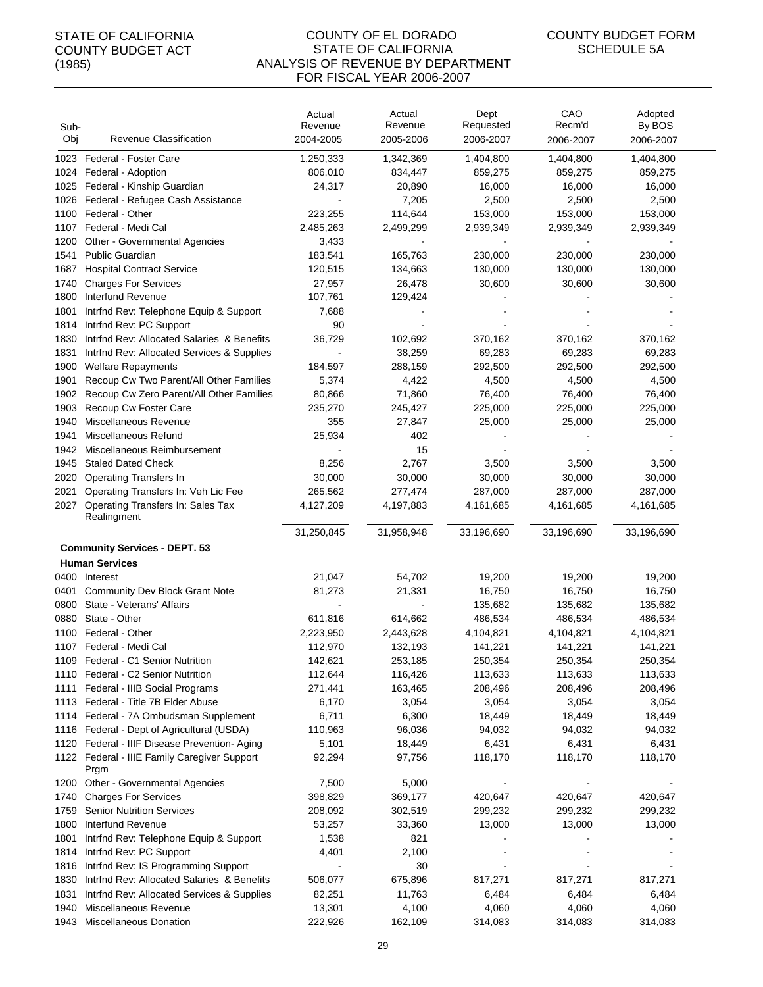#### COUNTY OF EL DORADO STATE OF CALIFORNIA ANALYSIS OF REVENUE BY DEPARTMENT FOR FISCAL YEAR 2006-2007

| Sub-<br>Obj  | Revenue Classification                               | Actual<br>Revenue<br>2004-2005 | Actual<br>Revenue<br>2005-2006 | Dept<br>Requested<br>2006-2007 | CAO<br>Recm'd<br>2006-2007 | Adopted<br>By BOS<br>2006-2007 |
|--------------|------------------------------------------------------|--------------------------------|--------------------------------|--------------------------------|----------------------------|--------------------------------|
|              |                                                      |                                |                                |                                |                            |                                |
| 1023         | Federal - Foster Care<br>1024 Federal - Adoption     | 1,250,333<br>806,010           | 1,342,369<br>834,447           | 1,404,800<br>859,275           | 1,404,800<br>859,275       | 1,404,800<br>859,275           |
|              | 1025 Federal - Kinship Guardian                      | 24,317                         | 20,890                         | 16,000                         | 16,000                     | 16,000                         |
|              |                                                      |                                |                                |                                |                            |                                |
| 1026<br>1100 | Federal - Refugee Cash Assistance<br>Federal - Other | 223,255                        | 7,205<br>114,644               | 2,500<br>153,000               | 2,500<br>153,000           | 2,500<br>153,000               |
| 1107         | Federal - Medi Cal                                   | 2,485,263                      | 2,499,299                      | 2,939,349                      | 2,939,349                  | 2,939,349                      |
| 1200         | Other - Governmental Agencies                        | 3,433                          |                                |                                |                            |                                |
| 1541         | Public Guardian                                      | 183,541                        | 165,763                        | 230,000                        | 230,000                    | 230,000                        |
| 1687         | <b>Hospital Contract Service</b>                     | 120,515                        | 134,663                        | 130,000                        | 130,000                    | 130,000                        |
| 1740         | <b>Charges For Services</b>                          | 27,957                         | 26,478                         | 30,600                         | 30,600                     | 30,600                         |
| 1800         | Interfund Revenue                                    | 107,761                        | 129,424                        |                                |                            |                                |
| 1801         | Intrfnd Rev: Telephone Equip & Support               | 7,688                          |                                |                                |                            |                                |
| 1814         | Intrfnd Rev: PC Support                              | 90                             |                                |                                |                            |                                |
| 1830         | Intrind Rev: Allocated Salaries & Benefits           | 36,729                         | 102,692                        | 370,162                        | 370,162                    | 370,162                        |
| 1831         | Intrfnd Rev: Allocated Services & Supplies           |                                | 38,259                         | 69,283                         | 69,283                     | 69,283                         |
| 1900         | <b>Welfare Repayments</b>                            | 184,597                        | 288,159                        | 292,500                        | 292,500                    | 292,500                        |
| 1901         | Recoup Cw Two Parent/All Other Families              | 5,374                          | 4,422                          | 4,500                          | 4,500                      | 4,500                          |
| 1902         | Recoup Cw Zero Parent/All Other Families             | 80,866                         | 71,860                         | 76,400                         | 76,400                     | 76,400                         |
| 1903         | Recoup Cw Foster Care                                | 235,270                        | 245,427                        | 225,000                        | 225,000                    | 225,000                        |
| 1940         | Miscellaneous Revenue                                | 355                            | 27,847                         | 25,000                         | 25,000                     | 25,000                         |
| 1941         | Miscellaneous Refund                                 | 25,934                         | 402                            |                                |                            |                                |
| 1942         | Miscellaneous Reimbursement                          |                                | 15                             |                                |                            |                                |
| 1945         | <b>Staled Dated Check</b>                            | 8,256                          | 2,767                          | 3,500                          | 3,500                      | 3,500                          |
| 2020         | <b>Operating Transfers In</b>                        | 30,000                         | 30,000                         | 30,000                         | 30,000                     | 30,000                         |
| 2021         | Operating Transfers In: Veh Lic Fee                  | 265,562                        | 277,474                        | 287,000                        | 287,000                    | 287,000                        |
| 2027         | Operating Transfers In: Sales Tax<br>Realingment     | 4,127,209                      | 4,197,883                      | 4,161,685                      | 4,161,685                  | 4,161,685                      |
|              |                                                      | 31,250,845                     | 31,958,948                     | 33,196,690                     | 33,196,690                 | 33,196,690                     |
|              | <b>Community Services - DEPT. 53</b>                 |                                |                                |                                |                            |                                |
|              | <b>Human Services</b>                                |                                |                                |                                |                            |                                |
|              | 0400 Interest                                        | 21,047                         | 54,702                         | 19,200                         | 19,200                     | 19,200                         |
| 0401         | <b>Community Dev Block Grant Note</b>                | 81,273                         | 21,331                         | 16,750                         | 16,750                     | 16,750                         |
| 0800         | State - Veterans' Affairs                            |                                |                                | 135,682                        | 135,682                    | 135,682                        |
| 0880         | State - Other                                        | 611,816                        | 614,662                        | 486,534                        | 486,534                    | 486,534                        |
| 1100         | Federal - Other                                      | 2,223,950                      | 2,443,628                      | 4,104,821                      | 4,104,821                  | 4,104,821                      |
|              | 1107 Federal - Medi Cal                              | 112,970                        | 132,193                        | 141,221                        | 141,221                    | 141,221                        |
|              | 1109 Federal - C1 Senior Nutrition                   | 142,621                        | 253,185                        | 250,354                        | 250,354                    | 250,354                        |
|              | 1110 Federal - C2 Senior Nutrition                   | 112,644                        | 116,426                        | 113,633                        | 113,633                    | 113,633                        |
| 1111         | Federal - IIIB Social Programs                       | 271,441                        | 163,465                        | 208,496                        | 208,496                    | 208,496                        |
|              | 1113 Federal - Title 7B Elder Abuse                  | 6,170                          | 3,054                          | 3,054                          | 3,054                      | 3,054                          |
|              | 1114 Federal - 7A Ombudsman Supplement               | 6,711                          | 6,300                          | 18,449                         | 18,449                     | 18,449                         |
|              | 1116 Federal - Dept of Agricultural (USDA)           | 110,963                        | 96,036                         | 94,032                         | 94,032                     | 94,032                         |
|              | 1120 Federal - IIIF Disease Prevention- Aging        | 5,101                          | 18,449                         | 6,431                          | 6,431                      | 6,431                          |
|              | 1122 Federal - IIIE Family Caregiver Support<br>Prgm | 92,294                         | 97,756                         | 118,170                        | 118,170                    | 118,170                        |
|              | 1200 Other - Governmental Agencies                   | 7,500                          | 5,000                          |                                |                            |                                |
| 1740         | <b>Charges For Services</b>                          | 398,829                        | 369,177                        | 420,647                        | 420,647                    | 420,647                        |
| 1759         | <b>Senior Nutrition Services</b>                     | 208,092                        | 302,519                        | 299,232                        | 299,232                    | 299,232                        |
| 1800         | Interfund Revenue                                    | 53,257                         | 33,360                         | 13,000                         | 13,000                     | 13,000                         |
| 1801         | Intrind Rev: Telephone Equip & Support               | 1,538                          | 821                            |                                |                            |                                |
| 1814         | Intrind Rev: PC Support                              | 4,401                          | 2,100                          |                                |                            |                                |
| 1816         | Intrind Rev: IS Programming Support                  |                                | 30                             |                                |                            |                                |
| 1830         | Intrfnd Rev: Allocated Salaries & Benefits           | 506,077                        | 675,896                        | 817,271                        | 817,271                    | 817,271                        |
| 1831         | Intrind Rev: Allocated Services & Supplies           | 82,251                         | 11,763                         | 6,484                          | 6,484                      | 6,484                          |
| 1940         | Miscellaneous Revenue                                | 13,301                         | 4,100                          | 4,060                          | 4,060                      | 4,060                          |
|              | 1943 Miscellaneous Donation                          | 222,926                        | 162,109                        | 314,083                        | 314,083                    | 314,083                        |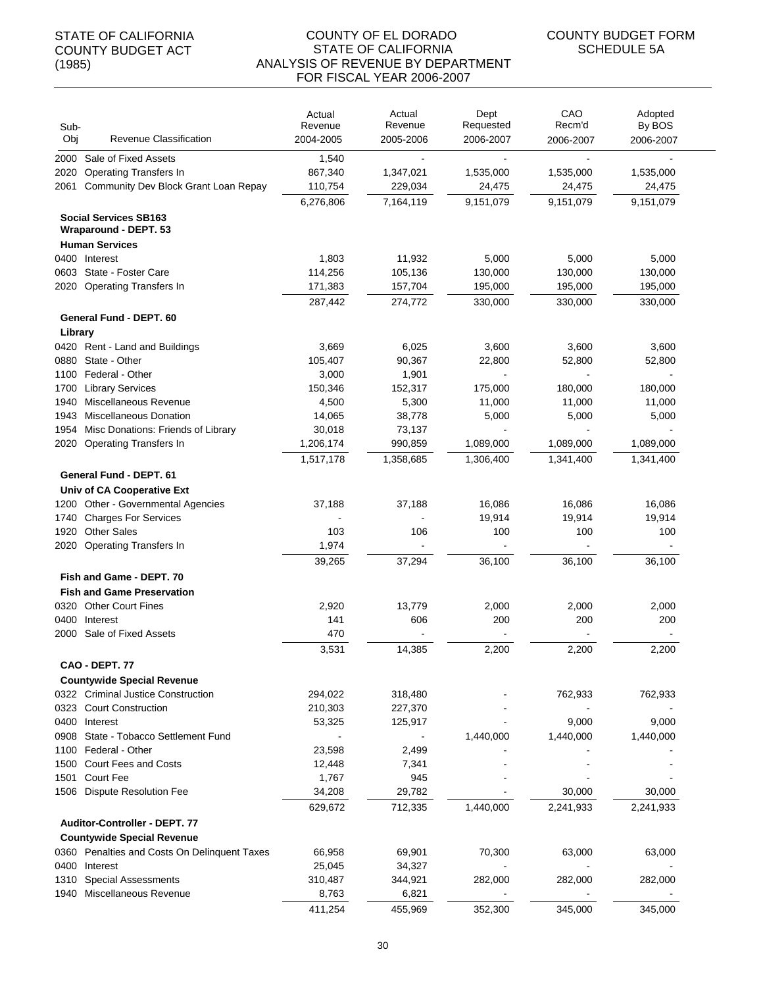#### COUNTY OF EL DORADO STATE OF CALIFORNIA ANALYSIS OF REVENUE BY DEPARTMENT FOR FISCAL YEAR 2006-2007

| Sub-<br>Obj | Revenue Classification                                | Actual<br>Revenue | Actual<br>Revenue | Dept<br>Requested        | CAO<br>Recm'd | Adopted<br>By BOS |
|-------------|-------------------------------------------------------|-------------------|-------------------|--------------------------|---------------|-------------------|
|             |                                                       | 2004-2005         | 2005-2006         | 2006-2007                | 2006-2007     | 2006-2007         |
| 2000        | Sale of Fixed Assets                                  | 1,540             |                   |                          |               |                   |
| 2020        | <b>Operating Transfers In</b>                         | 867,340           | 1,347,021         | 1,535,000                | 1,535,000     | 1,535,000         |
| 2061        | Community Dev Block Grant Loan Repay                  | 110,754           | 229,034           | 24,475                   | 24,475        | 24,475            |
|             | <b>Social Services SB163</b><br>Wraparound - DEPT. 53 | 6,276,806         | 7,164,119         | 9,151,079                | 9,151,079     | 9,151,079         |
|             | <b>Human Services</b>                                 |                   |                   |                          |               |                   |
|             | 0400 Interest                                         | 1,803             | 11,932            | 5,000                    | 5,000         | 5,000             |
| 0603        | State - Foster Care                                   | 114,256           | 105,136           | 130,000                  | 130,000       | 130,000           |
|             | 2020 Operating Transfers In                           | 171,383           | 157,704           | 195,000                  | 195,000       | 195,000           |
|             |                                                       | 287,442           | 274,772           | 330,000                  | 330,000       | 330,000           |
|             | General Fund - DEPT. 60                               |                   |                   |                          |               |                   |
| Library     |                                                       |                   |                   |                          |               |                   |
|             | 0420 Rent - Land and Buildings                        | 3,669             | 6,025             | 3,600                    | 3,600         | 3,600             |
| 0880        | State - Other                                         | 105,407           | 90,367            | 22,800                   | 52,800        | 52,800            |
| 1100        | Federal - Other                                       | 3,000             | 1,901             |                          |               |                   |
| 1700        | <b>Library Services</b>                               | 150,346           | 152,317           | 175,000                  | 180,000       | 180,000           |
| 1940        | Miscellaneous Revenue                                 | 4,500             | 5,300             | 11,000                   | 11,000        | 11,000            |
| 1943        | <b>Miscellaneous Donation</b>                         | 14,065            | 38,778            | 5,000                    | 5,000         | 5,000             |
| 1954        | Misc Donations: Friends of Library                    | 30,018            | 73,137            | $\overline{\phantom{a}}$ |               |                   |
| 2020        | <b>Operating Transfers In</b>                         | 1,206,174         | 990,859           | 1,089,000                | 1,089,000     | 1,089,000         |
|             |                                                       | 1,517,178         | 1,358,685         | 1,306,400                | 1,341,400     | 1,341,400         |
|             | General Fund - DEPT. 61                               |                   |                   |                          |               |                   |
|             | Univ of CA Cooperative Ext                            |                   |                   |                          |               |                   |
| 1200        | Other - Governmental Agencies                         | 37,188            | 37,188            | 16,086                   | 16,086        | 16,086            |
| 1740        | <b>Charges For Services</b>                           |                   |                   | 19,914                   | 19,914        | 19,914            |
| 1920        | <b>Other Sales</b>                                    | 103               | 106               | 100                      | 100           | 100               |
| 2020        | Operating Transfers In                                | 1,974             |                   | $\blacksquare$           |               |                   |
|             |                                                       | 39,265            | 37,294            | 36,100                   | 36,100        | 36,100            |
|             | Fish and Game - DEPT, 70                              |                   |                   |                          |               |                   |
|             | <b>Fish and Game Preservation</b>                     |                   |                   |                          |               |                   |
| 0320        | <b>Other Court Fines</b>                              | 2,920             | 13,779            | 2,000                    | 2,000         | 2,000             |
| 0400        | Interest                                              | 141               | 606               | 200                      | 200           | 200               |
| 2000        | Sale of Fixed Assets                                  | 470               |                   |                          |               |                   |
|             |                                                       | 3,531             | 14,385            | 2,200                    | 2,200         | 2,200             |
|             | <b>CAO - DEPT. 77</b>                                 |                   |                   |                          |               |                   |
|             | <b>Countywide Special Revenue</b>                     |                   |                   |                          |               |                   |
|             | 0322 Criminal Justice Construction                    | 294,022           | 318,480           |                          | 762,933       | 762,933           |
|             | 0323 Court Construction                               | 210,303           | 227,370           |                          |               |                   |
|             | 0400 Interest                                         | 53,325            | 125,917           |                          | 9,000         | 9,000             |
| 0908        | State - Tobacco Settlement Fund                       |                   |                   | 1,440,000                | 1,440,000     | 1,440,000         |
|             | 1100 Federal - Other                                  | 23,598            | 2,499             |                          |               |                   |
|             | 1500 Court Fees and Costs                             | 12,448            | 7,341             |                          |               |                   |
| 1501        | <b>Court Fee</b>                                      | 1,767             | 945               |                          |               |                   |
| 1506        | <b>Dispute Resolution Fee</b>                         | 34,208            | 29,782            |                          | 30,000        | 30,000            |
|             |                                                       | 629,672           | 712,335           | 1,440,000                | 2,241,933     | 2,241,933         |
|             | Auditor-Controller - DEPT. 77                         |                   |                   |                          |               |                   |
|             | <b>Countywide Special Revenue</b>                     |                   |                   |                          |               |                   |
|             | 0360 Penalties and Costs On Delinguent Taxes          | 66,958            | 69,901            | 70,300                   | 63,000        | 63,000            |
| 0400        | Interest                                              | 25,045            | 34,327            |                          |               |                   |
| 1310        | <b>Special Assessments</b>                            | 310,487           | 344,921           | 282,000                  | 282,000       | 282,000           |
| 1940        | Miscellaneous Revenue                                 | 8,763             | 6,821             |                          |               |                   |
|             |                                                       | 411,254           | 455,969           | 352,300                  | 345,000       | 345,000           |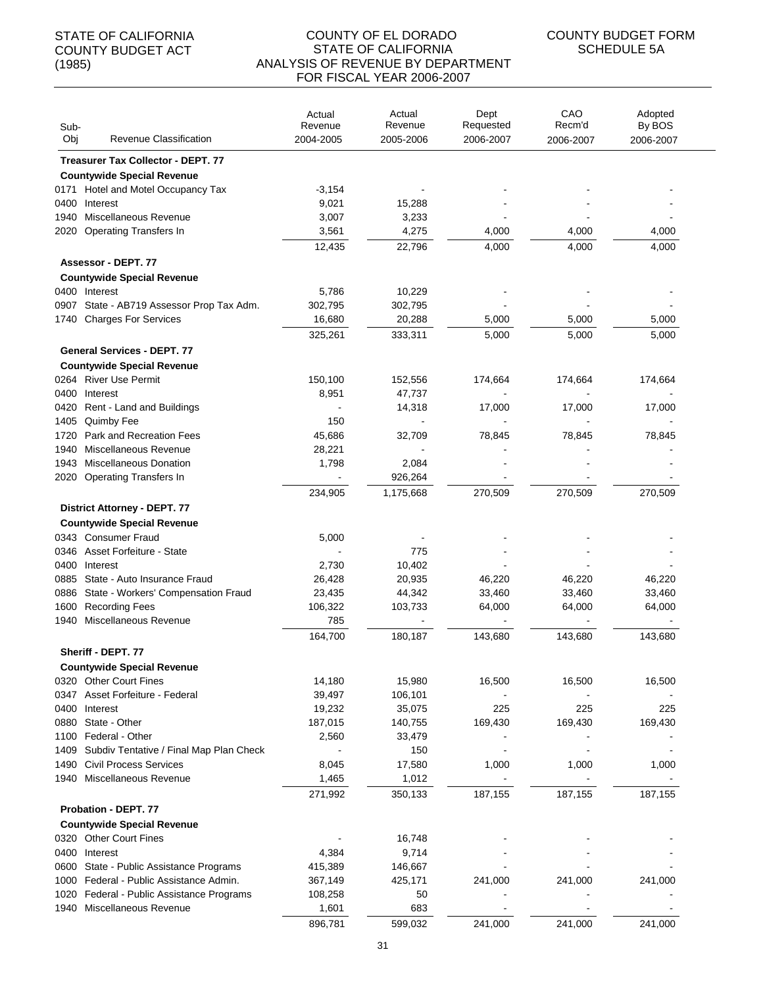#### COUNTY OF EL DORADO STATE OF CALIFORNIA ANALYSIS OF REVENUE BY DEPARTMENT FOR FISCAL YEAR 2006-2007

| Sub-<br>Obj  | Revenue Classification                               | Actual<br>Revenue<br>2004-2005 | Actual<br>Revenue<br>2005-2006 | Dept<br>Requested<br>2006-2007 | CAO<br>Recm'd<br>2006-2007 | Adopted<br>By BOS<br>2006-2007 |
|--------------|------------------------------------------------------|--------------------------------|--------------------------------|--------------------------------|----------------------------|--------------------------------|
|              | <b>Treasurer Tax Collector - DEPT. 77</b>            |                                |                                |                                |                            |                                |
|              | <b>Countywide Special Revenue</b>                    |                                |                                |                                |                            |                                |
| 0171         | Hotel and Motel Occupancy Tax                        | $-3,154$                       |                                |                                |                            |                                |
| 0400         | Interest                                             | 9,021                          | 15,288                         |                                |                            |                                |
| 1940         | Miscellaneous Revenue                                | 3,007                          | 3,233                          |                                |                            |                                |
| 2020         | <b>Operating Transfers In</b>                        | 3,561                          | 4,275                          | 4,000                          | 4,000                      | 4,000                          |
|              |                                                      | 12,435                         | 22,796                         | 4,000                          | 4,000                      | 4,000                          |
|              | Assessor - DEPT. 77                                  |                                |                                |                                |                            |                                |
|              | <b>Countywide Special Revenue</b>                    |                                |                                |                                |                            |                                |
|              | 0400 Interest                                        | 5,786                          | 10,229                         |                                |                            |                                |
| 0907         | State - AB719 Assessor Prop Tax Adm.                 | 302,795                        | 302,795                        |                                |                            |                                |
|              | 1740 Charges For Services                            | 16,680                         | 20,288                         | 5,000                          | 5,000                      | 5,000                          |
|              |                                                      | 325,261                        | 333,311                        | 5,000                          | 5,000                      | 5,000                          |
|              | <b>General Services - DEPT. 77</b>                   |                                |                                |                                |                            |                                |
|              | <b>Countywide Special Revenue</b>                    |                                |                                |                                |                            |                                |
|              | 0264 River Use Permit                                | 150,100                        | 152.556                        | 174,664                        | 174,664                    | 174,664                        |
| 0400         | Interest                                             | 8,951                          | 47,737                         |                                |                            |                                |
| 0420         | Rent - Land and Buildings                            |                                | 14,318                         | 17,000                         | 17,000                     | 17,000                         |
| 1405         | Quimby Fee                                           | 150                            |                                |                                |                            |                                |
| 1720         | Park and Recreation Fees                             | 45,686                         | 32,709                         | 78,845                         | 78,845                     | 78,845                         |
| 1940         | Miscellaneous Revenue                                | 28,221                         |                                |                                |                            |                                |
| 1943         | <b>Miscellaneous Donation</b>                        | 1,798                          | 2,084                          |                                |                            |                                |
| 2020         | <b>Operating Transfers In</b>                        | $\sim$                         | 926,264                        |                                |                            |                                |
|              |                                                      | 234,905                        | 1,175,668                      | 270,509                        | 270,509                    | 270,509                        |
|              | <b>District Attorney - DEPT. 77</b>                  |                                |                                |                                |                            |                                |
|              | <b>Countywide Special Revenue</b>                    |                                |                                |                                |                            |                                |
|              | 0343 Consumer Fraud                                  | 5,000                          |                                |                                |                            |                                |
| 0346         | <b>Asset Forfeiture - State</b>                      |                                | 775                            |                                |                            |                                |
| 0400         | Interest                                             | 2,730                          | 10,402                         |                                |                            |                                |
| 0885         | State - Auto Insurance Fraud                         | 26,428                         | 20,935                         | 46,220                         | 46,220                     | 46,220                         |
| 0886         | State - Workers' Compensation Fraud                  | 23,435                         | 44,342                         | 33,460                         | 33,460                     | 33,460                         |
| 1600<br>1940 | <b>Recording Fees</b><br>Miscellaneous Revenue       | 106,322<br>785                 | 103,733                        | 64,000                         | 64,000                     | 64,000                         |
|              |                                                      |                                |                                |                                |                            |                                |
|              |                                                      | 164,700                        | 180,187                        | 143,680                        | 143,680                    | 143,680                        |
|              | Sheriff - DEPT. 77                                   |                                |                                |                                |                            |                                |
|              | <b>Countywide Special Revenue</b>                    |                                |                                |                                |                            |                                |
|              | 0320 Other Court Fines<br>Asset Forfeiture - Federal | 14,180                         | 15,980<br>106,101              | 16,500                         | 16,500                     | 16,500                         |
| 0347<br>0400 | Interest                                             | 39,497<br>19,232               | 35,075                         | 225                            | 225                        | 225                            |
| 0880         | State - Other                                        | 187,015                        | 140,755                        | 169,430                        | 169,430                    | 169,430                        |
| 1100         | Federal - Other                                      | 2,560                          | 33,479                         |                                |                            |                                |
| 1409         | Subdiv Tentative / Final Map Plan Check              |                                | 150                            |                                |                            |                                |
| 1490         | <b>Civil Process Services</b>                        | 8,045                          | 17,580                         | 1,000                          | 1,000                      | 1,000                          |
|              | 1940 Miscellaneous Revenue                           | 1,465                          | 1,012                          |                                |                            |                                |
|              |                                                      | 271,992                        | 350,133                        | 187,155                        | 187,155                    | 187,155                        |
|              | Probation - DEPT. 77                                 |                                |                                |                                |                            |                                |
|              | <b>Countywide Special Revenue</b>                    |                                |                                |                                |                            |                                |
|              | 0320 Other Court Fines                               |                                | 16,748                         |                                |                            |                                |
| 0400         | Interest                                             | 4,384                          | 9,714                          |                                |                            |                                |
| 0600         | State - Public Assistance Programs                   | 415,389                        | 146,667                        |                                |                            |                                |
| 1000         | Federal - Public Assistance Admin.                   | 367,149                        | 425,171                        | 241,000                        | 241,000                    | 241,000                        |
| 1020         | Federal - Public Assistance Programs                 | 108,258                        | 50                             |                                |                            |                                |
| 1940         | Miscellaneous Revenue                                | 1,601                          | 683                            |                                |                            |                                |
|              |                                                      | 896,781                        | 599,032                        | 241,000                        | 241,000                    | 241,000                        |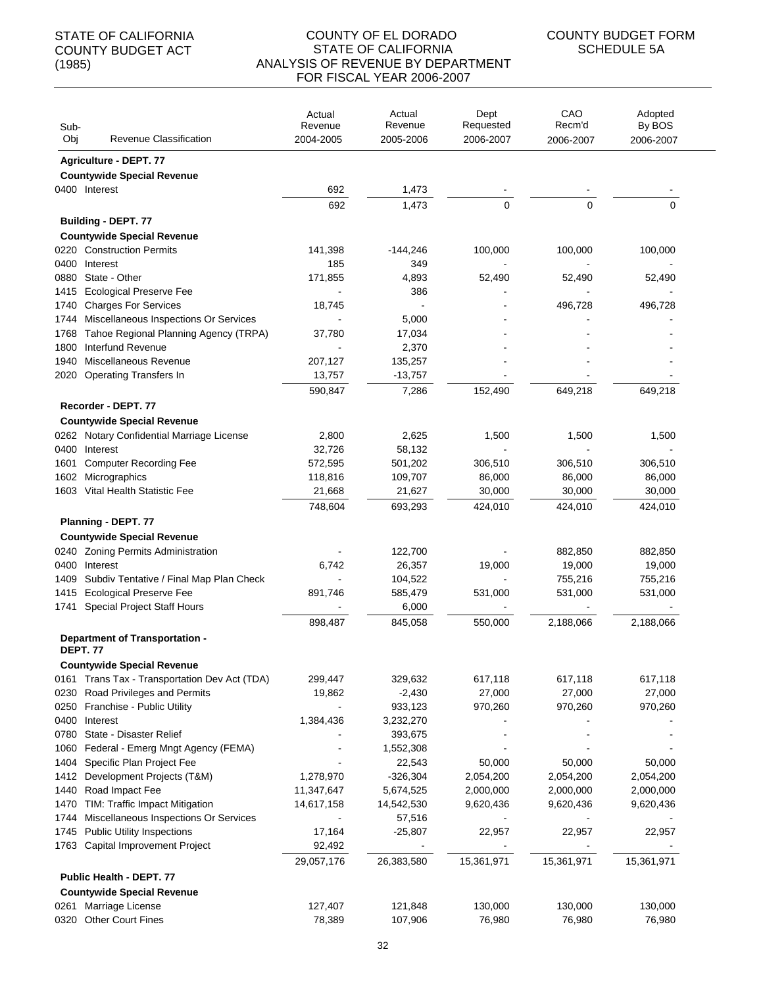| Sub-         |                                                                      | Actual<br>Revenue        | Actual<br>Revenue       | Dept<br>Requested      | CAO<br>Recm'd          | Adopted<br>By BOS      |
|--------------|----------------------------------------------------------------------|--------------------------|-------------------------|------------------------|------------------------|------------------------|
| Obj          | Revenue Classification                                               | 2004-2005                | 2005-2006               | 2006-2007              | 2006-2007              | 2006-2007              |
|              | Agriculture - DEPT. 77                                               |                          |                         |                        |                        |                        |
|              | <b>Countywide Special Revenue</b>                                    |                          |                         |                        |                        |                        |
|              | 0400 Interest                                                        | 692                      | 1,473                   |                        |                        |                        |
|              |                                                                      | 692                      | 1,473                   | 0                      | 0                      | 0                      |
|              | Building - DEPT. 77                                                  |                          |                         |                        |                        |                        |
|              | <b>Countywide Special Revenue</b>                                    |                          |                         |                        |                        |                        |
|              | 0220 Construction Permits                                            | 141,398                  | -144,246                | 100,000                | 100,000                | 100,000                |
| 0400         | Interest                                                             | 185                      | 349                     |                        |                        |                        |
| 0880         | State - Other                                                        | 171,855                  | 4,893                   | 52,490                 | 52,490                 | 52,490                 |
| 1415         | <b>Ecological Preserve Fee</b>                                       |                          | 386                     |                        |                        |                        |
| 1740<br>1744 | <b>Charges For Services</b><br>Miscellaneous Inspections Or Services | 18,745                   | 5,000                   |                        | 496,728                | 496,728                |
| 1768         | Tahoe Regional Planning Agency (TRPA)                                | 37,780                   | 17,034                  |                        |                        |                        |
| 1800         | Interfund Revenue                                                    |                          | 2,370                   |                        |                        |                        |
| 1940         | Miscellaneous Revenue                                                | 207,127                  | 135,257                 |                        |                        |                        |
| 2020         | <b>Operating Transfers In</b>                                        | 13,757                   | $-13,757$               |                        |                        |                        |
|              |                                                                      | 590,847                  | 7,286                   | 152,490                | 649,218                | 649,218                |
|              | Recorder - DEPT. 77                                                  |                          |                         |                        |                        |                        |
|              | <b>Countywide Special Revenue</b>                                    |                          |                         |                        |                        |                        |
|              | 0262 Notary Confidential Marriage License                            | 2,800                    | 2,625                   | 1,500                  | 1,500                  | 1,500                  |
| 0400         | Interest                                                             | 32,726                   | 58,132                  |                        |                        |                        |
| 1601         | <b>Computer Recording Fee</b>                                        | 572,595                  | 501,202                 | 306,510                | 306,510                | 306,510                |
| 1602         | Micrographics                                                        | 118,816                  | 109,707                 | 86,000                 | 86,000                 | 86,000                 |
|              | 1603 Vital Health Statistic Fee                                      | 21,668                   | 21,627                  | 30,000                 | 30,000                 | 30,000                 |
|              |                                                                      | 748,604                  | 693,293                 | 424,010                | 424,010                | 424,010                |
|              | Planning - DEPT. 77                                                  |                          |                         |                        |                        |                        |
|              | <b>Countywide Special Revenue</b>                                    |                          |                         |                        |                        |                        |
|              | 0240 Zoning Permits Administration                                   |                          | 122,700                 |                        | 882,850                | 882,850                |
| 0400         | Interest                                                             | 6,742                    | 26,357                  | 19,000                 | 19,000                 | 19,000                 |
| 1409         | Subdiv Tentative / Final Map Plan Check                              |                          | 104,522                 | $\blacksquare$         | 755,216                | 755,216                |
|              | 1415 Ecological Preserve Fee                                         | 891,746                  | 585,479                 | 531,000                | 531,000                | 531,000                |
|              | 1741 Special Project Staff Hours                                     |                          | 6,000                   |                        |                        |                        |
|              |                                                                      | 898,487                  | 845,058                 | 550,000                | 2,188,066              | 2,188,066              |
|              | Department of Transportation -                                       |                          |                         |                        |                        |                        |
|              | <b>DEPT. 77</b>                                                      |                          |                         |                        |                        |                        |
|              | <b>Countywide Special Revenue</b>                                    |                          |                         |                        |                        |                        |
|              | 0161 Trans Tax - Transportation Dev Act (TDA)                        | 299,447                  | 329,632                 | 617,118                | 617,118                | 617,118                |
| 0230         | Road Privileges and Permits                                          | 19,862                   | $-2,430$                | 27,000                 | 27,000                 | 27,000                 |
| 0250         | Franchise - Public Utility                                           |                          | 933,123                 | 970,260                | 970,260                | 970,260                |
| 0400         | Interest                                                             | 1,384,436                | 3,232,270               |                        |                        |                        |
| 0780         | State - Disaster Relief                                              |                          | 393,675                 |                        |                        |                        |
| 1060         | Federal - Emerg Mngt Agency (FEMA)                                   |                          | 1,552,308               |                        |                        |                        |
| 1404         | Specific Plan Project Fee                                            |                          | 22,543                  | 50,000                 | 50,000                 | 50,000                 |
| 1412         | Development Projects (T&M)                                           | 1,278,970                | $-326,304$<br>5,674,525 | 2,054,200<br>2,000,000 | 2,054,200<br>2,000,000 | 2,054,200              |
| 1440<br>1470 | Road Impact Fee<br>TIM: Traffic Impact Mitigation                    | 11,347,647<br>14,617,158 | 14,542,530              | 9,620,436              | 9,620,436              | 2,000,000<br>9,620,436 |
| 1744         | Miscellaneous Inspections Or Services                                |                          | 57,516                  |                        |                        |                        |
| 1745         | <b>Public Utility Inspections</b>                                    | 17,164                   | $-25,807$               | 22,957                 | 22,957                 | 22,957                 |
|              | 1763 Capital Improvement Project                                     | 92,492                   |                         |                        |                        |                        |
|              |                                                                      | 29,057,176               | 26,383,580              | 15,361,971             | 15,361,971             | 15,361,971             |
|              | Public Health - DEPT. 77                                             |                          |                         |                        |                        |                        |
|              | <b>Countywide Special Revenue</b>                                    |                          |                         |                        |                        |                        |
| 0261         | Marriage License                                                     | 127,407                  | 121,848                 | 130,000                | 130,000                | 130,000                |
|              | 0320 Other Court Fines                                               | 78,389                   | 107,906                 | 76,980                 | 76,980                 | 76,980                 |
|              |                                                                      |                          |                         |                        |                        |                        |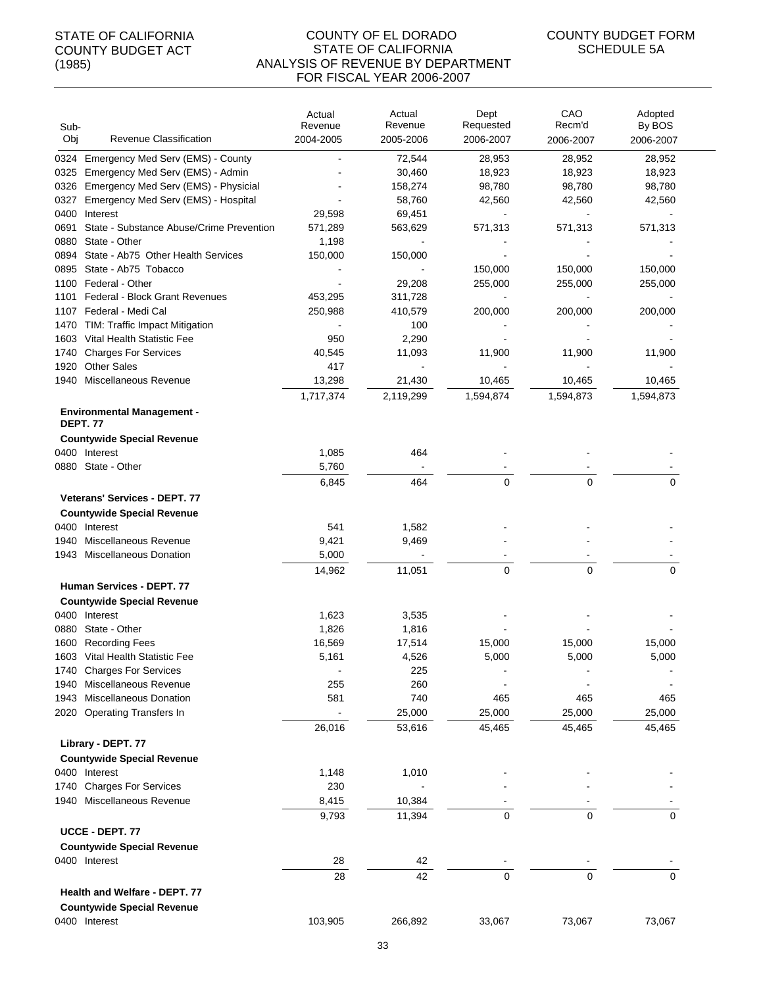| Sub-<br>Obj | Revenue Classification                                       | Actual<br>Revenue<br>2004-2005 | Actual<br>Revenue<br>2005-2006 | Dept<br>Requested<br>2006-2007 | CAO<br>Recm'd<br>2006-2007 | Adopted<br>By BOS<br>2006-2007 |
|-------------|--------------------------------------------------------------|--------------------------------|--------------------------------|--------------------------------|----------------------------|--------------------------------|
|             | 0324 Emergency Med Serv (EMS) - County                       |                                | 72,544                         | 28,953                         | 28,952                     | 28,952                         |
| 0325        | Emergency Med Serv (EMS) - Admin                             |                                | 30,460                         | 18,923                         | 18,923                     | 18,923                         |
| 0326        | Emergency Med Serv (EMS) - Physicial                         |                                | 158,274                        | 98,780                         | 98,780                     | 98,780                         |
| 0327        | Emergency Med Serv (EMS) - Hospital                          |                                | 58,760                         | 42,560                         | 42,560                     | 42,560                         |
| 0400        | Interest                                                     | 29,598                         | 69,451                         |                                |                            |                                |
| 0691        | State - Substance Abuse/Crime Prevention                     | 571,289                        | 563,629                        | 571,313                        | 571,313                    | 571,313                        |
| 0880        | State - Other                                                | 1,198                          |                                |                                |                            |                                |
| 0894        | State - Ab75 Other Health Services                           | 150,000                        | 150,000                        |                                |                            |                                |
| 0895        | State - Ab75 Tobacco                                         |                                |                                | 150,000                        | 150,000                    | 150,000                        |
| 1100        | Federal - Other                                              |                                | 29,208                         | 255,000                        | 255,000                    | 255,000                        |
| 1101        | <b>Federal - Block Grant Revenues</b>                        | 453,295                        | 311,728                        |                                |                            |                                |
|             | 1107 Federal - Medi Cal                                      | 250,988                        | 410,579                        | 200,000                        | 200,000                    | 200,000                        |
|             | 1470 TIM: Traffic Impact Mitigation                          |                                | 100                            |                                |                            |                                |
| 1603        | Vital Health Statistic Fee                                   | 950                            | 2,290                          |                                |                            |                                |
| 1740        | <b>Charges For Services</b>                                  | 40,545                         | 11,093                         | 11,900                         | 11,900                     | 11,900                         |
| 1920        | <b>Other Sales</b>                                           | 417                            |                                |                                |                            |                                |
| 1940        | Miscellaneous Revenue                                        | 13,298                         | 21,430                         | 10,465                         | 10,465                     | 10,465                         |
|             |                                                              | 1,717,374                      | 2,119,299                      | 1,594,874                      | 1,594,873                  | 1,594,873                      |
|             | <b>Environmental Management -</b><br><b>DEPT.77</b>          |                                |                                |                                |                            |                                |
|             | <b>Countywide Special Revenue</b>                            |                                |                                |                                |                            |                                |
|             | 0400 Interest                                                | 1,085                          | 464                            |                                |                            |                                |
|             | 0880 State - Other                                           | 5,760                          |                                |                                |                            |                                |
|             |                                                              | 6,845                          | 464                            | $\Omega$                       | $\Omega$                   | $\Omega$                       |
|             | <b>Veterans' Services - DEPT. 77</b>                         |                                |                                |                                |                            |                                |
|             | <b>Countywide Special Revenue</b>                            |                                |                                |                                |                            |                                |
|             | 0400 Interest                                                | 541                            | 1,582                          |                                |                            |                                |
| 1940        | Miscellaneous Revenue                                        | 9,421                          | 9,469                          |                                |                            |                                |
|             | 1943 Miscellaneous Donation                                  | 5,000                          |                                |                                |                            |                                |
|             |                                                              | 14,962                         | 11,051                         | $\Omega$                       | $\Omega$                   | 0                              |
|             | Human Services - DEPT. 77                                    |                                |                                |                                |                            |                                |
|             |                                                              |                                |                                |                                |                            |                                |
|             | <b>Countywide Special Revenue</b>                            |                                |                                |                                |                            |                                |
|             | 0400 Interest                                                | 1,623                          | 3,535                          |                                |                            |                                |
| 0880        | State - Other                                                | 1,826                          | 1,816                          |                                |                            |                                |
|             | 1600 Recording Fees                                          | 16,569                         | 17,514                         | 15,000<br>5,000                | 15,000<br>5,000            | 15,000<br>5,000                |
|             | 1603 Vital Health Statistic Fee<br>1740 Charges For Services | 5,161                          | 4,526<br>225                   |                                |                            |                                |
| 1940        | Miscellaneous Revenue                                        | 255                            | 260                            |                                |                            |                                |
| 1943        | <b>Miscellaneous Donation</b>                                | 581                            | 740                            | 465                            | 465                        | 465                            |
|             | 2020 Operating Transfers In                                  |                                | 25,000                         | 25,000                         | 25,000                     | 25,000                         |
|             |                                                              | 26,016                         | 53,616                         | 45,465                         | 45,465                     | 45,465                         |
|             |                                                              |                                |                                |                                |                            |                                |
|             | Library - DEPT. 77                                           |                                |                                |                                |                            |                                |
|             | <b>Countywide Special Revenue</b>                            |                                |                                |                                |                            |                                |
|             | 0400 Interest                                                | 1,148                          | 1,010                          |                                |                            |                                |
|             | 1740 Charges For Services                                    | 230                            |                                |                                |                            |                                |
|             | 1940 Miscellaneous Revenue                                   | 8,415                          | 10,384                         |                                |                            |                                |
|             |                                                              | 9,793                          | 11,394                         | $\mathbf 0$                    | $\mathbf 0$                | $\mathbf 0$                    |
|             | UCCE - DEPT. 77                                              |                                |                                |                                |                            |                                |
|             | <b>Countywide Special Revenue</b>                            |                                |                                |                                |                            |                                |
|             | 0400 Interest                                                | 28                             | 42                             |                                |                            |                                |
|             |                                                              | 28                             | 42                             | $\pmb{0}$                      | 0                          | $\mathbf 0$                    |
|             | Health and Welfare - DEPT. 77                                |                                |                                |                                |                            |                                |
|             | <b>Countywide Special Revenue</b>                            |                                |                                |                                |                            |                                |
|             | 0400 Interest                                                | 103,905                        | 266,892                        | 33,067                         | 73,067                     | 73,067                         |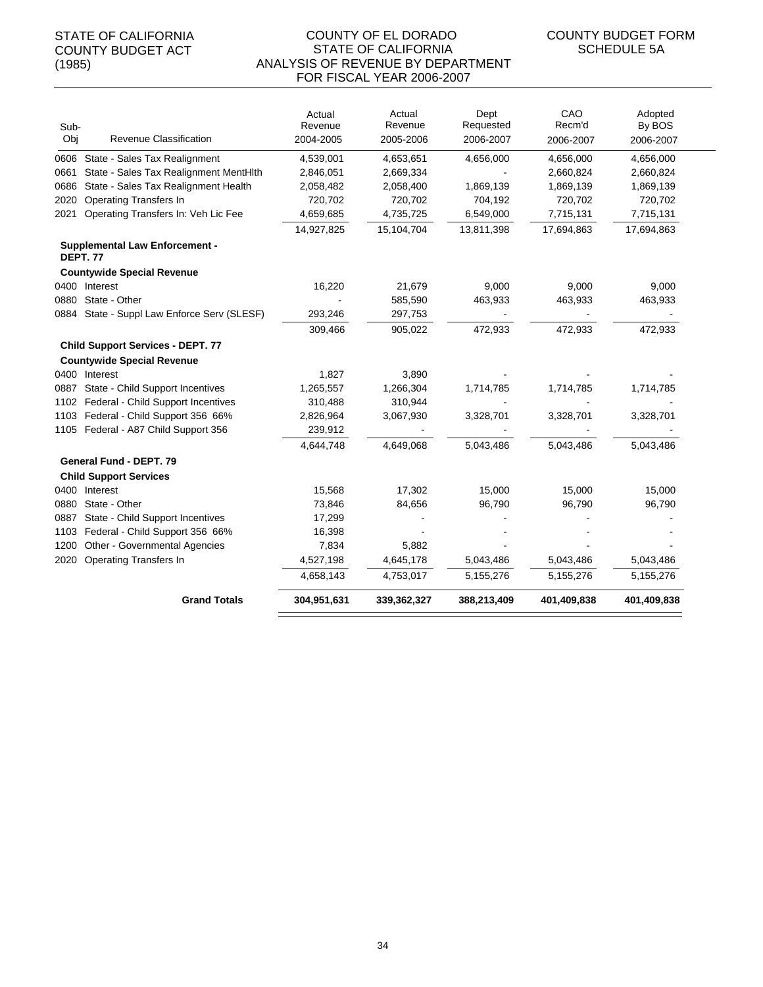| Sub- |                                                         | Actual<br>Revenue | Actual<br>Revenue | Dept<br>Requested | CAO<br>Recm'd | Adopted<br>By BOS |
|------|---------------------------------------------------------|-------------------|-------------------|-------------------|---------------|-------------------|
| Obj  | Revenue Classification                                  | 2004-2005         | 2005-2006         | 2006-2007         | 2006-2007     | 2006-2007         |
|      | 0606 State - Sales Tax Realignment                      | 4,539,001         | 4,653,651         | 4,656,000         | 4,656,000     | 4,656,000         |
| 0661 | State - Sales Tax Realignment MentHlth                  | 2,846,051         | 2,669,334         |                   | 2,660,824     | 2,660,824         |
| 0686 | State - Sales Tax Realignment Health                    | 2,058,482         | 2,058,400         | 1,869,139         | 1,869,139     | 1,869,139         |
| 2020 | <b>Operating Transfers In</b>                           | 720,702           | 720,702           | 704,192           | 720,702       | 720,702           |
| 2021 | Operating Transfers In: Veh Lic Fee                     | 4,659,685         | 4,735,725         | 6,549,000         | 7,715,131     | 7,715,131         |
|      |                                                         | 14,927,825        | 15,104,704        | 13,811,398        | 17,694,863    | 17,694,863        |
|      | <b>Supplemental Law Enforcement -</b><br><b>DEPT.77</b> |                   |                   |                   |               |                   |
|      | <b>Countywide Special Revenue</b>                       |                   |                   |                   |               |                   |
|      | 0400 Interest                                           | 16,220            | 21,679            | 9,000             | 9,000         | 9,000             |
| 0880 | State - Other                                           |                   | 585,590           | 463,933           | 463,933       | 463,933           |
| 0884 | State - Suppl Law Enforce Serv (SLESF)                  | 293,246           | 297,753           |                   |               |                   |
|      |                                                         | 309,466           | 905,022           | 472,933           | 472,933       | 472,933           |
|      | <b>Child Support Services - DEPT. 77</b>                |                   |                   |                   |               |                   |
|      | <b>Countywide Special Revenue</b>                       |                   |                   |                   |               |                   |
|      | 0400 Interest                                           | 1,827             | 3,890             |                   |               |                   |
| 0887 | State - Child Support Incentives                        | 1,265,557         | 1,266,304         | 1,714,785         | 1,714,785     | 1,714,785         |
| 1102 | Federal - Child Support Incentives                      | 310,488           | 310,944           |                   |               |                   |
| 1103 | Federal - Child Support 356 66%                         | 2,826,964         | 3,067,930         | 3,328,701         | 3,328,701     | 3,328,701         |
|      | 1105 Federal - A87 Child Support 356                    | 239,912           |                   |                   |               |                   |
|      |                                                         | 4,644,748         | 4,649,068         | 5,043,486         | 5,043,486     | 5,043,486         |
|      | <b>General Fund - DEPT. 79</b>                          |                   |                   |                   |               |                   |
|      | <b>Child Support Services</b>                           |                   |                   |                   |               |                   |
|      | 0400 Interest                                           | 15,568            | 17,302            | 15,000            | 15,000        | 15,000            |
| 0880 | State - Other                                           | 73,846            | 84,656            | 96,790            | 96,790        | 96,790            |
| 0887 | State - Child Support Incentives                        | 17,299            |                   |                   |               |                   |
| 1103 | Federal - Child Support 356 66%                         | 16,398            |                   |                   |               |                   |
| 1200 | Other - Governmental Agencies                           | 7,834             | 5,882             |                   |               |                   |
| 2020 | <b>Operating Transfers In</b>                           | 4,527,198         | 4,645,178         | 5,043,486         | 5,043,486     | 5,043,486         |
|      |                                                         | 4,658,143         | 4,753,017         | 5,155,276         | 5,155,276     | 5,155,276         |
|      | <b>Grand Totals</b>                                     | 304,951,631       | 339,362,327       | 388,213,409       | 401,409,838   | 401,409,838       |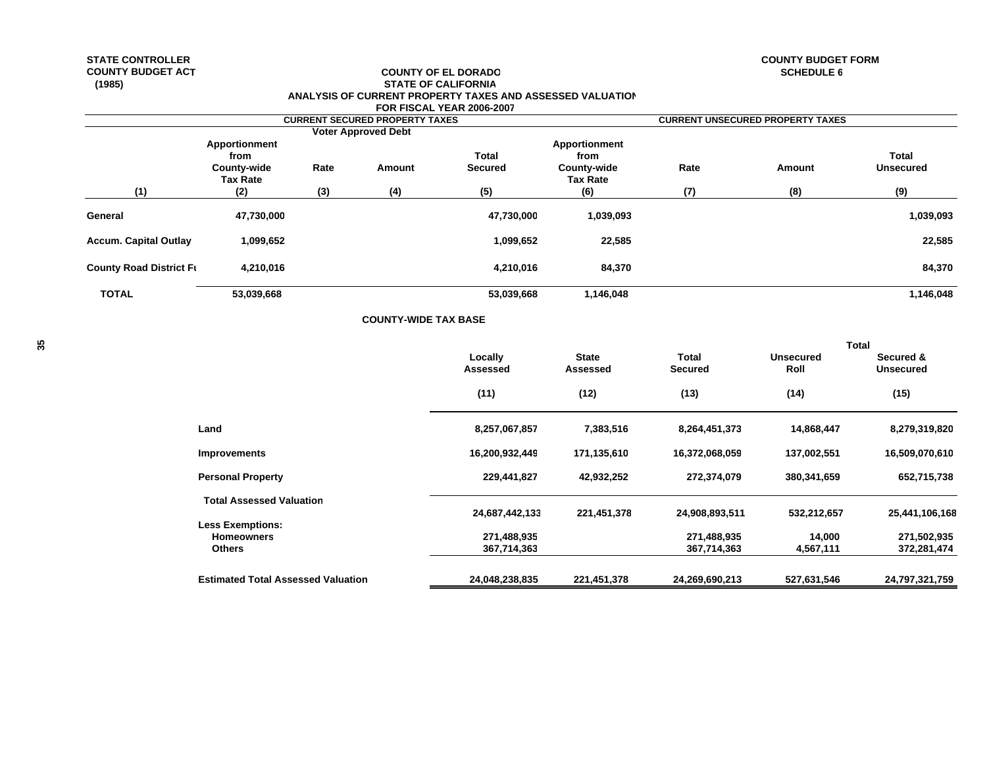## **COUNTY BUDGET ACT COUNTY OF EL DORADO (1985) STATE OF CALIFORNIA ANALYSIS OF CURRENT PROPERTY TAXES AND ASSESSED VALUATION FOR FISCAL YEAR 2006-2007**

**COUNTY-WIDE TAX BASE**

**STATE CONTROLLER COUNTY BUDGET FORMSCHEDULE 6** 

|                                | <b>FUR FISUAL TEAR 2000-2007</b><br><b>CURRENT SECURED PROPERTY TAXES</b><br><b>Voter Approved Debt</b><br>Total<br>from<br>Rate<br>County-wide<br>Secured<br>Amount<br><b>Tax Rate</b><br>(5)<br>(3)<br>(4)<br>(2)<br>47,730,000<br>1,099,652<br>4,210,016 |  |  |            | <b>CURRENT UNSECURED PROPERTY TAXES</b> |      |        |                  |  |
|--------------------------------|-------------------------------------------------------------------------------------------------------------------------------------------------------------------------------------------------------------------------------------------------------------|--|--|------------|-----------------------------------------|------|--------|------------------|--|
|                                |                                                                                                                                                                                                                                                             |  |  |            |                                         |      |        |                  |  |
|                                | Apportionment                                                                                                                                                                                                                                               |  |  |            | Apportionment<br>from                   |      |        | <b>Total</b>     |  |
|                                |                                                                                                                                                                                                                                                             |  |  |            | County-wide<br><b>Tax Rate</b>          | Rate | Amount | <b>Unsecured</b> |  |
| (1)                            |                                                                                                                                                                                                                                                             |  |  |            | (6)                                     | (7)  | (8)    | (9)              |  |
| General                        |                                                                                                                                                                                                                                                             |  |  | 47,730,000 | 1,039,093                               |      |        | 1,039,093        |  |
| <b>Accum. Capital Outlay</b>   |                                                                                                                                                                                                                                                             |  |  | 1,099,652  | 22,585                                  |      |        | 22,585           |  |
| <b>County Road District Ft</b> |                                                                                                                                                                                                                                                             |  |  | 4,210,016  | 84,370                                  |      |        | 84,370           |  |
| <b>TOTAL</b>                   | 53,039,668                                                                                                                                                                                                                                                  |  |  | 53,039,668 | 1,146,048                               |      |        | 1,146,048        |  |

| న్ల                                                        | Locally<br>Assessed        | <b>State</b><br>Assessed | <b>Total</b><br><b>Secured</b> | <b>Unsecured</b><br>Roll | <b>Total</b><br>Secured &<br><b>Unsecured</b> |
|------------------------------------------------------------|----------------------------|--------------------------|--------------------------------|--------------------------|-----------------------------------------------|
|                                                            | (11)                       | (12)                     | (13)                           | (14)                     | (15)                                          |
| Land                                                       | 8,257,067,857              | 7,383,516                | 8,264,451,373                  | 14,868,447               | 8,279,319,820                                 |
| <b>Improvements</b>                                        | 16,200,932,449             | 171,135,610              | 16,372,068,059                 | 137,002,551              | 16,509,070,610                                |
| <b>Personal Property</b>                                   | 229,441,827                | 42,932,252               | 272,374,079                    | 380,341,659              | 652,715,738                                   |
| <b>Total Assessed Valuation</b><br><b>Less Exemptions:</b> | 24,687,442,133             | 221,451,378              | 24,908,893,511                 | 532,212,657              | 25,441,106,168                                |
| <b>Homeowners</b><br><b>Others</b>                         | 271,488,935<br>367,714,363 |                          | 271,488,935<br>367,714,363     | 14,000<br>4,567,111      | 271,502,935<br>372,281,474                    |
| <b>Estimated Total Assessed Valuation</b>                  | 24,048,238,835             | 221,451,378              | 24,269,690,213                 | 527,631,546              | 24,797,321,759                                |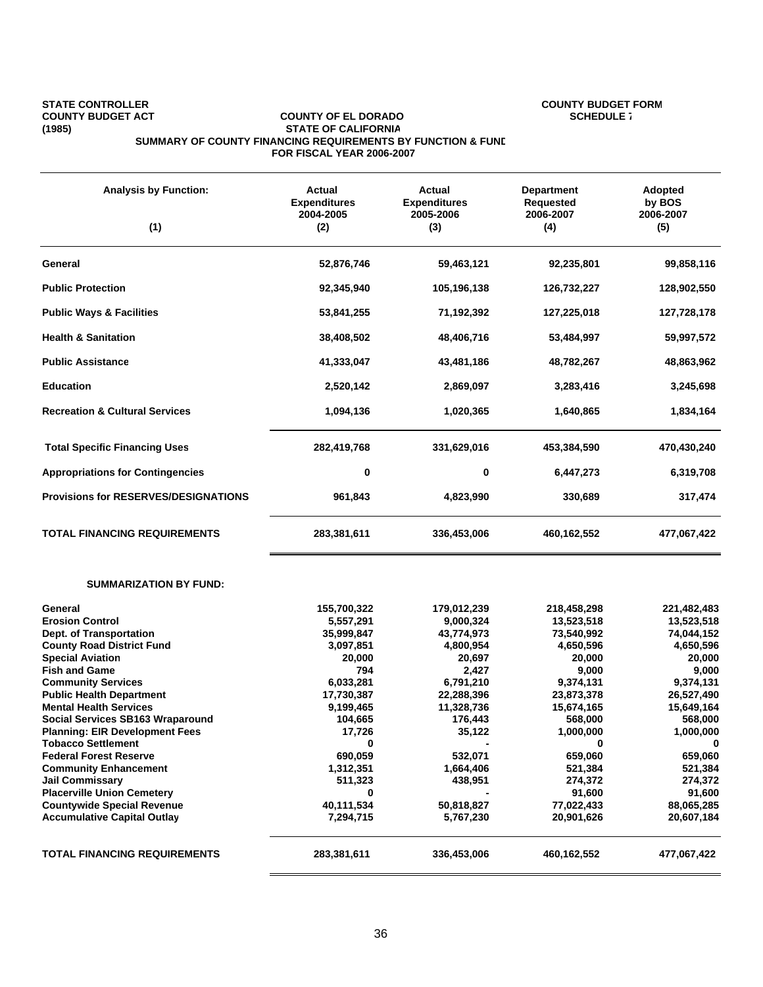#### STATE CONTROLLER **COUNTY COUNTY OF EL DORADO**<br>COUNTY BUDGET ACT COUNTY OF EL DORADO **COUNTY OF EL DORADO COUNTY BUDGET ACT** COUNTY OF EL DORADO<br>(1985) STATE OF CALIFORNIA **(1985) STATE OF CALIFORNIA SUMMARY OF COUNTY FINANCING REQUIREMENTS BY FUNCTION & FUND FOR FISCAL YEAR 2006-2007**

| <b>Analysis by Function:</b><br>(1)                                                                                                                                                                                                                                                                                                                                                                                                                                                                                                                                              | Actual<br><b>Expenditures</b><br>2004-2005<br>(2)                                                                                                                                                         | Actual<br><b>Expenditures</b><br>2005-2006<br>(3)                                                                                                                                                  | <b>Department</b><br><b>Requested</b><br>2006-2007<br>(4)                                                                                                                                                            | Adopted<br>by BOS<br>2006-2007<br>(5)                                                                                                                                                                                |
|----------------------------------------------------------------------------------------------------------------------------------------------------------------------------------------------------------------------------------------------------------------------------------------------------------------------------------------------------------------------------------------------------------------------------------------------------------------------------------------------------------------------------------------------------------------------------------|-----------------------------------------------------------------------------------------------------------------------------------------------------------------------------------------------------------|----------------------------------------------------------------------------------------------------------------------------------------------------------------------------------------------------|----------------------------------------------------------------------------------------------------------------------------------------------------------------------------------------------------------------------|----------------------------------------------------------------------------------------------------------------------------------------------------------------------------------------------------------------------|
| General                                                                                                                                                                                                                                                                                                                                                                                                                                                                                                                                                                          | 52,876,746                                                                                                                                                                                                | 59,463,121                                                                                                                                                                                         | 92,235,801                                                                                                                                                                                                           | 99,858,116                                                                                                                                                                                                           |
| <b>Public Protection</b>                                                                                                                                                                                                                                                                                                                                                                                                                                                                                                                                                         | 92,345,940                                                                                                                                                                                                | 105,196,138                                                                                                                                                                                        | 126,732,227                                                                                                                                                                                                          | 128,902,550                                                                                                                                                                                                          |
| <b>Public Ways &amp; Facilities</b>                                                                                                                                                                                                                                                                                                                                                                                                                                                                                                                                              | 53,841,255                                                                                                                                                                                                | 71,192,392                                                                                                                                                                                         | 127,225,018                                                                                                                                                                                                          | 127,728,178                                                                                                                                                                                                          |
| <b>Health &amp; Sanitation</b>                                                                                                                                                                                                                                                                                                                                                                                                                                                                                                                                                   | 38,408,502                                                                                                                                                                                                | 48,406,716                                                                                                                                                                                         | 53,484,997                                                                                                                                                                                                           | 59,997,572                                                                                                                                                                                                           |
| <b>Public Assistance</b>                                                                                                                                                                                                                                                                                                                                                                                                                                                                                                                                                         | 41,333,047                                                                                                                                                                                                | 43,481,186                                                                                                                                                                                         | 48,782,267                                                                                                                                                                                                           | 48,863,962                                                                                                                                                                                                           |
| <b>Education</b>                                                                                                                                                                                                                                                                                                                                                                                                                                                                                                                                                                 | 2,520,142                                                                                                                                                                                                 | 2,869,097                                                                                                                                                                                          | 3,283,416                                                                                                                                                                                                            | 3,245,698                                                                                                                                                                                                            |
| <b>Recreation &amp; Cultural Services</b>                                                                                                                                                                                                                                                                                                                                                                                                                                                                                                                                        | 1,094,136                                                                                                                                                                                                 | 1,020,365                                                                                                                                                                                          | 1,640,865                                                                                                                                                                                                            | 1,834,164                                                                                                                                                                                                            |
| <b>Total Specific Financing Uses</b>                                                                                                                                                                                                                                                                                                                                                                                                                                                                                                                                             | 282,419,768                                                                                                                                                                                               | 331,629,016                                                                                                                                                                                        | 453,384,590                                                                                                                                                                                                          | 470,430,240                                                                                                                                                                                                          |
| <b>Appropriations for Contingencies</b>                                                                                                                                                                                                                                                                                                                                                                                                                                                                                                                                          | 0                                                                                                                                                                                                         | 0                                                                                                                                                                                                  | 6,447,273                                                                                                                                                                                                            | 6,319,708                                                                                                                                                                                                            |
| <b>Provisions for RESERVES/DESIGNATIONS</b>                                                                                                                                                                                                                                                                                                                                                                                                                                                                                                                                      | 961,843                                                                                                                                                                                                   | 4,823,990                                                                                                                                                                                          | 330,689                                                                                                                                                                                                              | 317,474                                                                                                                                                                                                              |
| <b>TOTAL FINANCING REQUIREMENTS</b>                                                                                                                                                                                                                                                                                                                                                                                                                                                                                                                                              | 283,381,611                                                                                                                                                                                               | 336,453,006                                                                                                                                                                                        | 460,162,552                                                                                                                                                                                                          | 477,067,422                                                                                                                                                                                                          |
| <b>SUMMARIZATION BY FUND:</b>                                                                                                                                                                                                                                                                                                                                                                                                                                                                                                                                                    |                                                                                                                                                                                                           |                                                                                                                                                                                                    |                                                                                                                                                                                                                      |                                                                                                                                                                                                                      |
| General<br><b>Erosion Control</b><br>Dept. of Transportation<br><b>County Road District Fund</b><br><b>Special Aviation</b><br><b>Fish and Game</b><br><b>Community Services</b><br><b>Public Health Department</b><br><b>Mental Health Services</b><br><b>Social Services SB163 Wraparound</b><br><b>Planning: EIR Development Fees</b><br><b>Tobacco Settlement</b><br><b>Federal Forest Reserve</b><br><b>Community Enhancement</b><br><b>Jail Commissary</b><br><b>Placerville Union Cemetery</b><br><b>Countywide Special Revenue</b><br><b>Accumulative Capital Outlay</b> | 155,700,322<br>5,557,291<br>35,999,847<br>3,097,851<br>20,000<br>794<br>6,033,281<br>17,730,387<br>9,199,465<br>104,665<br>17,726<br>U<br>690,059<br>1,312,351<br>511,323<br>0<br>40,111,534<br>7,294,715 | 179,012,239<br>9,000,324<br>43,774,973<br>4,800,954<br>20,697<br>2,427<br>6,791,210<br>22,288,396<br>11,328,736<br>176,443<br>35,122<br>532,071<br>1,664,406<br>438,951<br>50,818,827<br>5,767,230 | 218,458,298<br>13,523,518<br>73,540,992<br>4,650,596<br>20,000<br>9,000<br>9,374,131<br>23,873,378<br>15,674,165<br>568,000<br>1,000,000<br>U<br>659,060<br>521,384<br>274,372<br>91,600<br>77,022,433<br>20,901,626 | 221,482,483<br>13,523,518<br>74,044,152<br>4,650,596<br>20,000<br>9,000<br>9,374,131<br>26,527,490<br>15,649,164<br>568,000<br>1,000,000<br>0<br>659,060<br>521,384<br>274,372<br>91,600<br>88,065,285<br>20,607,184 |
| <b>TOTAL FINANCING REQUIREMENTS</b>                                                                                                                                                                                                                                                                                                                                                                                                                                                                                                                                              | 283,381,611                                                                                                                                                                                               | 336,453,006                                                                                                                                                                                        | 460,162,552                                                                                                                                                                                                          | 477,067,422                                                                                                                                                                                                          |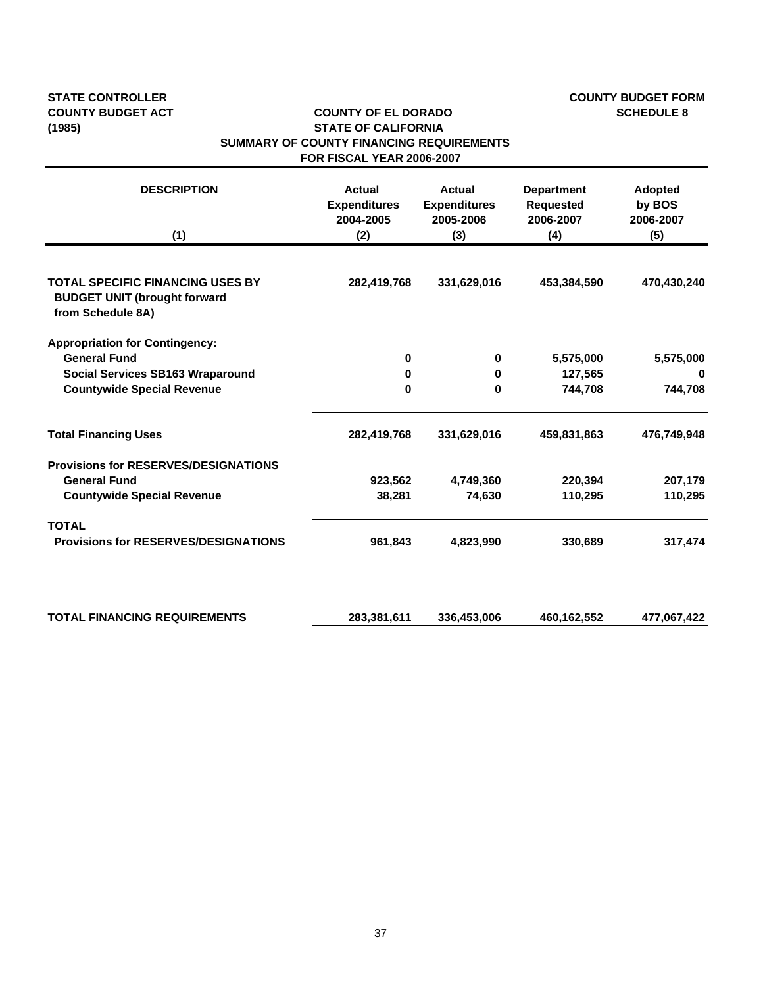# **STATE CONTROLLER COUNTY BUDGET FORM**

#### **COUNTY BUDGET ACT COUNTY OF EL DORADO SCHEDULE 8 (1985) STATE OF CALIFORNIA SUMMARY OF COUNTY FINANCING REQUIREMENTS FOR FISCAL YEAR 2006-2007**

| <b>DESCRIPTION</b><br>(1)                                                                           | <b>Actual</b><br><b>Expenditures</b><br>2004-2005<br>(2) | <b>Actual</b><br><b>Expenditures</b><br>2005-2006<br>(3) | <b>Department</b><br><b>Requested</b><br>2006-2007<br>(4) | Adopted<br>by BOS<br>2006-2007<br>(5) |
|-----------------------------------------------------------------------------------------------------|----------------------------------------------------------|----------------------------------------------------------|-----------------------------------------------------------|---------------------------------------|
|                                                                                                     |                                                          |                                                          |                                                           |                                       |
| <b>TOTAL SPECIFIC FINANCING USES BY</b><br><b>BUDGET UNIT (brought forward</b><br>from Schedule 8A) | 282,419,768                                              | 331,629,016                                              | 453,384,590                                               | 470,430,240                           |
| <b>Appropriation for Contingency:</b>                                                               |                                                          |                                                          |                                                           |                                       |
| <b>General Fund</b>                                                                                 | 0                                                        | $\bf{0}$                                                 | 5,575,000                                                 | 5,575,000                             |
| <b>Social Services SB163 Wraparound</b>                                                             | 0                                                        | 0                                                        | 127,565                                                   |                                       |
| <b>Countywide Special Revenue</b>                                                                   | 0                                                        | 0                                                        | 744,708                                                   | 744,708                               |
| <b>Total Financing Uses</b>                                                                         | 282,419,768                                              | 331,629,016                                              | 459,831,863                                               | 476,749,948                           |
| <b>Provisions for RESERVES/DESIGNATIONS</b>                                                         |                                                          |                                                          |                                                           |                                       |
| <b>General Fund</b>                                                                                 | 923,562                                                  | 4,749,360                                                | 220,394                                                   | 207,179                               |
| <b>Countywide Special Revenue</b>                                                                   | 38,281                                                   | 74,630                                                   | 110,295                                                   | 110,295                               |
| <b>TOTAL</b>                                                                                        |                                                          |                                                          |                                                           |                                       |
| <b>Provisions for RESERVES/DESIGNATIONS</b>                                                         | 961,843                                                  | 4,823,990                                                | 330,689                                                   | 317,474                               |
|                                                                                                     |                                                          |                                                          |                                                           |                                       |
| <b>TOTAL FINANCING REQUIREMENTS</b>                                                                 | 283,381,611                                              | 336,453,006                                              | 460,162,552                                               | 477,067,422                           |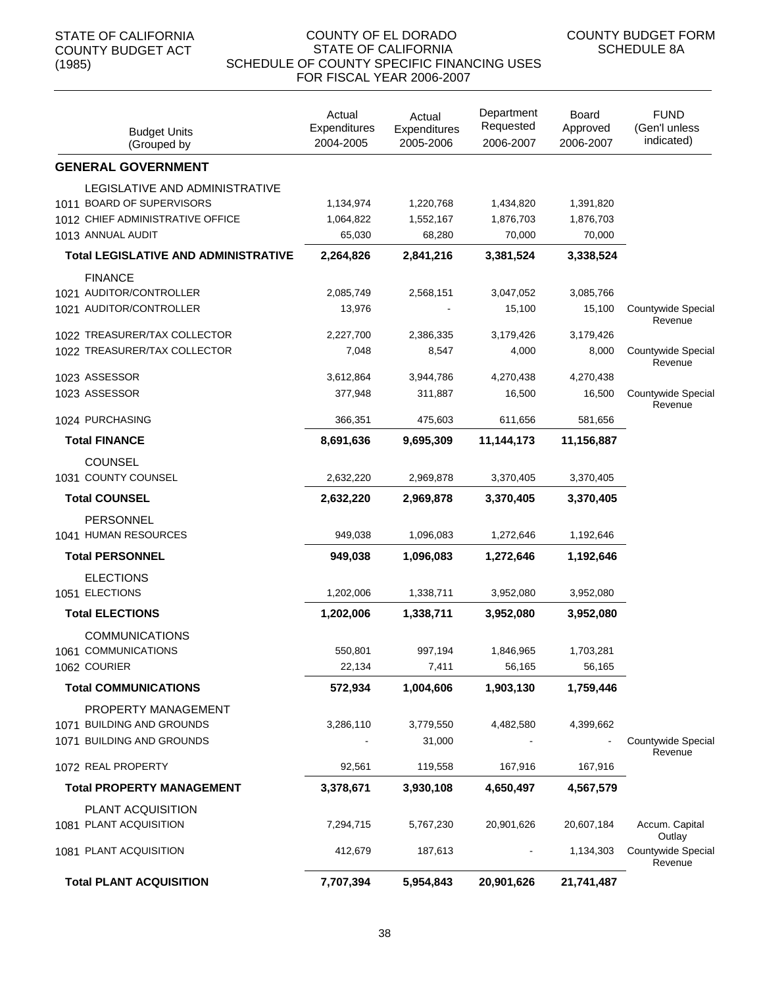| <b>Budget Units</b><br>(Grouped by          | Actual<br>Expenditures<br>2004-2005 | Actual<br>Expenditures<br>2005-2006 | Department<br>Requested<br>2006-2007 | <b>Board</b><br>Approved<br>2006-2007 | <b>FUND</b><br>(Gen'l unless<br>indicated) |
|---------------------------------------------|-------------------------------------|-------------------------------------|--------------------------------------|---------------------------------------|--------------------------------------------|
| <b>GENERAL GOVERNMENT</b>                   |                                     |                                     |                                      |                                       |                                            |
| LEGISLATIVE AND ADMINISTRATIVE              |                                     |                                     |                                      |                                       |                                            |
| 1011 BOARD OF SUPERVISORS                   | 1,134,974                           | 1,220,768                           | 1,434,820                            | 1,391,820                             |                                            |
| 1012 CHIEF ADMINISTRATIVE OFFICE            | 1,064,822                           | 1,552,167                           | 1,876,703                            | 1,876,703                             |                                            |
| 1013 ANNUAL AUDIT                           | 65,030                              | 68,280                              | 70,000                               | 70,000                                |                                            |
| <b>Total LEGISLATIVE AND ADMINISTRATIVE</b> | 2,264,826                           | 2,841,216                           | 3,381,524                            | 3,338,524                             |                                            |
| <b>FINANCE</b>                              |                                     |                                     |                                      |                                       |                                            |
| 1021 AUDITOR/CONTROLLER                     | 2,085,749                           | 2,568,151                           | 3,047,052                            | 3,085,766                             |                                            |
| 1021 AUDITOR/CONTROLLER                     | 13,976                              |                                     | 15,100                               | 15,100                                | Countywide Special<br>Revenue              |
| 1022 TREASURER/TAX COLLECTOR                | 2,227,700                           | 2,386,335                           | 3,179,426                            | 3,179,426                             |                                            |
| 1022 TREASURER/TAX COLLECTOR                | 7,048                               | 8,547                               | 4,000                                | 8,000                                 | Countywide Special<br>Revenue              |
| 1023 ASSESSOR                               | 3,612,864                           | 3,944,786                           | 4,270,438                            | 4,270,438                             |                                            |
| 1023 ASSESSOR                               | 377,948                             | 311,887                             | 16,500                               | 16,500                                | Countywide Special                         |
| 1024 PURCHASING                             | 366,351                             | 475,603                             | 611,656                              | 581,656                               | Revenue                                    |
|                                             |                                     |                                     |                                      |                                       |                                            |
| <b>Total FINANCE</b>                        | 8,691,636                           | 9,695,309                           | 11,144,173                           | 11,156,887                            |                                            |
| <b>COUNSEL</b><br>1031 COUNTY COUNSEL       | 2,632,220                           | 2,969,878                           | 3,370,405                            | 3,370,405                             |                                            |
|                                             |                                     |                                     |                                      |                                       |                                            |
| <b>Total COUNSEL</b>                        | 2,632,220                           | 2,969,878                           | 3,370,405                            | 3,370,405                             |                                            |
| <b>PERSONNEL</b>                            |                                     |                                     |                                      |                                       |                                            |
| 1041 HUMAN RESOURCES                        | 949,038                             | 1,096,083                           | 1,272,646                            | 1,192,646                             |                                            |
| <b>Total PERSONNEL</b>                      | 949,038                             | 1,096,083                           | 1,272,646                            | 1,192,646                             |                                            |
| <b>ELECTIONS</b>                            |                                     |                                     |                                      |                                       |                                            |
| 1051 ELECTIONS                              | 1,202,006                           | 1,338,711                           | 3,952,080                            | 3,952,080                             |                                            |
| <b>Total ELECTIONS</b>                      | 1,202,006                           | 1,338,711                           | 3,952,080                            | 3,952,080                             |                                            |
| <b>COMMUNICATIONS</b>                       |                                     |                                     |                                      |                                       |                                            |
| 1061 COMMUNICATIONS                         | 550,801                             | 997,194                             | 1,846,965                            | 1,703,281                             |                                            |
| 1062 COURIER                                | 22,134                              | 7,411                               | 56,165                               | 56,165                                |                                            |
| <b>Total COMMUNICATIONS</b>                 | 572,934                             | 1,004,606                           | 1,903,130                            | 1,759,446                             |                                            |
| PROPERTY MANAGEMENT                         |                                     |                                     |                                      |                                       |                                            |
| 1071 BUILDING AND GROUNDS                   | 3,286,110                           | 3,779,550                           | 4,482,580                            | 4,399,662                             |                                            |
| 1071 BUILDING AND GROUNDS                   |                                     | 31,000                              |                                      |                                       | Countywide Special<br>Revenue              |
| 1072 REAL PROPERTY                          | 92,561                              | 119,558                             | 167,916                              | 167,916                               |                                            |
| <b>Total PROPERTY MANAGEMENT</b>            | 3,378,671                           | 3,930,108                           | 4,650,497                            | 4,567,579                             |                                            |
| PLANT ACQUISITION                           |                                     |                                     |                                      |                                       |                                            |
| 1081 PLANT ACQUISITION                      | 7,294,715                           | 5,767,230                           | 20,901,626                           | 20,607,184                            | Accum. Capital                             |
| 1081 PLANT ACQUISITION                      | 412,679                             | 187,613                             |                                      | 1,134,303                             | Outlay<br>Countywide Special               |
|                                             |                                     |                                     |                                      |                                       | Revenue                                    |
| <b>Total PLANT ACQUISITION</b>              | 7,707,394                           | 5,954,843                           | 20,901,626                           | 21,741,487                            |                                            |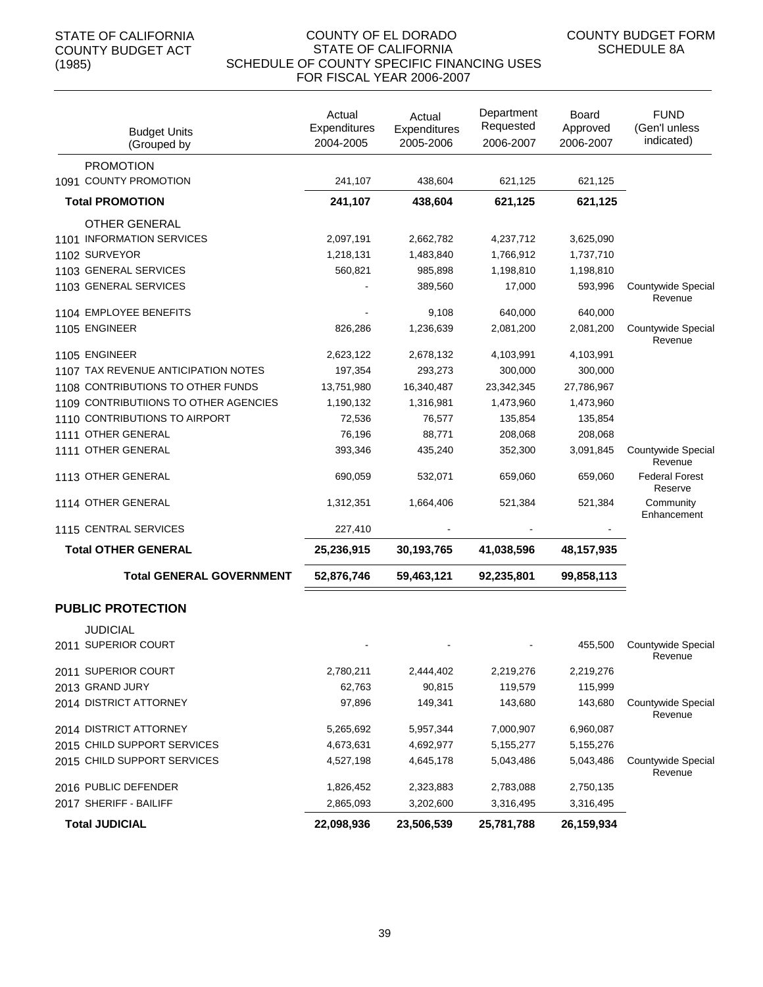| <b>Budget Units</b><br>(Grouped by        | Actual<br>Expenditures<br>2004-2005 | Actual<br>Expenditures<br>2005-2006 | Department<br>Requested<br>2006-2007 | Board<br>Approved<br>2006-2007 | <b>FUND</b><br>(Gen'l unless<br>indicated) |
|-------------------------------------------|-------------------------------------|-------------------------------------|--------------------------------------|--------------------------------|--------------------------------------------|
| <b>PROMOTION</b><br>1091 COUNTY PROMOTION |                                     |                                     |                                      |                                |                                            |
|                                           | 241,107                             | 438,604                             | 621,125                              | 621,125                        |                                            |
| <b>Total PROMOTION</b>                    | 241,107                             | 438,604                             | 621,125                              | 621,125                        |                                            |
| <b>OTHER GENERAL</b>                      |                                     |                                     |                                      |                                |                                            |
| 1101 INFORMATION SERVICES                 | 2,097,191                           | 2,662,782                           | 4,237,712                            | 3,625,090                      |                                            |
| 1102 SURVEYOR                             | 1,218,131                           | 1,483,840                           | 1,766,912                            | 1,737,710                      |                                            |
| 1103 GENERAL SERVICES                     | 560,821                             | 985,898                             | 1,198,810                            | 1,198,810                      |                                            |
| 1103 GENERAL SERVICES                     |                                     | 389,560                             | 17,000                               | 593,996                        | Countywide Special<br>Revenue              |
| 1104 EMPLOYEE BENEFITS                    |                                     | 9,108                               | 640,000                              | 640,000                        |                                            |
| 1105 ENGINEER                             | 826,286                             | 1,236,639                           | 2,081,200                            | 2,081,200                      | Countywide Special<br>Revenue              |
| 1105 ENGINEER                             | 2,623,122                           | 2,678,132                           | 4,103,991                            | 4,103,991                      |                                            |
| 1107 TAX REVENUE ANTICIPATION NOTES       | 197,354                             | 293,273                             | 300,000                              | 300,000                        |                                            |
| 1108 CONTRIBUTIONS TO OTHER FUNDS         | 13,751,980                          | 16,340,487                          | 23,342,345                           | 27,786,967                     |                                            |
| 1109 CONTRIBUTIIONS TO OTHER AGENCIES     | 1,190,132                           | 1,316,981                           | 1,473,960                            | 1,473,960                      |                                            |
| 1110 CONTRIBUTIONS TO AIRPORT             | 72,536                              | 76,577                              | 135,854                              | 135,854                        |                                            |
| 1111 OTHER GENERAL                        | 76,196                              | 88,771                              | 208,068                              | 208,068                        |                                            |
| 1111 OTHER GENERAL                        | 393,346                             | 435,240                             | 352,300                              | 3,091,845                      | Countywide Special<br>Revenue              |
| 1113 OTHER GENERAL                        | 690,059                             | 532,071                             | 659,060                              | 659,060                        | <b>Federal Forest</b><br>Reserve           |
| 1114 OTHER GENERAL                        | 1,312,351                           | 1,664,406                           | 521,384                              | 521,384                        | Community<br>Enhancement                   |
| 1115 CENTRAL SERVICES                     | 227,410                             |                                     |                                      |                                |                                            |
| <b>Total OTHER GENERAL</b>                | 25,236,915                          | 30,193,765                          | 41,038,596                           | 48, 157, 935                   |                                            |
| <b>Total GENERAL GOVERNMENT</b>           | 52,876,746                          | 59,463,121                          | 92,235,801                           | 99,858,113                     |                                            |
| <b>PUBLIC PROTECTION</b>                  |                                     |                                     |                                      |                                |                                            |
| <b>JUDICIAL</b>                           |                                     |                                     |                                      |                                |                                            |
| 2011 SUPERIOR COURT                       |                                     |                                     |                                      | 455,500                        | Countywide Special<br>Revenue              |
| 2011 SUPERIOR COURT                       | 2,780,211                           | 2,444,402                           | 2,219,276                            | 2,219,276                      |                                            |
| 2013 GRAND JURY                           | 62,763                              | 90,815                              | 119,579                              | 115,999                        |                                            |
| 2014 DISTRICT ATTORNEY                    | 97,896                              | 149,341                             | 143,680                              | 143,680                        | Countywide Special<br>Revenue              |
| 2014 DISTRICT ATTORNEY                    | 5,265,692                           | 5,957,344                           | 7,000,907                            | 6,960,087                      |                                            |
| 2015 CHILD SUPPORT SERVICES               | 4,673,631                           | 4,692,977                           | 5,155,277                            | 5,155,276                      |                                            |
| 2015 CHILD SUPPORT SERVICES               | 4,527,198                           | 4,645,178                           | 5,043,486                            | 5,043,486                      | Countywide Special<br>Revenue              |
| 2016 PUBLIC DEFENDER                      | 1,826,452                           | 2,323,883                           | 2,783,088                            | 2,750,135                      |                                            |
| 2017 SHERIFF - BAILIFF                    | 2,865,093                           | 3,202,600                           | 3,316,495                            | 3,316,495                      |                                            |
| <b>Total JUDICIAL</b>                     | 22,098,936                          | 23,506,539                          | 25,781,788                           | 26,159,934                     |                                            |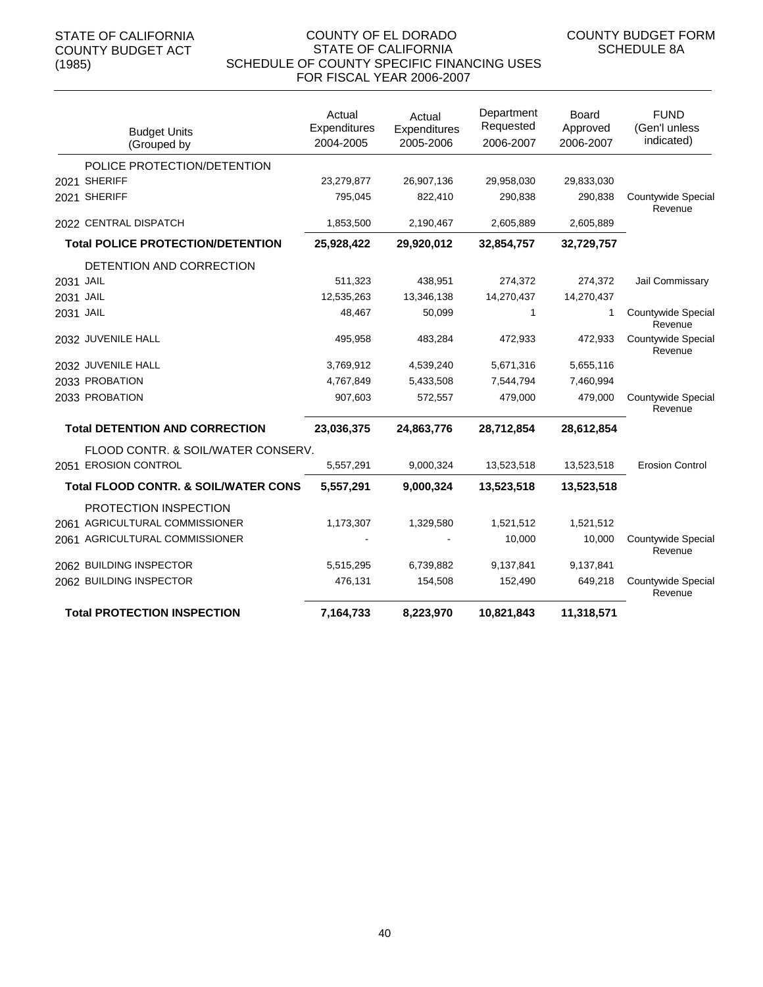| <b>Budget Units</b><br>(Grouped by              | Actual<br>Expenditures<br>2004-2005 | Actual<br>Expenditures<br>2005-2006 | Department<br>Requested<br>2006-2007 | Board<br>Approved<br>2006-2007 | <b>FUND</b><br>(Gen'l unless<br>indicated) |
|-------------------------------------------------|-------------------------------------|-------------------------------------|--------------------------------------|--------------------------------|--------------------------------------------|
| POLICE PROTECTION/DETENTION                     |                                     |                                     |                                      |                                |                                            |
| 2021 SHERIFF                                    | 23,279,877                          | 26,907,136                          | 29,958,030                           | 29,833,030                     |                                            |
| 2021 SHERIFF                                    | 795,045                             | 822,410                             | 290,838                              | 290,838                        | Countywide Special<br>Revenue              |
| 2022 CENTRAL DISPATCH                           | 1,853,500                           | 2,190,467                           | 2,605,889                            | 2,605,889                      |                                            |
| <b>Total POLICE PROTECTION/DETENTION</b>        | 25,928,422                          | 29,920,012                          | 32,854,757                           | 32,729,757                     |                                            |
| DETENTION AND CORRECTION                        |                                     |                                     |                                      |                                |                                            |
| 2031 JAIL                                       | 511,323                             | 438,951                             | 274,372                              | 274,372                        | Jail Commissary                            |
| 2031 JAIL                                       | 12,535,263                          | 13,346,138                          | 14,270,437                           | 14,270,437                     |                                            |
| 2031 JAIL                                       | 48,467                              | 50,099                              | 1                                    | 1                              | Countywide Special<br>Revenue              |
| 2032 JUVENILE HALL                              | 495,958                             | 483,284                             | 472,933                              | 472,933                        | Countywide Special<br>Revenue              |
| 2032 JUVENILE HALL                              | 3,769,912                           | 4,539,240                           | 5,671,316                            | 5,655,116                      |                                            |
| 2033 PROBATION                                  | 4,767,849                           | 5,433,508                           | 7,544,794                            | 7,460,994                      |                                            |
| 2033 PROBATION                                  | 907,603                             | 572,557                             | 479,000                              | 479,000                        | Countywide Special<br>Revenue              |
| <b>Total DETENTION AND CORRECTION</b>           | 23,036,375                          | 24,863,776                          | 28,712,854                           | 28,612,854                     |                                            |
| FLOOD CONTR. & SOIL/WATER CONSERV.              |                                     |                                     |                                      |                                |                                            |
| 2051 EROSION CONTROL                            | 5,557,291                           | 9,000,324                           | 13,523,518                           | 13,523,518                     | <b>Erosion Control</b>                     |
| <b>Total FLOOD CONTR. &amp; SOIL/WATER CONS</b> | 5,557,291                           | 9,000,324                           | 13,523,518                           | 13,523,518                     |                                            |
| PROTECTION INSPECTION                           |                                     |                                     |                                      |                                |                                            |
| 2061 AGRICULTURAL COMMISSIONER                  | 1,173,307                           | 1,329,580                           | 1,521,512                            | 1,521,512                      |                                            |
| 2061 AGRICULTURAL COMMISSIONER                  |                                     |                                     | 10,000                               | 10,000                         | Countywide Special<br>Revenue              |
| 2062 BUILDING INSPECTOR                         | 5,515,295                           | 6,739,882                           | 9,137,841                            | 9,137,841                      |                                            |
| 2062 BUILDING INSPECTOR                         | 476,131                             | 154,508                             | 152,490                              | 649,218                        | Countywide Special<br>Revenue              |
| <b>Total PROTECTION INSPECTION</b>              | 7,164,733                           | 8,223,970                           | 10,821,843                           | 11,318,571                     |                                            |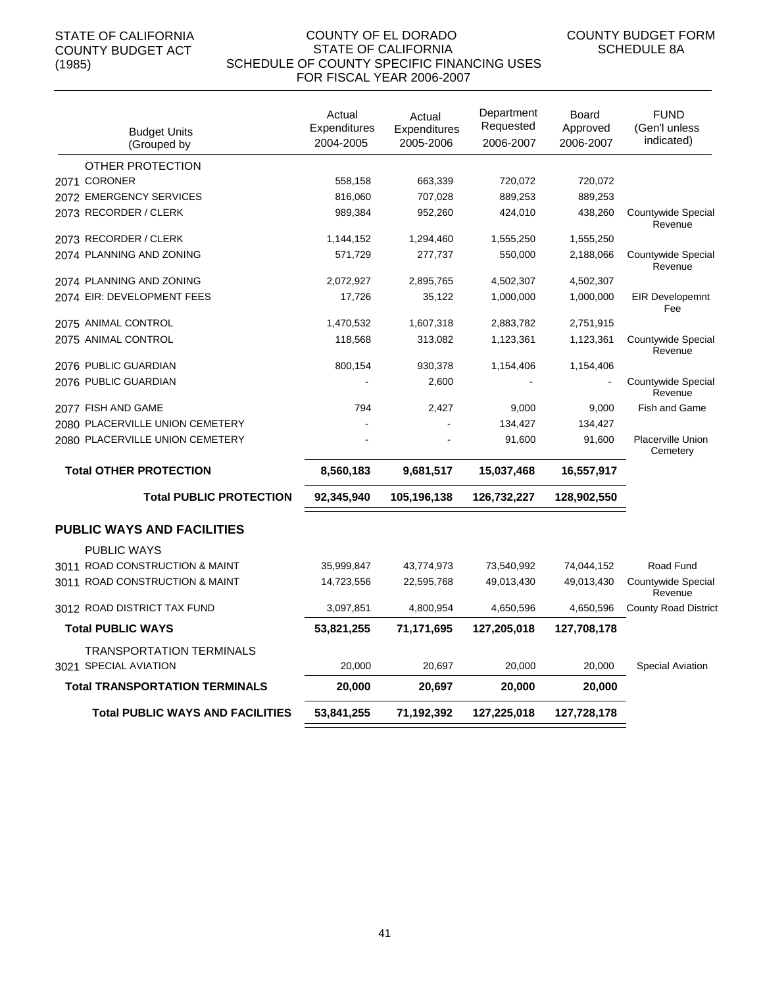| <b>Budget Units</b><br>(Grouped by                | Actual<br>Expenditures<br>2004-2005 | Actual<br>Expenditures<br>2005-2006 | Department<br>Requested<br>2006-2007 | Board<br>Approved<br>2006-2007 | FUND<br>(Gen'l unless<br>indicated) |
|---------------------------------------------------|-------------------------------------|-------------------------------------|--------------------------------------|--------------------------------|-------------------------------------|
| OTHER PROTECTION                                  |                                     |                                     |                                      |                                |                                     |
| 2071 CORONER                                      | 558,158                             | 663,339                             | 720,072                              | 720,072                        |                                     |
| 2072 EMERGENCY SERVICES                           | 816,060                             | 707,028                             | 889,253                              | 889,253                        |                                     |
| 2073 RECORDER / CLERK                             | 989.384                             | 952.260                             | 424,010                              | 438,260                        | Countywide Special<br>Revenue       |
| 2073 RECORDER / CLERK                             | 1,144,152                           | 1,294,460                           | 1,555,250                            | 1,555,250                      |                                     |
| 2074 PLANNING AND ZONING                          | 571,729                             | 277,737                             | 550,000                              | 2,188,066                      | Countywide Special<br>Revenue       |
| 2074 PLANNING AND ZONING                          | 2,072,927                           | 2,895,765                           | 4,502,307                            | 4,502,307                      |                                     |
| 2074 EIR: DEVELOPMENT FEES                        | 17,726                              | 35,122                              | 1,000,000                            | 1,000,000                      | <b>EIR Developemnt</b><br>Fee       |
| 2075 ANIMAL CONTROL                               | 1,470,532                           | 1,607,318                           | 2,883,782                            | 2,751,915                      |                                     |
| 2075 ANIMAL CONTROL                               | 118,568                             | 313,082                             | 1,123,361                            | 1,123,361                      | Countywide Special<br>Revenue       |
| 2076 PUBLIC GUARDIAN                              | 800,154                             | 930,378                             | 1,154,406                            | 1,154,406                      |                                     |
| 2076 PUBLIC GUARDIAN                              |                                     | 2,600                               |                                      |                                | Countywide Special<br>Revenue       |
| 2077 FISH AND GAME                                | 794                                 | 2,427                               | 9,000                                | 9,000                          | <b>Fish and Game</b>                |
| 2080 PLACERVILLE UNION CEMETERY                   |                                     |                                     | 134,427                              | 134,427                        |                                     |
| 2080 PLACERVILLE UNION CEMETERY                   |                                     |                                     | 91,600                               | 91,600                         | Placerville Union<br>Cemetery       |
| <b>Total OTHER PROTECTION</b>                     | 8,560,183                           | 9,681,517                           | 15,037,468                           | 16,557,917                     |                                     |
| <b>Total PUBLIC PROTECTION</b>                    | 92,345,940                          | 105,196,138                         | 126,732,227                          | 128,902,550                    |                                     |
| <b>PUBLIC WAYS AND FACILITIES</b>                 |                                     |                                     |                                      |                                |                                     |
| <b>PUBLIC WAYS</b>                                |                                     |                                     |                                      |                                |                                     |
| 3011 ROAD CONSTRUCTION & MAINT                    | 35,999,847                          | 43,774,973                          | 73,540,992                           | 74,044,152                     | Road Fund                           |
| 3011 ROAD CONSTRUCTION & MAINT                    | 14,723,556                          | 22,595,768                          | 49,013,430                           | 49,013,430                     | Countywide Special<br>Revenue       |
| 3012 ROAD DISTRICT TAX FUND                       | 3,097,851                           | 4,800,954                           | 4,650,596                            | 4,650,596                      | <b>County Road District</b>         |
| <b>Total PUBLIC WAYS</b>                          | 53,821,255                          | 71,171,695                          | 127,205,018                          | 127,708,178                    |                                     |
| TRANSPORTATION TERMINALS<br>3021 SPECIAL AVIATION | 20,000                              | 20,697                              | 20,000                               | 20,000                         | <b>Special Aviation</b>             |
| <b>Total TRANSPORTATION TERMINALS</b>             | 20,000                              | 20,697                              | 20,000                               | 20,000                         |                                     |
| <b>Total PUBLIC WAYS AND FACILITIES</b>           | 53,841,255                          | 71,192,392                          | 127,225,018                          | 127,728,178                    |                                     |
|                                                   |                                     |                                     |                                      |                                |                                     |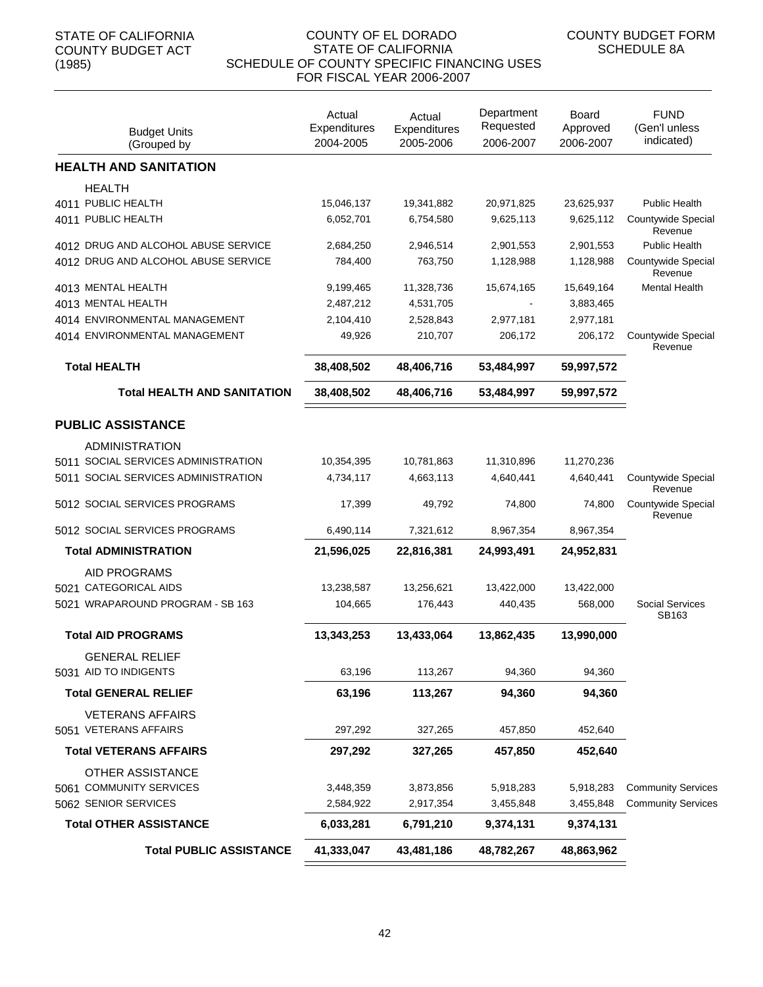| <b>Budget Units</b><br>(Grouped by               | Actual<br>Expenditures<br>2004-2005 | Actual<br>Expenditures<br>2005-2006 | Department<br>Requested<br>2006-2007 | Board<br>Approved<br>2006-2007 | <b>FUND</b><br>(Gen'l unless<br>indicated) |
|--------------------------------------------------|-------------------------------------|-------------------------------------|--------------------------------------|--------------------------------|--------------------------------------------|
| <b>HEALTH AND SANITATION</b>                     |                                     |                                     |                                      |                                |                                            |
| <b>HEALTH</b>                                    |                                     |                                     |                                      |                                |                                            |
| 4011 PUBLIC HEALTH                               | 15,046,137                          | 19,341,882                          | 20,971,825                           | 23,625,937                     | <b>Public Health</b>                       |
| 4011 PUBLIC HEALTH                               | 6,052,701                           | 6,754,580                           | 9,625,113                            | 9,625,112                      | Countywide Special<br>Revenue              |
| 4012 DRUG AND ALCOHOL ABUSE SERVICE              | 2,684,250                           | 2,946,514                           | 2,901,553                            | 2,901,553                      | <b>Public Health</b>                       |
| 4012 DRUG AND ALCOHOL ABUSE SERVICE              | 784,400                             | 763,750                             | 1,128,988                            | 1,128,988                      | Countywide Special<br>Revenue              |
| 4013 MENTAL HEALTH                               | 9,199,465                           | 11,328,736                          | 15,674,165                           | 15,649,164                     | <b>Mental Health</b>                       |
| 4013 MENTAL HEALTH                               | 2,487,212                           | 4,531,705                           |                                      | 3,883,465                      |                                            |
| 4014 ENVIRONMENTAL MANAGEMENT                    | 2,104,410                           | 2,528,843                           | 2,977,181                            | 2,977,181                      |                                            |
| 4014 ENVIRONMENTAL MANAGEMENT                    | 49,926                              | 210,707                             | 206,172                              | 206,172                        | Countywide Special<br>Revenue              |
| <b>Total HEALTH</b>                              | 38,408,502                          | 48,406,716                          | 53,484,997                           | 59,997,572                     |                                            |
| <b>Total HEALTH AND SANITATION</b>               | 38,408,502                          | 48,406,716                          | 53,484,997                           | 59,997,572                     |                                            |
| <b>PUBLIC ASSISTANCE</b>                         |                                     |                                     |                                      |                                |                                            |
| ADMINISTRATION                                   |                                     |                                     |                                      |                                |                                            |
| 5011 SOCIAL SERVICES ADMINISTRATION              | 10,354,395                          | 10,781,863                          | 11,310,896                           | 11,270,236                     |                                            |
| 5011 SOCIAL SERVICES ADMINISTRATION              | 4,734,117                           | 4,663,113                           | 4,640,441                            | 4,640,441                      | Countywide Special<br>Revenue              |
| 5012 SOCIAL SERVICES PROGRAMS                    | 17,399                              | 49,792                              | 74,800                               | 74,800                         | Countywide Special<br>Revenue              |
| 5012 SOCIAL SERVICES PROGRAMS                    | 6,490,114                           | 7,321,612                           | 8,967,354                            | 8,967,354                      |                                            |
| <b>Total ADMINISTRATION</b>                      | 21,596,025                          | 22,816,381                          | 24,993,491                           | 24,952,831                     |                                            |
| AID PROGRAMS                                     |                                     |                                     |                                      |                                |                                            |
| 5021 CATEGORICAL AIDS                            | 13,238,587                          | 13,256,621                          | 13,422,000                           | 13,422,000                     |                                            |
| 5021 WRAPAROUND PROGRAM - SB 163                 | 104,665                             | 176,443                             | 440,435                              | 568,000                        | <b>Social Services</b><br>SB163            |
| <b>Total AID PROGRAMS</b>                        | 13,343,253                          | 13,433,064                          | 13,862,435                           | 13,990,000                     |                                            |
| <b>GENERAL RELIEF</b><br>5031 AID TO INDIGENTS   | 63,196                              | 113,267                             | 94,360                               | 94,360                         |                                            |
|                                                  |                                     |                                     |                                      |                                |                                            |
| <b>Total GENERAL RELIEF</b>                      | 63,196                              | 113,267                             | 94,360                               | 94,360                         |                                            |
| <b>VETERANS AFFAIRS</b><br>5051 VETERANS AFFAIRS | 297,292                             | 327,265                             | 457,850                              | 452,640                        |                                            |
| <b>Total VETERANS AFFAIRS</b>                    | 297,292                             | 327,265                             | 457,850                              | 452,640                        |                                            |
| OTHER ASSISTANCE                                 |                                     |                                     |                                      |                                |                                            |
| 5061 COMMUNITY SERVICES                          | 3,448,359                           | 3,873,856                           | 5,918,283                            | 5,918,283                      | <b>Community Services</b>                  |
| 5062 SENIOR SERVICES                             | 2,584,922                           | 2,917,354                           | 3,455,848                            | 3,455,848                      | <b>Community Services</b>                  |
| <b>Total OTHER ASSISTANCE</b>                    | 6,033,281                           | 6,791,210                           | 9,374,131                            | 9,374,131                      |                                            |
| <b>Total PUBLIC ASSISTANCE</b>                   | 41,333,047                          | 43,481,186                          | 48,782,267                           | 48,863,962                     |                                            |
|                                                  |                                     |                                     |                                      |                                |                                            |